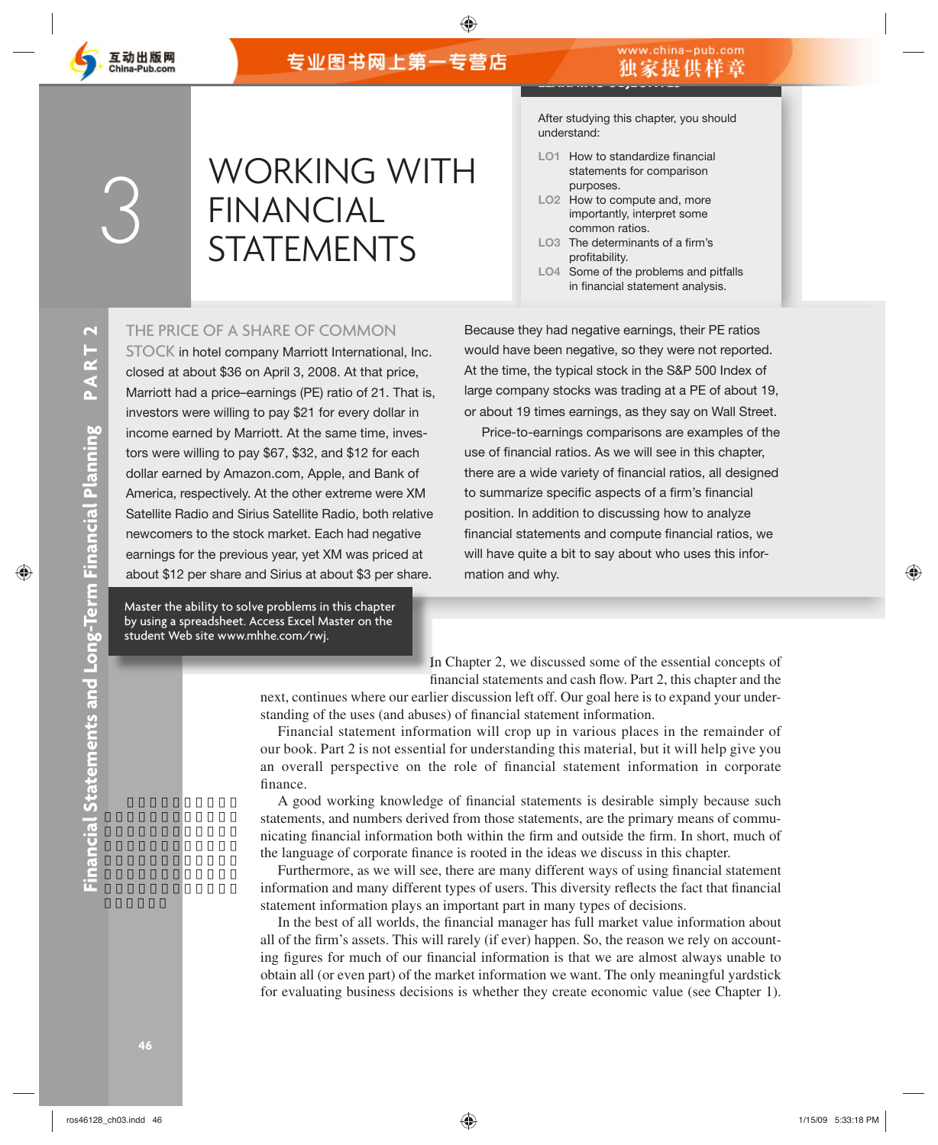

## 专业图书网上第一专营店

3

# WORKING WITH FINANCIAL **STATEMENTS**

After studying this chapter, you should understand:

- **LO1** How to standardize financial statements for comparison purposes.
- **LO2** How to compute and, more importantly, interpret some common ratios.
- LO3 The determinants of a firm's profitability.
- **LO4** Some of the problems and pitfalls in financial statement analysis.

THE PRICE OF A SHARE OF COMMON

STOCK in hotel company Marriott International, Inc. closed at about \$36 on April 3, 2008. At that price, Marriott had a price–earnings (PE) ratio of 21. That is, investors were willing to pay \$21 for every dollar in income earned by Marriott. At the same time, investors were willing to pay \$67, \$32, and \$12 for each dollar earned by Amazon.com, Apple, and Bank of America, respectively. At the other extreme were XM Satellite Radio and Sirius Satellite Radio, both relative newcomers to the stock market. Each had negative earnings for the previous year, yet XM was priced at about \$12 per share and Sirius at about \$3 per share.

Master the ability to solve problems in this chapter by using a spreadsheet. Access Excel Master on the student Web site www.mhhe.com/rwj.

Because they had negative earnings, their PE ratios would have been negative, so they were not reported. At the time, the typical stock in the S&P 500 Index of large company stocks was trading at a PE of about 19, or about 19 times earnings, as they say on Wall Street.

Price-to-earnings comparisons are examples of the use of financial ratios. As we will see in this chapter, there are a wide variety of financial ratios, all designed to summarize specific aspects of a firm's financial position. In addition to discussing how to analyze financial statements and compute financial ratios, we will have quite a bit to say about who uses this information and why.

In Chapter 2, we discussed some of the essential concepts of financial statements and cash flow. Part 2, this chapter and the

next, continues where our earlier discussion left off. Our goal here is to expand your understanding of the uses (and abuses) of financial statement information.

 Financial statement information will crop up in various places in the remainder of our book. Part 2 is not essential for understanding this material, but it will help give you an overall perspective on the role of financial statement information in corporate finance.

A good working knowledge of financial statements is desirable simply because such statements, and numbers derived from those statements, are the primary means of communicating financial information both within the firm and outside the firm. In short, much of the language of corporate finance is rooted in the ideas we discuss in this chapter.

Furthermore, as we will see, there are many different ways of using financial statement information and many different types of users. This diversity reflects the fact that financial statement information plays an important part in many types of decisions.

In the best of all worlds, the financial manager has full market value information about all of the firm's assets. This will rarely (if ever) happen. So, the reason we rely on accounting figures for much of our financial information is that we are almost always unable to obtain all (or even part) of the market information we want. The only meaningful yardstick for evaluating business decisions is whether they create economic value (see Chapter 1).

掌握利用财务报表信息 的知识是很重要的,因为这 些报表以及从这些报表中推 算出来的数据是在企业之内 和之外沟通财务信息的主要 手段。简而言之,公司理财 的很多用语都植根于本章所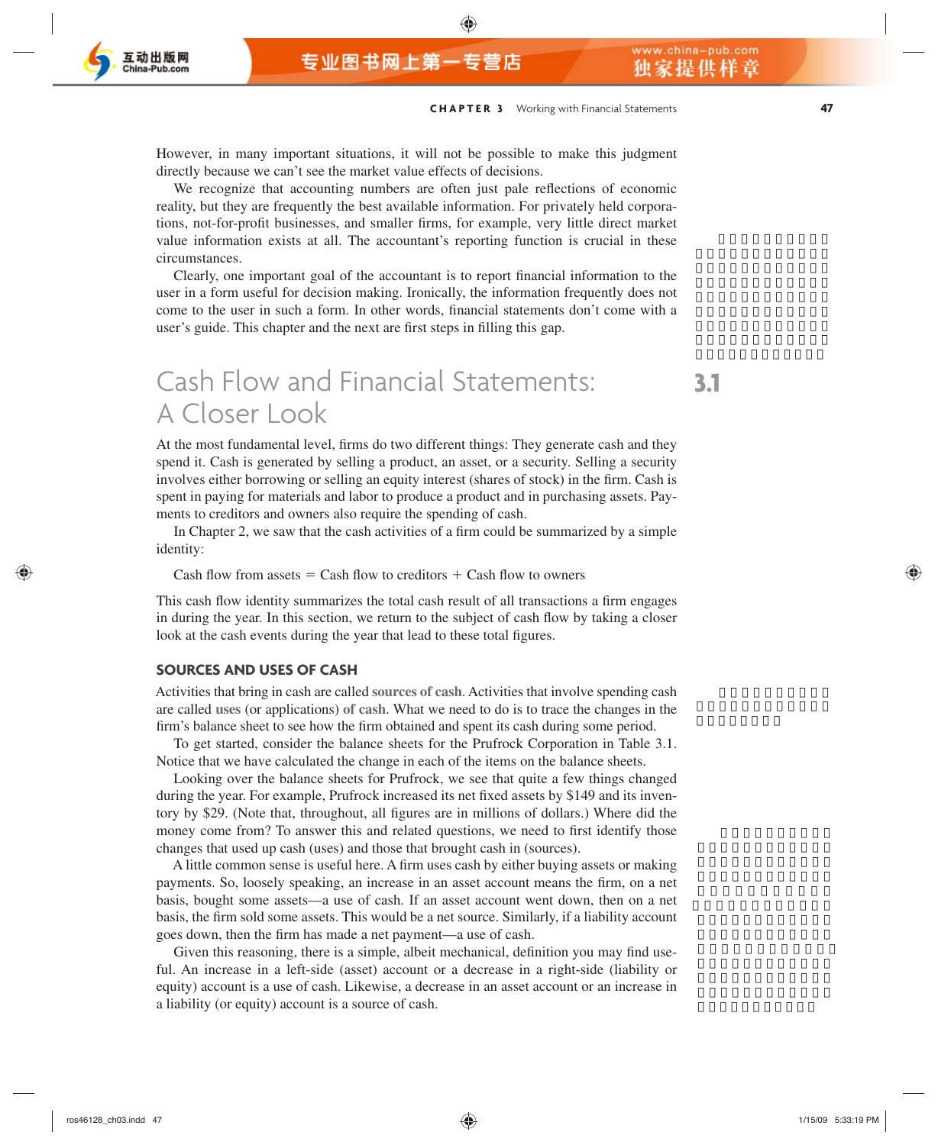**3.1**

 **CHAPTER 3** Working with Financial Statements **47**

However, in many important situations, it will not be possible to make this judgment directly because we can't see the market value effects of decisions.

We recognize that accounting numbers are often just pale reflections of economic reality, but they are frequently the best available information. For privately held corporations, not-for-profit businesses, and smaller firms, for example, very little direct market value information exists at all. The accountant's reporting function is crucial in these circumstances.

Clearly, one important goal of the accountant is to report financial information to the user in a form useful for decision making. Ironically, the information frequently does not come to the user in such a form. In other words, financial statements don't come with a user's guide. This chapter and the next are first steps in filling this gap.

## Cash Flow and Financial Statements: A Closer Look

At the most fundamental level, firms do two different things: They generate cash and they spend it. Cash is generated by selling a product, an asset, or a security. Selling a security involves either borrowing or selling an equity interest (shares of stock) in the firm. Cash is spent in paying for materials and labor to produce a product and in purchasing assets. Payments to creditors and owners also require the spending of cash.

In Chapter 2, we saw that the cash activities of a firm could be summarized by a simple identity:

Cash flow from assets  $=$  Cash flow to creditors  $+$  Cash flow to owners

This cash flow identity summarizes the total cash result of all transactions a firm engages in during the year. In this section, we return to the subject of cash flow by taking a closer look at the cash events during the year that lead to these total figures.

### **SOURCES AND USES OF CASH**

 Activities that bring in cash are called **sources of cash** . Activities that involve spending cash are called **uses** (or applications) **of cash** . What we need to do is to trace the changes in the firm's balance sheet to see how the firm obtained and spent its cash during some period.

 To get started, consider the balance sheets for the Prufrock Corporation in Table 3.1 . Notice that we have calculated the change in each of the items on the balance sheets.

 Looking over the balance sheets for Prufrock, we see that quite a few things changed during the year. For example, Prufrock increased its net fixed assets by \$149 and its inventory by \$29. (Note that, throughout, all figures are in millions of dollars.) Where did the money come from? To answer this and related questions, we need to first identify those changes that used up cash (uses) and those that brought cash in (sources).

A little common sense is useful here. A firm uses cash by either buying assets or making payments. So, loosely speaking, an increase in an asset account means the firm, on a net basis, bought some assets—a use of cash. If an asset account went down, then on a net basis, the firm sold some assets. This would be a net source. Similarly, if a liability account goes down, then the firm has made a net payment—a use of cash.

Given this reasoning, there is a simple, albeit mechanical, definition you may find useful. An increase in a left-side (asset) account or a decrease in a right-side (liability or equity) account is a use of cash. Likewise, a decrease in an asset account or an increase in a liability (or equity) account is a source of cash.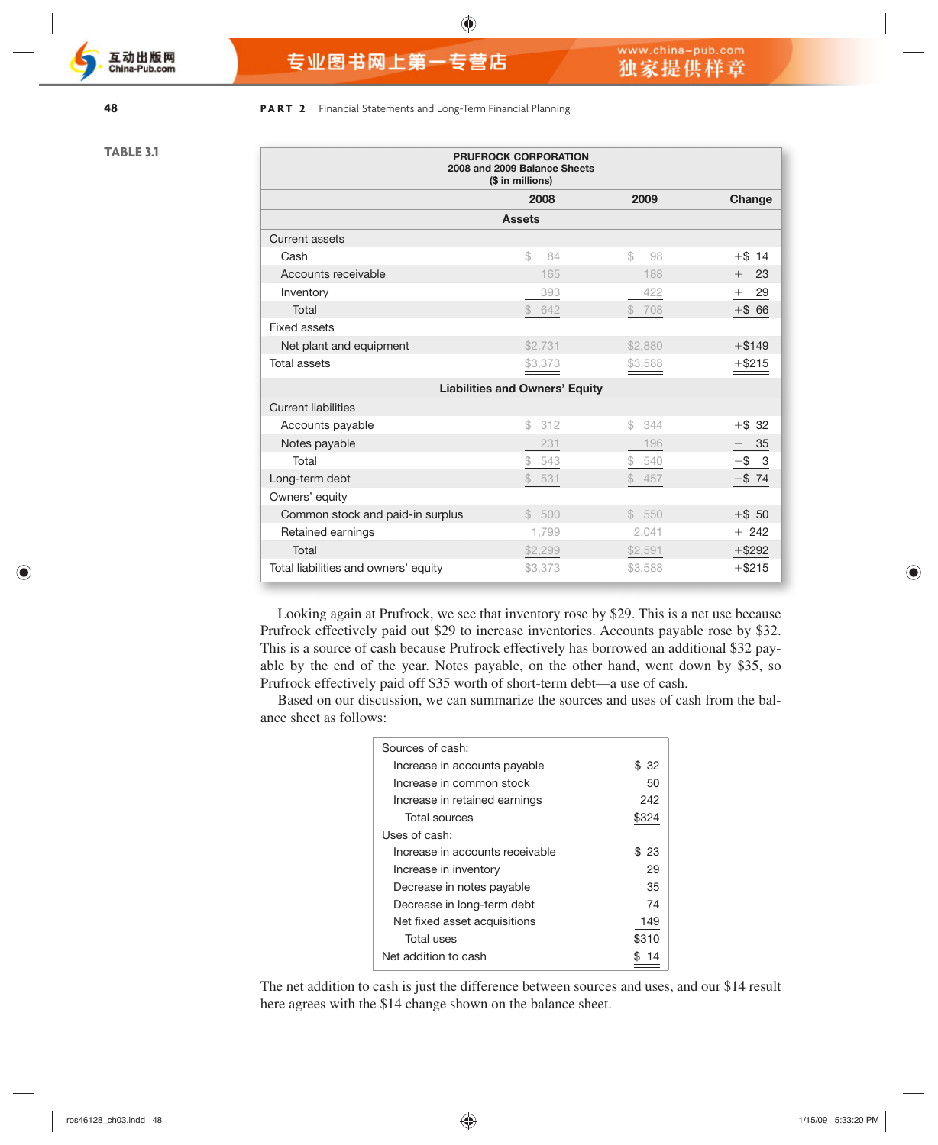**TABLE 3.1**

**48 PART 2** Financial Statements and Long-Term Financial Planning

|                                      | <b>PRUFROCK CORPORATION</b><br>2008 and 2009 Balance Sheets<br>(\$ in millions) |                      |              |
|--------------------------------------|---------------------------------------------------------------------------------|----------------------|--------------|
|                                      | 2008                                                                            | 2009                 | Change       |
|                                      | <b>Assets</b>                                                                   |                      |              |
| Current assets                       |                                                                                 |                      |              |
| Cash                                 | \$<br>84                                                                        | $\mathcal{S}$<br>98  | $+$ \$ 14    |
| Accounts receivable                  | 165                                                                             | 188                  | 23<br>$^{+}$ |
| Inventory                            | 393                                                                             | 422                  | 29<br>$+$    |
| Total                                | \$642                                                                           | \$708                | $+$ \$ 66    |
| <b>Fixed assets</b>                  |                                                                                 |                      |              |
| Net plant and equipment              | \$2,731                                                                         | \$2,880              | $+ $149$     |
| <b>Total assets</b>                  | \$3,373                                                                         | \$3,588              | $+$ \$215    |
|                                      | <b>Liabilities and Owners' Equity</b>                                           |                      |              |
| <b>Current liabilities</b>           |                                                                                 |                      |              |
| Accounts payable                     | $\mathcal{L}$<br>312                                                            | $\mathcal{L}$<br>344 | $+$ \$ 32    |
| Notes payable                        | 231                                                                             | 196                  | 35           |
| Total                                | 543<br>\$                                                                       | \$<br>540            | $-$ \$ 3     |
| Long-term debt                       | \$531                                                                           | \$457                | $-$ \$ 74    |
| Owners' equity                       |                                                                                 |                      |              |
| Common stock and paid-in surplus     | \$500                                                                           | \$550                | $+$ \$ 50    |
| Retained earnings                    | 1,799                                                                           | 2,041                | $+ 242$      |
| Total                                | \$2,299                                                                         | \$2,591              | $+$ \$292    |
| Total liabilities and owners' equity | \$3,373                                                                         | \$3,588              | $+$ \$215    |

 Looking again at Prufrock, we see that inventory rose by \$29. This is a net use because Prufrock effectively paid out \$29 to increase inventories. Accounts payable rose by \$32. This is a source of cash because Prufrock effectively has borrowed an additional \$32 payable by the end of the year. Notes payable, on the other hand, went down by \$35, so Prufrock effectively paid off \$35 worth of short-term debt—a use of cash.

 Based on our discussion, we can summarize the sources and uses of cash from the balance sheet as follows:

| Sources of cash:                |       |
|---------------------------------|-------|
| Increase in accounts payable    | \$32  |
| Increase in common stock        | 50    |
| Increase in retained earnings   | 242   |
| Total sources                   | \$324 |
| Uses of cash:                   |       |
| Increase in accounts receivable | \$23  |
| Increase in inventory           | 29    |
| Decrease in notes payable       | 35    |
| Decrease in long-term debt      | 74    |
| Net fixed asset acquisitions    | 149   |
| Total uses                      | \$310 |
| Net addition to cash            |       |
|                                 |       |

The net addition to cash is just the difference between sources and uses, and our \$14 result here agrees with the \$14 change shown on the balance sheet.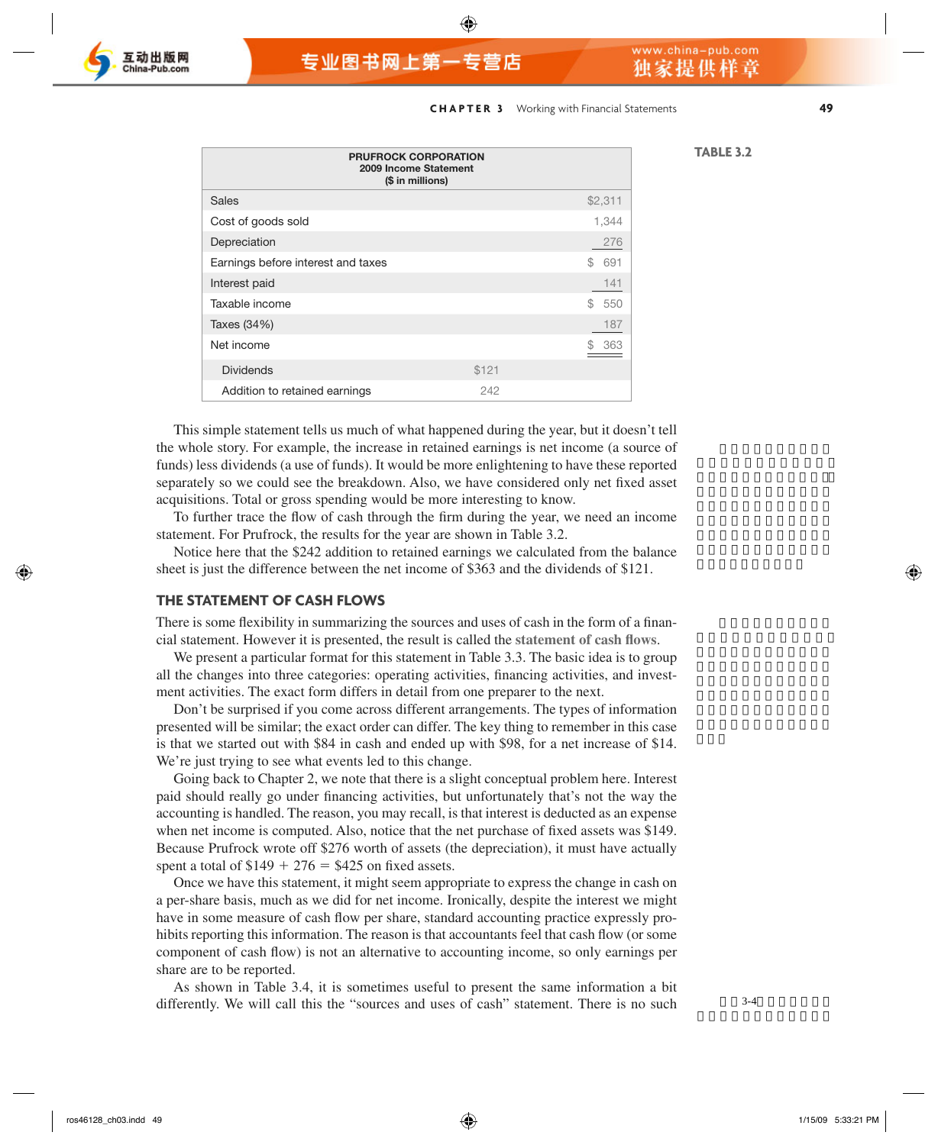#### **C H A P T E R 3** Working with Financial Statements **49**

| <b>PRUFROCK CORPORATION</b><br>2009 Income Statement<br>(\$ in millions) |       |           |
|--------------------------------------------------------------------------|-------|-----------|
| Sales                                                                    |       | \$2,311   |
| Cost of goods sold                                                       |       | 1,344     |
| Depreciation                                                             |       | 276       |
| Earnings before interest and taxes                                       |       | 691<br>\$ |
| Interest paid                                                            |       | 141       |
| Taxable income                                                           |       | \$<br>550 |
| Taxes (34%)                                                              |       | 187       |
| Net income                                                               |       | \$363     |
| <b>Dividends</b>                                                         | \$121 |           |
| Addition to retained earnings                                            | 242   |           |

 This simple statement tells us much of what happened during the year, but it doesn't tell the whole story. For example, the increase in retained earnings is net income (a source of funds) less dividends (a use of funds). It would be more enlightening to have these reported separately so we could see the breakdown. Also, we have considered only net fixed asset acquisitions. Total or gross spending would be more interesting to know.

To further trace the flow of cash through the firm during the year, we need an income statement. For Prufrock, the results for the year are shown in Table 3.2 .

 Notice here that the \$242 addition to retained earnings we calculated from the balance sheet is just the difference between the net income of \$363 and the dividends of \$121.

#### **THE STATEMENT OF CASH FLOWS**

互动出版网

China-Pub com

There is some flexibility in summarizing the sources and uses of cash in the form of a financial statement. However it is presented, the result is called the statement of cash flows.

 We present a particular format for this statement in Table 3.3 . The basic idea is to group all the changes into three categories: operating activities, financing activities, and investment activities. The exact form differs in detail from one preparer to the next.

 Don't be surprised if you come across different arrangements. The types of information presented will be similar; the exact order can differ. The key thing to remember in this case is that we started out with \$84 in cash and ended up with \$98, for a net increase of \$14. We're just trying to see what events led to this change.

 Going back to Chapter 2, we note that there is a slight conceptual problem here. Interest paid should really go under financing activities, but unfortunately that's not the way the accounting is handled. The reason, you may recall, is that interest is deducted as an expense when net income is computed. Also, notice that the net purchase of fixed assets was \$149. Because Prufrock wrote off \$276 worth of assets (the depreciation), it must have actually spent a total of  $$149 + 276 = $425$  on fixed assets.

 Once we have this statement, it might seem appropriate to express the change in cash on a per-share basis, much as we did for net income. Ironically, despite the interest we might have in some measure of cash flow per share, standard accounting practice expressly prohibits reporting this information. The reason is that accountants feel that cash flow (or some component of cash flow) is not an alternative to accounting income, so only earnings per share are to be reported.

 As shown in Table 3.4 , it is sometimes useful to present the same information a bit differently. We will call this the "sources and uses of cash" statement. There is no such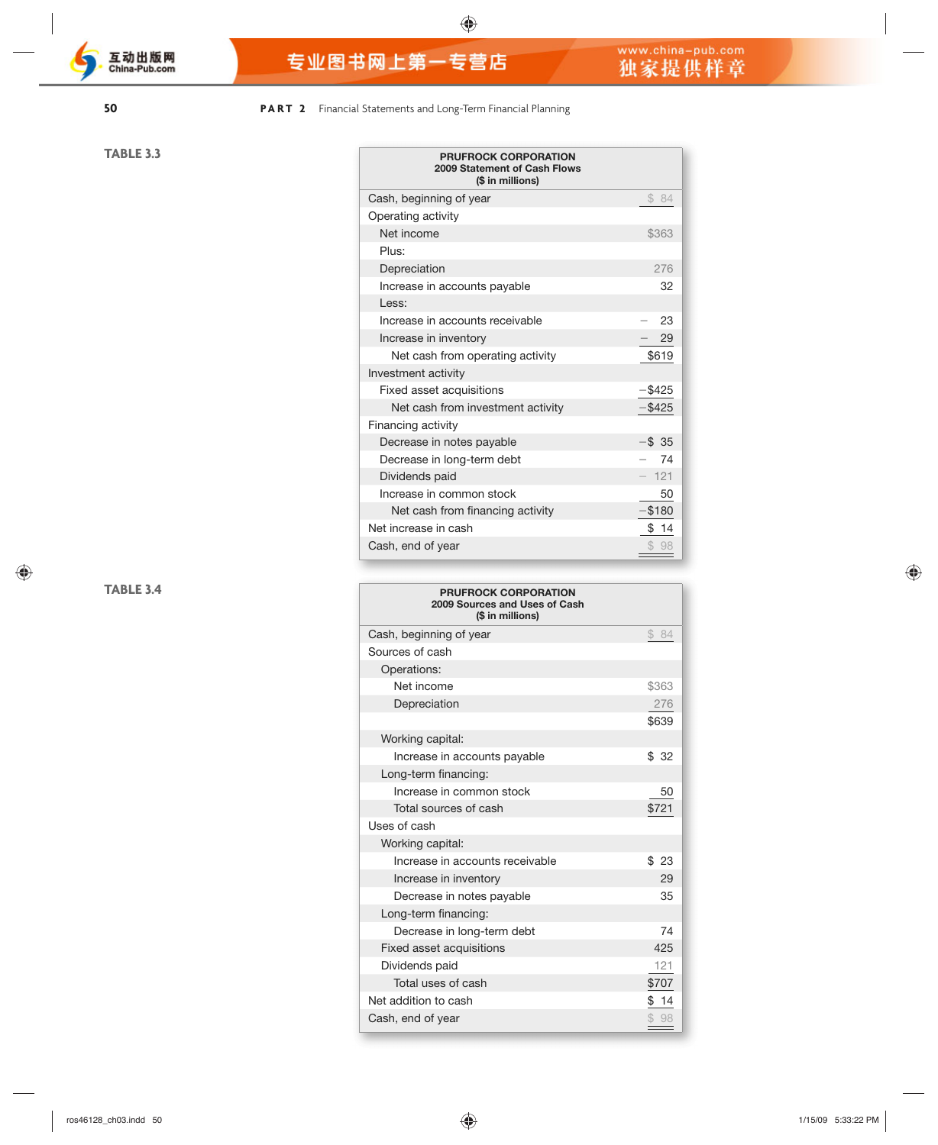

**50 PART 2** Financial Statements and Long-Term Financial Planning

**TABLE 3.3**

| <b>PRUFROCK CORPORATION</b><br>2009 Statement of Cash Flows<br>(\$ in millions) |           |
|---------------------------------------------------------------------------------|-----------|
| Cash, beginning of year                                                         | \$84      |
| Operating activity                                                              |           |
| Net income                                                                      | \$363     |
| Plus:                                                                           |           |
| Depreciation                                                                    | 276       |
| Increase in accounts payable                                                    | 32        |
| Less:                                                                           |           |
| Increase in accounts receivable                                                 | 23        |
| Increase in inventory                                                           | 29        |
| Net cash from operating activity                                                | \$619     |
| Investment activity                                                             |           |
| Fixed asset acquisitions                                                        | -\$425    |
| Net cash from investment activity                                               | $-$ \$425 |
| Financing activity                                                              |           |
| Decrease in notes payable                                                       | $-$ \$ 35 |
| Decrease in long-term debt                                                      | 74        |
| Dividends paid                                                                  | 121       |
| Increase in common stock                                                        | 50        |
| Net cash from financing activity                                                | $-$ \$180 |
| Net increase in cash                                                            | \$14      |
| Cash, end of year                                                               | \$98      |

**TABLE 3.4**

| <b>PRUFROCK CORPORATION</b><br>2009 Sources and Uses of Cash<br>(\$ in millions) |       |
|----------------------------------------------------------------------------------|-------|
| Cash, beginning of year                                                          | \$84  |
| Sources of cash                                                                  |       |
| Operations:                                                                      |       |
| Net income                                                                       | \$363 |
| Depreciation                                                                     | 276   |
|                                                                                  | \$639 |
| Working capital:                                                                 |       |
| Increase in accounts payable                                                     | \$32  |
| Long-term financing:                                                             |       |
| Increase in common stock                                                         | 50    |
| Total sources of cash                                                            | \$721 |
| Uses of cash                                                                     |       |
| Working capital:                                                                 |       |
| Increase in accounts receivable                                                  | \$23  |
| Increase in inventory                                                            | 29    |
| Decrease in notes payable                                                        | 35    |
| Long-term financing:                                                             |       |
| Decrease in long-term debt                                                       | 74    |
| Fixed asset acquisitions                                                         | 425   |
| Dividends paid                                                                   | 121   |
| Total uses of cash                                                               | \$707 |
| Net addition to cash                                                             | \$14  |
| Cash, end of year                                                                | \$ 98 |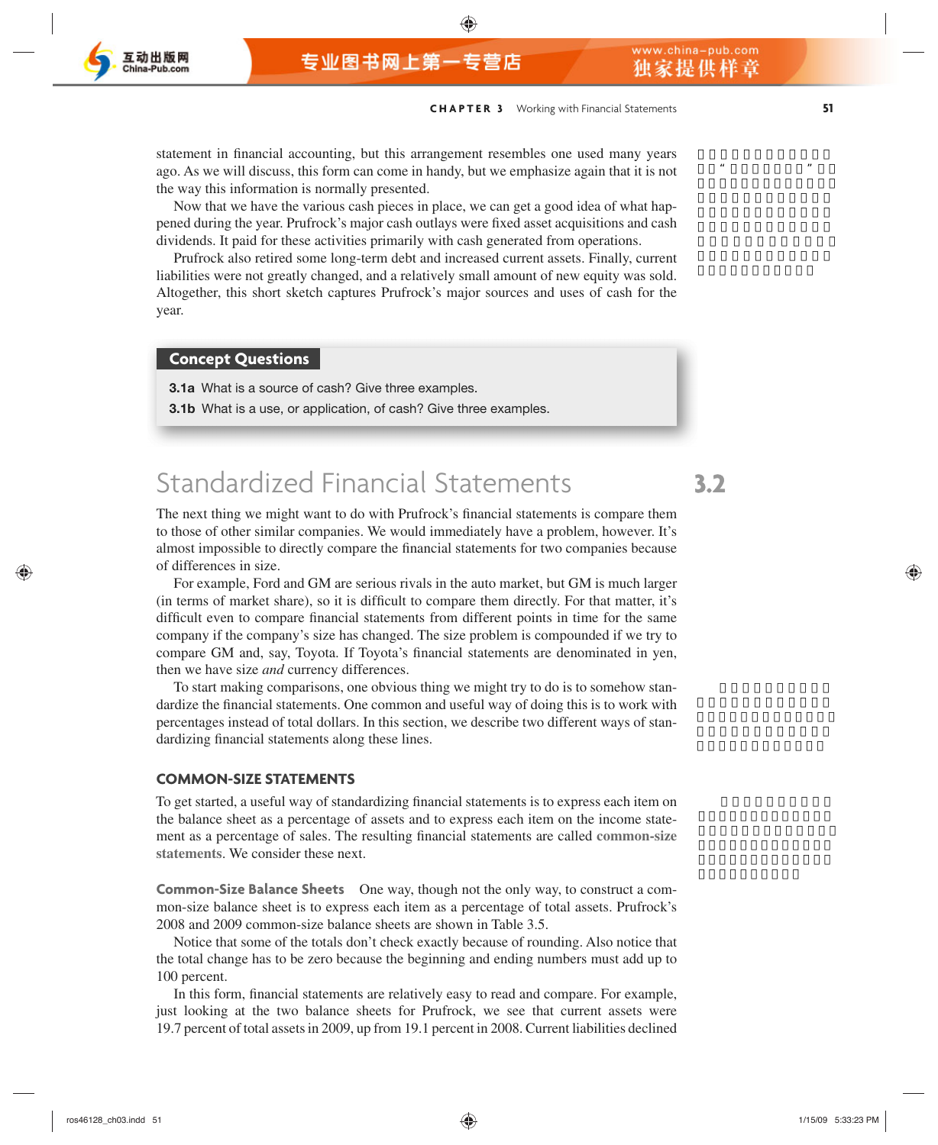**C H A P T E R 3** Working with Financial Statements **51**

statement in financial accounting, but this arrangement resembles one used many years ago. As we will discuss, this form can come in handy, but we emphasize again that it is not the way this information is normally presented.

 Now that we have the various cash pieces in place, we can get a good idea of what happened during the year. Prufrock's major cash outlays were fixed asset acquisitions and cash dividends. It paid for these activities primarily with cash generated from operations.

 Prufrock also retired some long-term debt and increased current assets. Finally, current liabilities were not greatly changed, and a relatively small amount of new equity was sold. Altogether, this short sketch captures Prufrock's major sources and uses of cash for the year.

### **Concept Questions**

 **3.1a** What is a source of cash? Give three examples.

 **3.1b** What is a use, or application, of cash? Give three examples.

## Standardized Financial Statements

**3.2**

The next thing we might want to do with Prufrock's financial statements is compare them to those of other similar companies. We would immediately have a problem, however. It's almost impossible to directly compare the financial statements for two companies because of differences in size.

 For example, Ford and GM are serious rivals in the auto market, but GM is much larger (in terms of market share), so it is difficult to compare them directly. For that matter, it's difficult even to compare financial statements from different points in time for the same company if the company's size has changed. The size problem is compounded if we try to compare GM and, say, Toyota. If Toyota's financial statements are denominated in yen, then we have size *and* currency differences.

 To start making comparisons, one obvious thing we might try to do is to somehow standardize the financial statements. One common and useful way of doing this is to work with percentages instead of total dollars. In this section, we describe two different ways of standardizing financial statements along these lines.

### **COMMON-SIZE STATEMENTS**

To get started, a useful way of standardizing financial statements is to express each item on the balance sheet as a percentage of assets and to express each item on the income statement as a percentage of sales. The resulting financial statements are called **common-size statements** . We consider these next.

**Common-Size Balance Sheets** One way, though not the only way, to construct a common-size balance sheet is to express each item as a percentage of total assets. Prufrock's 2008 and 2009 common-size balance sheets are shown in Table 3.5 .

 Notice that some of the totals don't check exactly because of rounding. Also notice that the total change has to be zero because the beginning and ending numbers must add up to 100 percent.

In this form, financial statements are relatively easy to read and compare. For example, just looking at the two balance sheets for Prufrock, we see that current assets were 19.7 percent of total assets in 2009, up from 19.1 percent in 2008. Current liabilities declined

 $\alpha$  , and  $\alpha$  , and  $\alpha$  , and  $\alpha$  , and  $\alpha$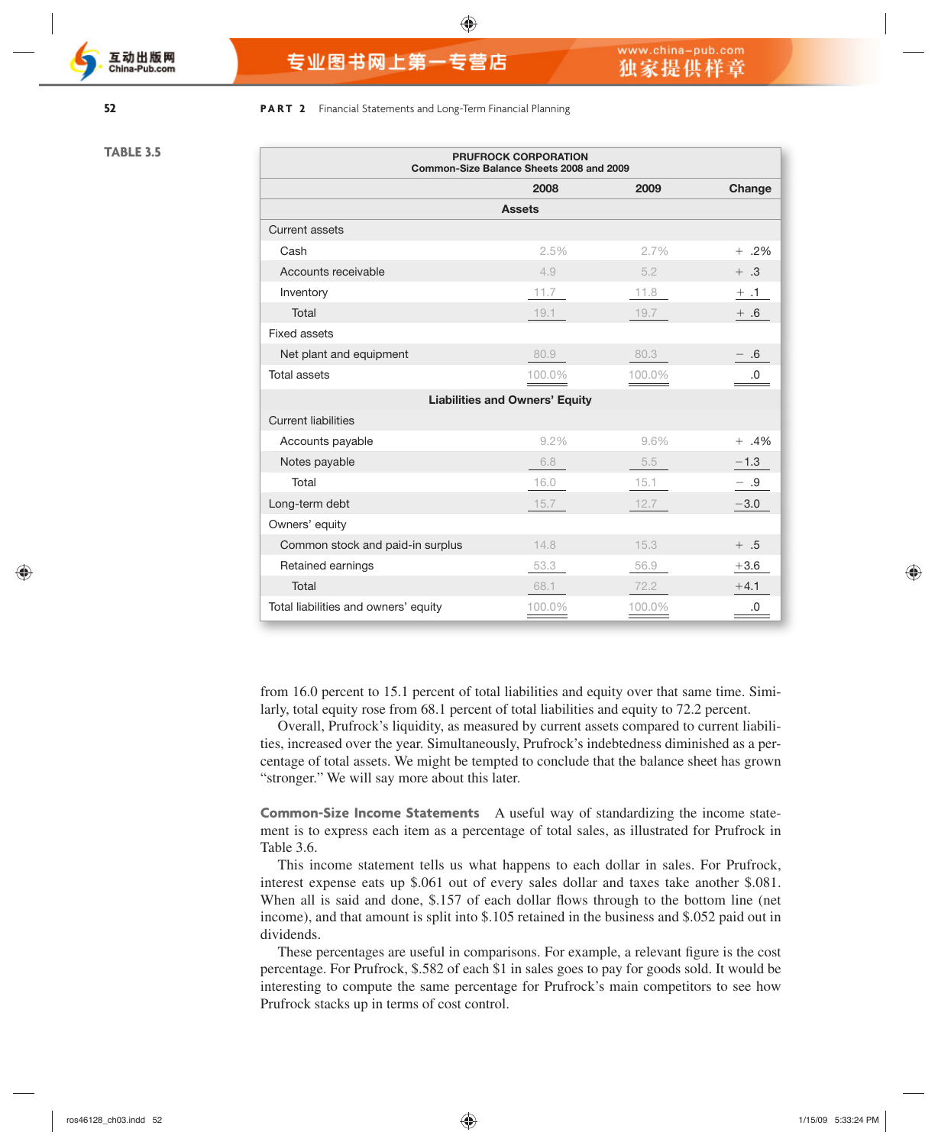**52 PART 2** Financial Statements and Long-Term Financial Planning

**TABLE 3.5**

| <b>PRUFROCK CORPORATION</b><br>Common-Size Balance Sheets 2008 and 2009 |                                       |           |         |  |  |
|-------------------------------------------------------------------------|---------------------------------------|-----------|---------|--|--|
|                                                                         | 2008                                  | 2009      | Change  |  |  |
|                                                                         | <b>Assets</b>                         |           |         |  |  |
| Current assets                                                          |                                       |           |         |  |  |
| Cash                                                                    | 2.5%                                  | 2.7%      | $+ .2%$ |  |  |
| Accounts receivable                                                     | 4.9                                   | 5.2       | $+$ .3  |  |  |
| Inventory                                                               | 11.7                                  | 11.8      | $+ .1$  |  |  |
| Total                                                                   | 19.1                                  | 19.7      | $+ .6$  |  |  |
| <b>Fixed assets</b>                                                     |                                       |           |         |  |  |
| Net plant and equipment                                                 | 80.9                                  | 80.3      | $- .6$  |  |  |
| Total assets                                                            | $100.0\%$                             | $100.0\%$ | .0      |  |  |
|                                                                         | <b>Liabilities and Owners' Equity</b> |           |         |  |  |
| <b>Current liabilities</b>                                              |                                       |           |         |  |  |
| Accounts payable                                                        | $9.2\%$                               | 9.6%      | $+ .4%$ |  |  |
| Notes payable                                                           | 6.8                                   | 5.5       | $-1.3$  |  |  |
| Total                                                                   | 16.0                                  | 15.1      | $-.9$   |  |  |
| Long-term debt                                                          | 15.7                                  | 12.7      | $-3.0$  |  |  |
| Owners' equity                                                          |                                       |           |         |  |  |
| Common stock and paid-in surplus                                        | 14.8                                  | 15.3      | $+ .5$  |  |  |
| Retained earnings                                                       | 53.3                                  | 56.9      | $+3.6$  |  |  |
| Total                                                                   | 68.1                                  | 72.2      | $+4.1$  |  |  |
| Total liabilities and owners' equity                                    | 100.0%                                | 100.0%    | .0      |  |  |

from 16.0 percent to 15.1 percent of total liabilities and equity over that same time. Similarly, total equity rose from 68.1 percent of total liabilities and equity to 72.2 percent.

 Overall, Prufrock's liquidity, as measured by current assets compared to current liabilities, increased over the year. Simultaneously, Prufrock's indebtedness diminished as a percentage of total assets. We might be tempted to conclude that the balance sheet has grown "stronger." We will say more about this later.

 **Common-Size Income Statements** A useful way of standardizing the income statement is to express each item as a percentage of total sales, as illustrated for Prufrock in Table 3.6.

 This income statement tells us what happens to each dollar in sales. For Prufrock, interest expense eats up \$.061 out of every sales dollar and taxes take another \$.081. When all is said and done, \$.157 of each dollar flows through to the bottom line (net income), and that amount is split into \$.105 retained in the business and \$.052 paid out in dividends.

These percentages are useful in comparisons. For example, a relevant figure is the cost percentage. For Prufrock, \$.582 of each \$1 in sales goes to pay for goods sold. It would be interesting to compute the same percentage for Prufrock's main competitors to see how Prufrock stacks up in terms of cost control.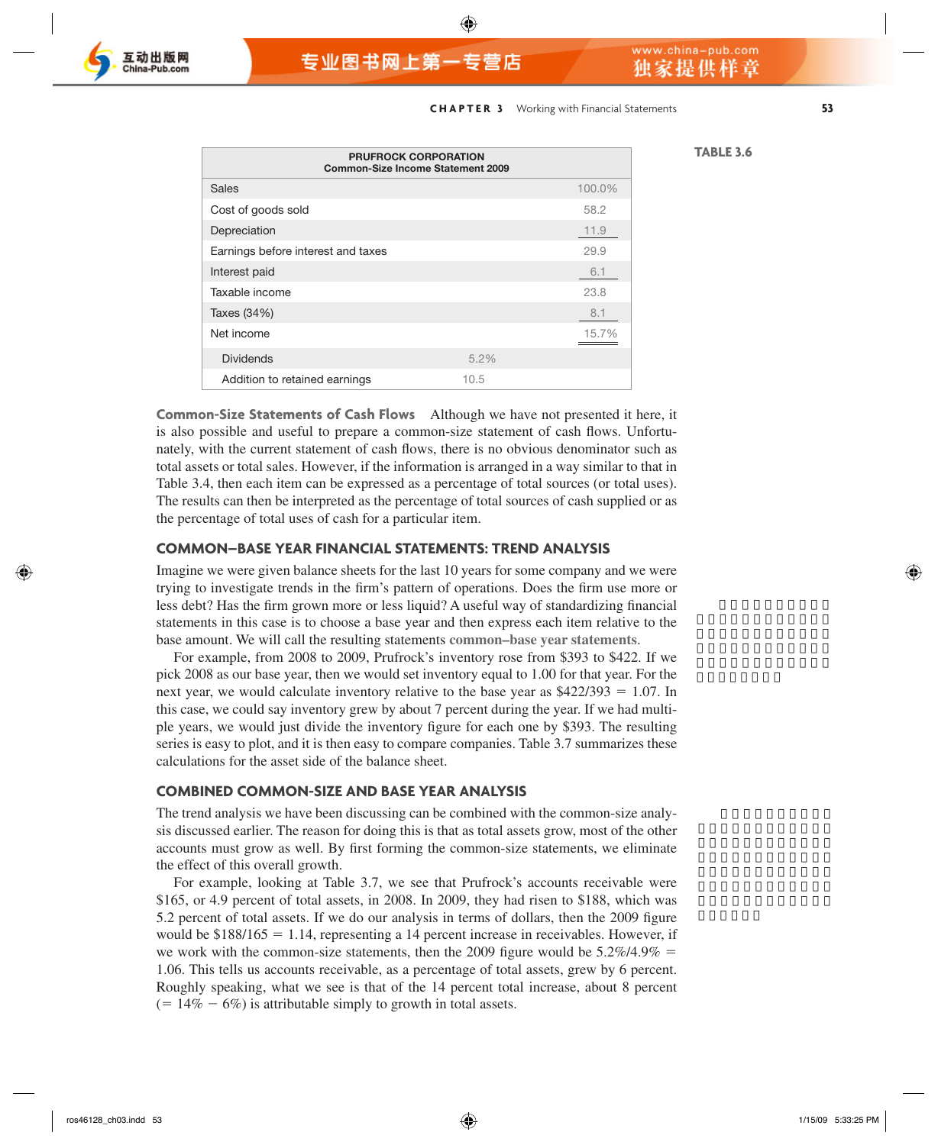互动出版网

China-Pub.com

#### **C H A P T E R 3** Working with Financial Statements **53**

| <b>PRUFROCK CORPORATION</b><br><b>Common-Size Income Statement 2009</b> |      |        |
|-------------------------------------------------------------------------|------|--------|
| <b>Sales</b>                                                            |      | 100.0% |
| Cost of goods sold                                                      |      | 58.2   |
| Depreciation                                                            |      | 11.9   |
| Earnings before interest and taxes                                      |      | 29.9   |
| Interest paid                                                           |      | 6.1    |
| Taxable income                                                          |      | 23.8   |
| Taxes (34%)                                                             |      | 8.1    |
| Net income                                                              |      | 15.7%  |
| <b>Dividends</b>                                                        | 5.2% |        |
| Addition to retained earnings                                           | 10.5 |        |

 **Common-Size Statements of Cash Flows** Although we have not presented it here, it is also possible and useful to prepare a common-size statement of cash flows. Unfortunately, with the current statement of cash flows, there is no obvious denominator such as total assets or total sales. However, if the information is arranged in a way similar to that in Table 3.4 , then each item can be expressed as a percentage of total sources (or total uses). The results can then be interpreted as the percentage of total sources of cash supplied or as the percentage of total uses of cash for a particular item.

#### **COMMON–BASE YEAR FINANCIAL STATEMENTS: TREND ANALYSIS**

 Imagine we were given balance sheets for the last 10 years for some company and we were trying to investigate trends in the firm's pattern of operations. Does the firm use more or less debt? Has the firm grown more or less liquid? A useful way of standardizing financial statements in this case is to choose a base year and then express each item relative to the base amount. We will call the resulting statements **common–base year statements** .

 For example, from 2008 to 2009, Prufrock's inventory rose from \$393 to \$422. If we pick 2008 as our base year, then we would set inventory equal to 1.00 for that year. For the next year, we would calculate inventory relative to the base year as  $$422/393 = 1.07$ . In this case, we could say inventory grew by about 7 percent during the year. If we had multiple years, we would just divide the inventory figure for each one by \$393. The resulting series is easy to plot, and it is then easy to compare companies. Table 3.7 summarizes these calculations for the asset side of the balance sheet.

### **COMBINED COMMON-SIZE AND BASE YEAR ANALYSIS**

 The trend analysis we have been discussing can be combined with the common-size analysis discussed earlier. The reason for doing this is that as total assets grow, most of the other accounts must grow as well. By first forming the common-size statements, we eliminate the effect of this overall growth.

 For example, looking at Table 3.7 , we see that Prufrock's accounts receivable were \$165, or 4.9 percent of total assets, in 2008. In 2009, they had risen to \$188, which was 5.2 percent of total assets. If we do our analysis in terms of dollars, then the 2009 figure would be  $$188/165 = 1.14$ , representing a 14 percent increase in receivables. However, if we work with the common-size statements, then the 2009 figure would be  $5.2\%/4.9\% =$ 1.06. This tells us accounts receivable, as a percentage of total assets, grew by 6 percent. Roughly speaking, what we see is that of the 14 percent total increase, about 8 percent  $(= 14\% - 6\%)$  is attributable simply to growth in total assets.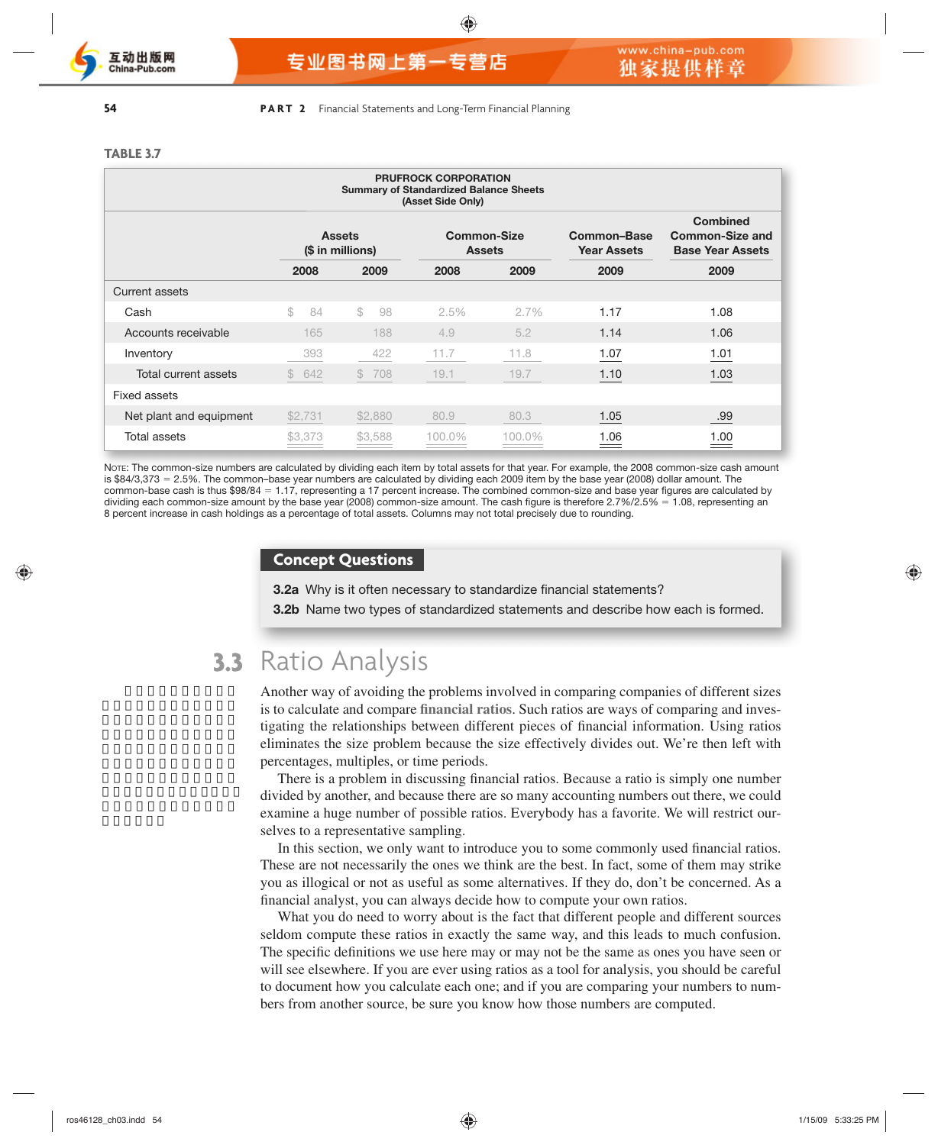**54 PART 2** Financial Statements and Long-Term Financial Planning

| <b>TABLE 3.7</b>        |                     |                                   |                                                                                                   |                                     |                                   |                                                                      |
|-------------------------|---------------------|-----------------------------------|---------------------------------------------------------------------------------------------------|-------------------------------------|-----------------------------------|----------------------------------------------------------------------|
|                         |                     |                                   | <b>PRUFROCK CORPORATION</b><br><b>Summary of Standardized Balance Sheets</b><br>(Asset Side Only) |                                     |                                   |                                                                      |
|                         |                     | <b>Assets</b><br>(\$ in millions) |                                                                                                   | <b>Common-Size</b><br><b>Assets</b> | Common-Base<br><b>Year Assets</b> | <b>Combined</b><br><b>Common-Size and</b><br><b>Base Year Assets</b> |
|                         | 2008                | 2009                              | 2008                                                                                              | 2009                                | 2009                              | 2009                                                                 |
| <b>Current assets</b>   |                     |                                   |                                                                                                   |                                     |                                   |                                                                      |
| Cash                    | $\mathcal{S}$<br>84 | $\mathcal{L}$<br>98               | 2.5%                                                                                              | 2.7%                                | 1.17                              | 1.08                                                                 |
| Accounts receivable     | 165                 | 188                               | 4.9                                                                                               | 5.2                                 | 1.14                              | 1.06                                                                 |
| Inventory               | 393                 | 422                               | 11.7                                                                                              | 11.8                                | 1.07                              | 1.01                                                                 |
| Total current assets    | \$642               | \$708                             | 19.1                                                                                              | 19.7                                | 1.10                              | 1.03                                                                 |
| <b>Fixed assets</b>     |                     |                                   |                                                                                                   |                                     |                                   |                                                                      |
| Net plant and equipment | \$2,731             | \$2,880                           | 80.9                                                                                              | 80.3                                | 1.05                              | .99                                                                  |
| <b>Total assets</b>     | \$3,373             | \$3,588                           | 100.0%                                                                                            | 100.0%                              | 1.06<br>--                        | 1.00                                                                 |

NOTE: The common-size numbers are calculated by dividing each item by total assets for that year. For example, the 2008 common-size cash amount is \$84/3,373 = 2.5%. The common–base year numbers are calculated by dividing each 2009 item by the base year (2008) dollar amount. The common-base cash is thus \$98/84 = 1.17, representing a 17 percent increase. The combined common-size and base year figures are calculated by dividing each common-size amount by the base year (2008) common-size amount. The cash figure is therefore 2.7%/2.5% = 1.08, representing an 8 percent increase in cash holdings as a percentage of total assets. Columns may not total precisely due to rounding.

### **Concept Questions**

**3.2a** Why is it often necessary to standardize financial statements?

 **3.2b** Name two types of standardized statements and describe how each is formed.

## **3.3** Ratio Analysis

 Another way of avoiding the problems involved in comparing companies of different sizes is to calculate and compare financial ratios. Such ratios are ways of comparing and investigating the relationships between different pieces of financial information. Using ratios eliminates the size problem because the size effectively divides out. We're then left with percentages, multiples, or time periods.

There is a problem in discussing financial ratios. Because a ratio is simply one number divided by another, and because there are so many accounting numbers out there, we could examine a huge number of possible ratios. Everybody has a favorite. We will restrict ourselves to a representative sampling.

In this section, we only want to introduce you to some commonly used financial ratios. These are not necessarily the ones we think are the best. In fact, some of them may strike you as illogical or not as useful as some alternatives. If they do, don't be concerned. As a financial analyst, you can always decide how to compute your own ratios.

 What you do need to worry about is the fact that different people and different sources seldom compute these ratios in exactly the same way, and this leads to much confusion. The specific definitions we use here may or may not be the same as ones you have seen or will see elsewhere. If you are ever using ratios as a tool for analysis, you should be careful to document how you calculate each one; and if you are comparing your numbers to numbers from another source, be sure you know how those numbers are computed.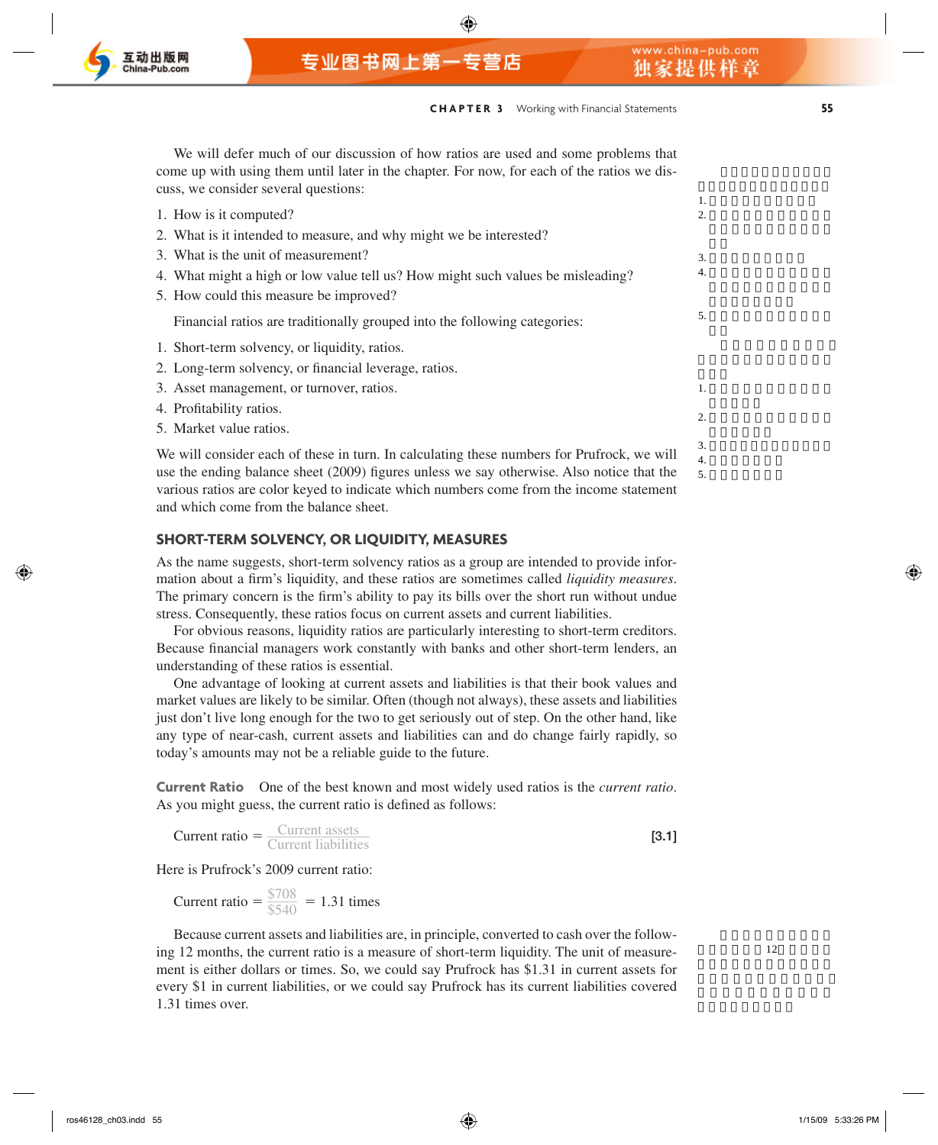1. 它是如何计算出来的?

 We will defer much of our discussion of how ratios are used and some problems that come up with using them until later in the chapter. For now, for each of the ratios we discuss, we consider several questions:

| 1. How is it computed?                                                                                                                                                               | 2.                     |
|--------------------------------------------------------------------------------------------------------------------------------------------------------------------------------------|------------------------|
| 2. What is it intended to measure, and why might we be interested?                                                                                                                   |                        |
| 3. What is the unit of measurement?                                                                                                                                                  | 3.                     |
| 4. What might a high or low value tell us? How might such values be misleading?                                                                                                      | 4.                     |
| 5. How could this measure be improved?                                                                                                                                               |                        |
| Financial ratios are traditionally grouped into the following categories:                                                                                                            | 5.                     |
| 1. Short-term solvency, or liquidity, ratios.                                                                                                                                        |                        |
| 2. Long-term solvency, or financial leverage, ratios.                                                                                                                                |                        |
| 3. Asset management, or turnover, ratios.                                                                                                                                            | 1.                     |
| 4. Profitability ratios.                                                                                                                                                             | 2.                     |
| 5. Market value ratios.                                                                                                                                                              |                        |
| We will consider each of these in turn. In calculating these numbers for Prufrock, we will                                                                                           | 3.<br>$\overline{4}$ . |
| use the ending balance sheet (2009) figures unless we say otherwise. Also notice that the<br>various ratios are color keyed to indicate which numbers come from the income statement | 5.                     |

### **SHORT-TERM SOLVENCY, OR LIQUIDITY, MEASURES**

and which come from the balance sheet.

 As the name suggests, short-term solvency ratios as a group are intended to provide information about a firm's liquidity, and these ratios are sometimes called *liquidity measures*. The primary concern is the firm's ability to pay its bills over the short run without undue stress. Consequently, these ratios focus on current assets and current liabilities.

 For obvious reasons, liquidity ratios are particularly interesting to short-term creditors. Because financial managers work constantly with banks and other short-term lenders, an understanding of these ratios is essential.

 One advantage of looking at current assets and liabilities is that their book values and market values are likely to be similar. Often (though not always), these assets and liabilities just don't live long enough for the two to get seriously out of step. On the other hand, like any type of near-cash, current assets and liabilities can and do change fairly rapidly, so today's amounts may not be a reliable guide to the future.

 **Current Ratio** One of the best known and most widely used ratios is the *current ratio*. As you might guess, the current ratio is defined as follows:

$$
Current ratio = \frac{Current assets}{Current liabilities}
$$
 [3.1]

Here is Prufrock's 2009 current ratio:

Current ratio =  $\frac{$708}{$540}$  = 1.31 times

 Because current assets and liabilities are, in principle, converted to cash over the following 12 months, the current ratio is a measure of short-term liquidity. The unit of measurement is either dollars or times. So, we could say Prufrock has \$1.31 in current assets for every \$1 in current liabilities, or we could say Prufrock has its current liabilities covered 1.31 times over.

 $12$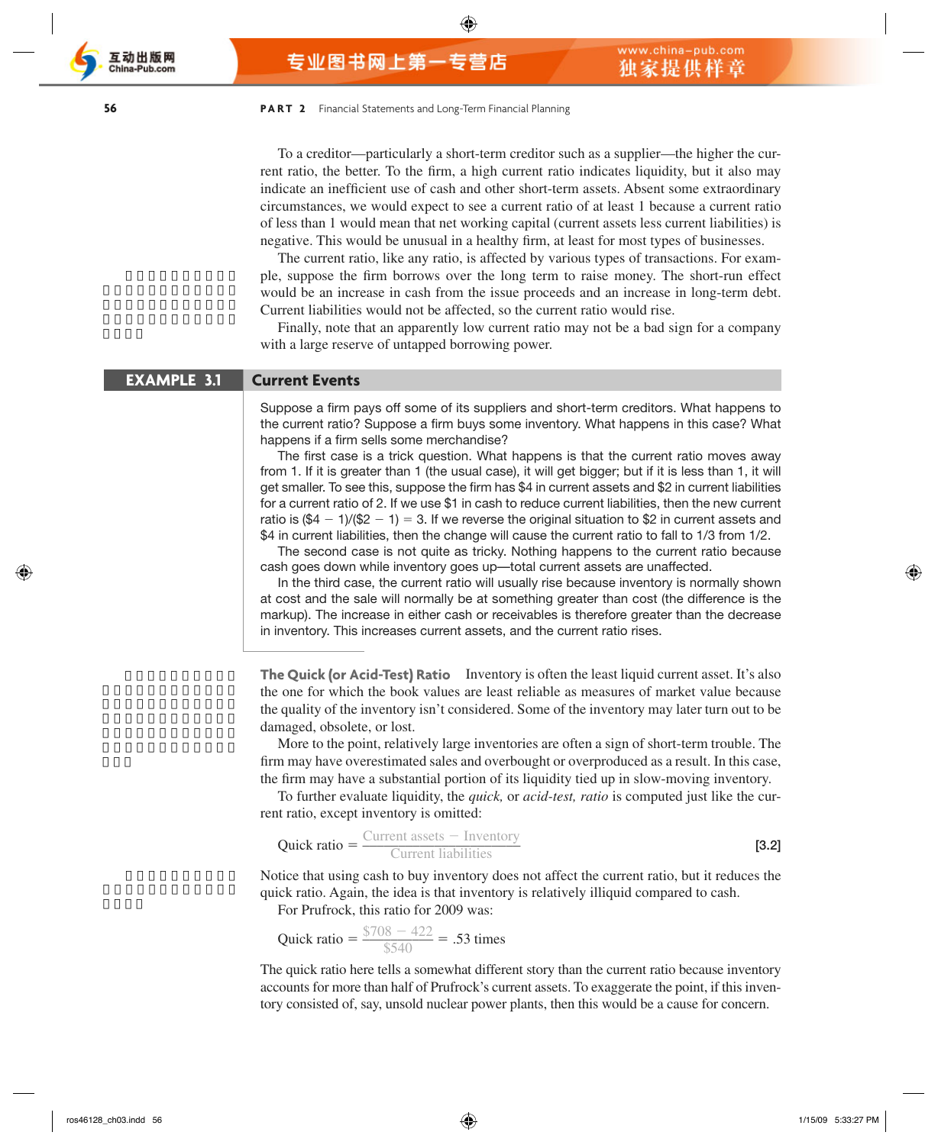To a creditor—particularly a short-term creditor such as a supplier—the higher the current ratio, the better. To the firm, a high current ratio indicates liquidity, but it also may indicate an inefficient use of cash and other short-term assets. Absent some extraordinary circumstances, we would expect to see a current ratio of at least 1 because a current ratio of less than 1 would mean that net working capital (current assets less current liabilities) is negative. This would be unusual in a healthy firm, at least for most types of businesses.

 The current ratio, like any ratio, is affected by various types of transactions. For example, suppose the firm borrows over the long term to raise money. The short-run effect would be an increase in cash from the issue proceeds and an increase in long-term debt. Current liabilities would not be affected, so the current ratio would rise.

 Finally, note that an apparently low current ratio may not be a bad sign for a company with a large reserve of untapped borrowing power.

### **EXAMPLE 3.1 Current Events**

Suppose a firm pays off some of its suppliers and short-term creditors. What happens to the current ratio? Suppose a firm buys some inventory. What happens in this case? What happens if a firm sells some merchandise?

The first case is a trick question. What happens is that the current ratio moves away from 1. If it is greater than 1 (the usual case), it will get bigger; but if it is less than 1, it will get smaller. To see this, suppose the firm has \$4 in current assets and \$2 in current liabilities for a current ratio of 2. If we use \$1 in cash to reduce current liabilities, then the new current ratio is  $(\$4 - 1)/(\$2 - 1) = 3$ . If we reverse the original situation to  $\$2$  in current assets and \$4 in current liabilities, then the change will cause the current ratio to fall to 1/3 from 1/2.

 The second case is not quite as tricky. Nothing happens to the current ratio because cash goes down while inventory goes up—total current assets are unaffected.

 In the third case, the current ratio will usually rise because inventory is normally shown at cost and the sale will normally be at something greater than cost (the difference is the markup). The increase in either cash or receivables is therefore greater than the decrease in inventory. This increases current assets, and the current ratio rises.

 **The Quick (or Acid-Test) Ratio** Inventory is often the least liquid current asset. It's also the one for which the book values are least reliable as measures of market value because the quality of the inventory isn't considered. Some of the inventory may later turn out to be damaged, obsolete, or lost.

 More to the point, relatively large inventories are often a sign of short-term trouble. The firm may have overestimated sales and overbought or overproduced as a result. In this case, the firm may have a substantial portion of its liquidity tied up in slow-moving inventory.

 To further evaluate liquidity, the *quick,* or *acid-test, ratio* is computed just like the current ratio, except inventory is omitted:

$$
Quick ratio = \frac{Current assets - Inventory}{Current liabilities}
$$
 [3.2]

Notice that using cash to buy inventory does not affect the current ratio, but it reduces the quick ratio. Again, the idea is that inventory is relatively illiquid compared to cash.

For Prufrock, this ratio for 2009 was:

Quick ratio  $=$   $\frac{$708 - 422}{\$540} = .53$  times

The quick ratio here tells a somewhat different story than the current ratio because inventory accounts for more than half of Prufrock's current assets. To exaggerate the point, if this inventory consisted of, say, unsold nuclear power plants, then this would be a cause for concern.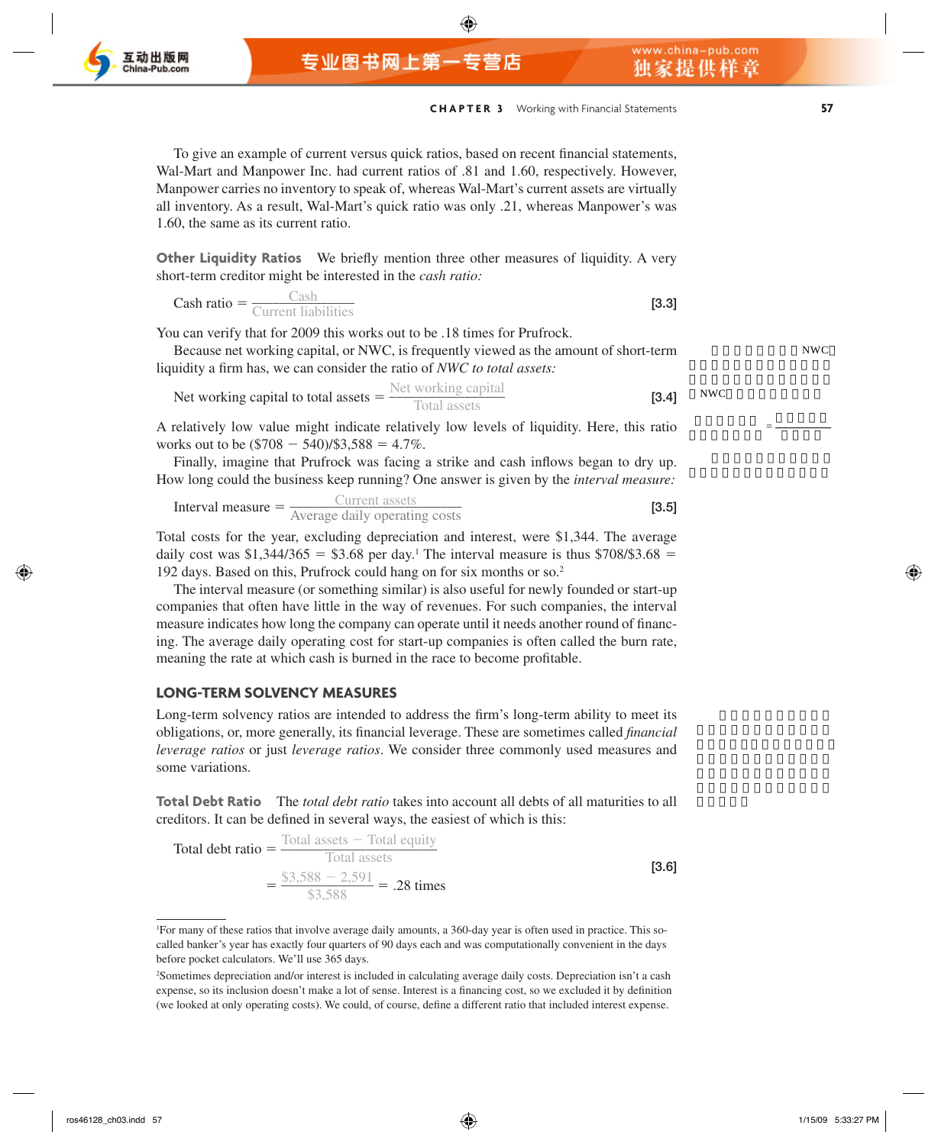专业图书网上第一专营店

 $NWC$ 

净营运资本对 <sup>=</sup> 资产总额的比率

To give an example of current versus quick ratios, based on recent financial statements, Wal-Mart and Manpower Inc. had current ratios of .81 and 1.60, respectively. However, Manpower carries no inventory to speak of, whereas Wal-Mart's current assets are virtually all inventory. As a result, Wal-Mart's quick ratio was only .21, whereas Manpower's was 1.60, the same as its current ratio.

**Other Liquidity Ratios** We briefly mention three other measures of liquidity. A very short-term creditor might be interested in the *cash ratio:*

$$
Cash ratio = \frac{Cash}{Current liabilities}
$$
 [3.3]

You can verify that for 2009 this works out to be .18 times for Prufrock.

 Because net working capital, or NWC, is frequently viewed as the amount of short-term liquidity a firm has, we can consider the ratio of *NWC to total assets:* 

$$
Net working capital to total assets = \frac{Net working capital}{Total assets}
$$
 [3.4]

A relatively low value might indicate relatively low levels of liquidity. Here, this ratio works out to be  $(\$708 - 540)/\$3,588 = 4.7\%$ .

Finally, imagine that Prufrock was facing a strike and cash inflows began to dry up. How long could the business keep running? One answer is given by the *interval measure:*

$$
Interval measure = \frac{Current assets}{Average daily operating costs}
$$
\n
$$
[3.5]
$$

Total costs for the year, excluding depreciation and interest, were \$1,344. The average daily cost was \$1,344/365 = \$3.68 per day.<sup>1</sup> The interval measure is thus \$708/\$3.68 = 192 days. Based on this, Prufrock could hang on for six months or so.2

 The interval measure (or something similar) is also useful for newly founded or start-up companies that often have little in the way of revenues. For such companies, the interval measure indicates how long the company can operate until it needs another round of financing. The average daily operating cost for start-up companies is often called the burn rate, meaning the rate at which cash is burned in the race to become profitable.

### **LONG-TERM SOLVENCY MEASURES**

Long-term solvency ratios are intended to address the firm's long-term ability to meet its obligations, or, more generally, its financial leverage. These are sometimes called *financial leverage ratios* or just *leverage ratios* . We consider three commonly used measures and some variations.

 **Total Debt Ratio** The *total debt ratio* takes into account all debts of all maturities to all creditors. It can be defined in several ways, the easiest of which is this:

Total debt ratio = 
$$
\frac{\text{Total assets} - \text{Total equity}}{\text{Total assets}}
$$

$$
= \frac{\$3,588 - 2,591}{\$3,588} = .28 \text{ times}
$$
 [3.6]

NWC

<sup>1</sup> For many of these ratios that involve average daily amounts, a 360-day year is often used in practice. This socalled banker's year has exactly four quarters of 90 days each and was computationally convenient in the days before pocket calculators. We'll use 365 days.

<sup>2</sup> Sometimes depreciation and/or interest is included in calculating average daily costs. Depreciation isn't a cash expense, so its inclusion doesn't make a lot of sense. Interest is a financing cost, so we excluded it by definition (we looked at only operating costs). We could, of course, define a different ratio that included interest expense.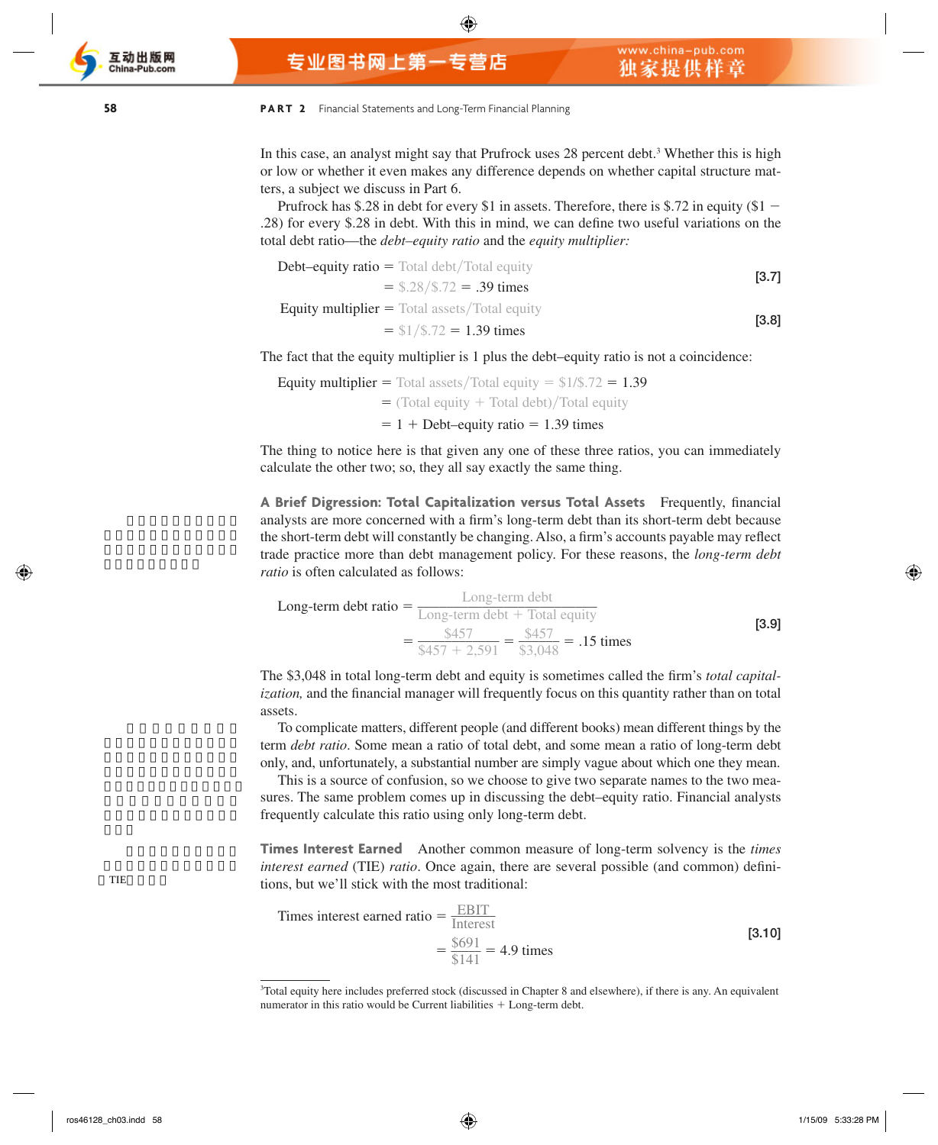

In this case, an analyst might say that Prufrock uses 28 percent debt.<sup>3</sup> Whether this is high or low or whether it even makes any difference depends on whether capital structure matters, a subject we discuss in Part 6.

Prufrock has \$.28 in debt for every \$1 in assets. Therefore, there is \$.72 in equity (\$1  $-$ .28) for every \$.28 in debt. With this in mind, we can define two useful variations on the total debt ratio—the *debt–equity ratio* and the *equity multiplier:*

| <b>Debt</b> -equiv ratio = Total debt/Total equity   | [3.7] |
|------------------------------------------------------|-------|
| $= $.28/$.72 = .39 \text{ times}$                    | [3.7] |
| <b>Equity multiplier</b> = Total assets/Total equity | [3.8] |
| $= $1/$.72 = 1.39 \text{ times}$                     | [3.8] |

The fact that the equity multiplier is 1 plus the debt–equity ratio is not a coincidence:

Equity multiplier = Total assets/Total equity =  $$1/\$.72 = 1.39$  $=$  (Total equity  $+$  Total debt)/Total equity  $= 1 +$  Debt–equity ratio  $= 1.39$  times

The thing to notice here is that given any one of these three ratios, you can immediately calculate the other two; so, they all say exactly the same thing.

A Brief Digression: Total Capitalization versus Total Assets Frequently, financial analysts are more concerned with a firm's long-term debt than its short-term debt because the short-term debt will constantly be changing. Also, a firm's accounts payable may reflect trade practice more than debt management policy. For these reasons, the *long-term debt ratio* is often calculated as follows:

Long-term debt ratio = 
$$
\frac{\text{Long-term debt}}{\text{Long-term debt} + \text{Total equity}}
$$

$$
= \frac{$457}{$457 + 2,591} = \frac{$457}{$3,048} = .15 \text{ times}
$$
 [3.9]

The \$3,048 in total long-term debt and equity is sometimes called the firm's *total capitalization*, and the financial manager will frequently focus on this quantity rather than on total assets.

 To complicate matters, different people (and different books) mean different things by the term *debt ratio* . Some mean a ratio of total debt, and some mean a ratio of long-term debt only, and, unfortunately, a substantial number are simply vague about which one they mean.

 This is a source of confusion, so we choose to give two separate names to the two measures. The same problem comes up in discussing the debt–equity ratio. Financial analysts frequently calculate this ratio using only long-term debt.

 **Times Interest Earned** Another common measure of long-term solvency is the *times interest earned* (TIE) *ratio*. Once again, there are several possible (and common) definitions, but we'll stick with the most traditional:

$$
\begin{aligned}\n\text{Times interest earned ratio} &= \frac{\text{EBIT}}{\text{Interest}} \\
&= \frac{\$691}{\$141} = 4.9 \text{ times}\n\end{aligned} \tag{3.10}
$$

TIE

<sup>3</sup> Total equity here includes preferred stock (discussed in Chapter 8 and elsewhere), if there is any. An equivalent numerator in this ratio would be Current liabilities  $+$  Long-term debt.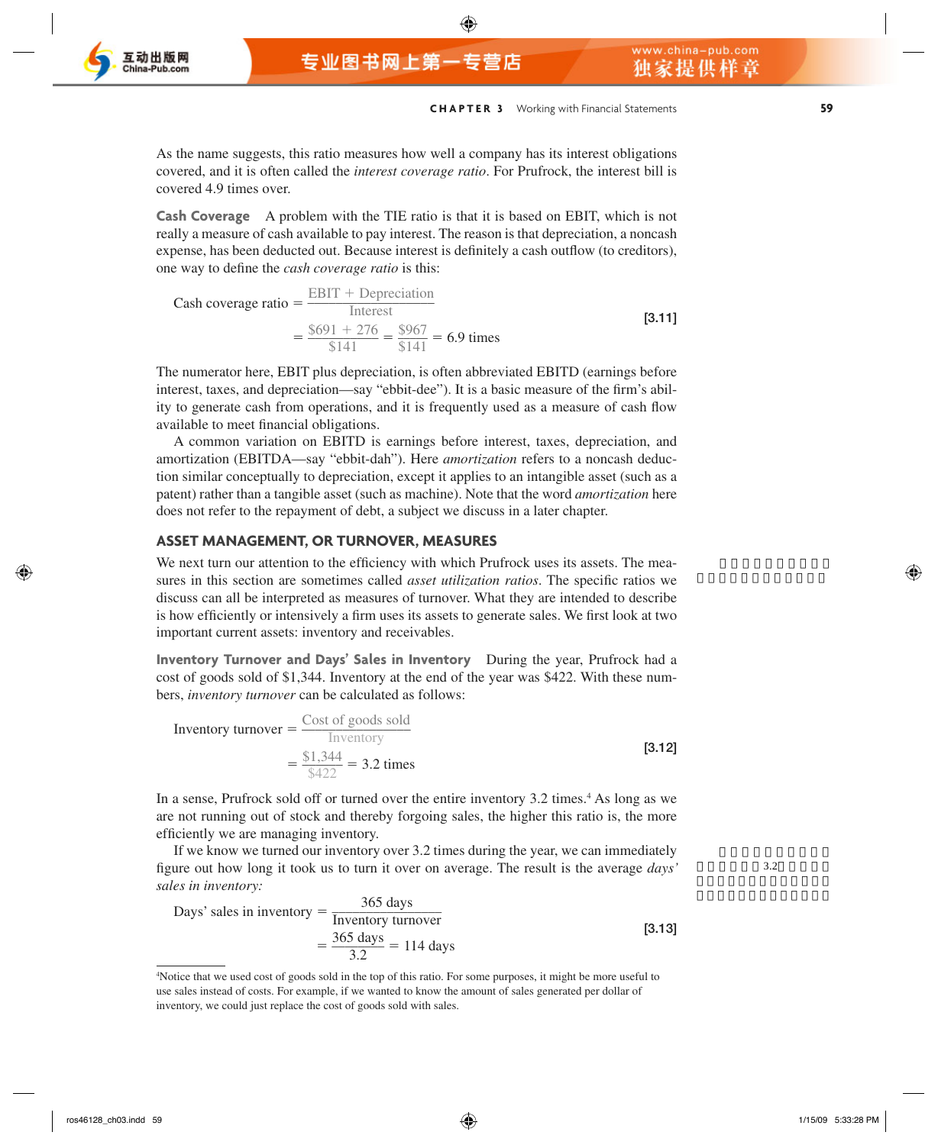3.2

As the name suggests, this ratio measures how well a company has its interest obligations covered, and it is often called the *interest coverage ratio* . For Prufrock, the interest bill is covered 4.9 times over.

 **Cash Coverage** A problem with the TIE ratio is that it is based on EBIT, which is not really a measure of cash available to pay interest. The reason is that depreciation, a noncash expense, has been deducted out. Because interest is definitely a cash outflow (to creditors), one way to define the *cash coverage ratio* is this:

Cash coverage ratio = 
$$
\frac{\text{EBIT} + \text{Depreciation}}{\text{Interest}}
$$

$$
= \frac{\$691 + 276}{\$141} = \frac{\$967}{\$141} = 6.9 \text{ times}
$$
 [3.11]

The numerator here, EBIT plus depreciation, is often abbreviated EBITD (earnings before interest, taxes, and depreciation—say "ebbit-dee"). It is a basic measure of the firm's ability to generate cash from operations, and it is frequently used as a measure of cash flow available to meet financial obligations.

 A common variation on EBITD is earnings before interest, taxes, depreciation, and amortization (EBITDA—say "ebbit-dah"). Here *amortization* refers to a noncash deduction similar conceptually to depreciation, except it applies to an intangible asset (such as a patent) rather than a tangible asset (such as machine). Note that the word *amortization* here does not refer to the repayment of debt, a subject we discuss in a later chapter.

#### **ASSET MANAGEMENT, OR TURNOVER, MEASURES**

We next turn our attention to the efficiency with which Prufrock uses its assets. The measures in this section are sometimes called *asset utilization ratios*. The specific ratios we discuss can all be interpreted as measures of turnover. What they are intended to describe is how efficiently or intensively a firm uses its assets to generate sales. We first look at two important current assets: inventory and receivables.

 **Inventory Turnover and Days' Sales in Inventory** During the year, Prufrock had a cost of goods sold of \$1,344. Inventory at the end of the year was \$422. With these numbers, *inventory turnover* can be calculated as follows:

$$
ext{Inventory turnover} = \frac{\text{Cost of goods sold}}{\text{Inventory}} = \frac{\$1,344}{\$422} = 3.2 \text{ times}
$$
\n[3.12]

In a sense, Prufrock sold off or turned over the entire inventory 3.2 times.<sup>4</sup> As long as we are not running out of stock and thereby forgoing sales, the higher this ratio is, the more efficiently we are managing inventory.

 If we know we turned our inventory over 3.2 times during the year, we can immediately figure out how long it took us to turn it over on average. The result is the average *days' sales in inventory:*

Days' sales in inventory = 
$$
\frac{365 \text{ days}}{\text{Inventory turnover}}
$$

\n
$$
= \frac{365 \text{ days}}{3.2} = 114 \text{ days}
$$

\n[3.13]

<sup>4</sup> Notice that we used cost of goods sold in the top of this ratio. For some purposes, it might be more useful to use sales instead of costs. For example, if we wanted to know the amount of sales generated per dollar of inventory, we could just replace the cost of goods sold with sales.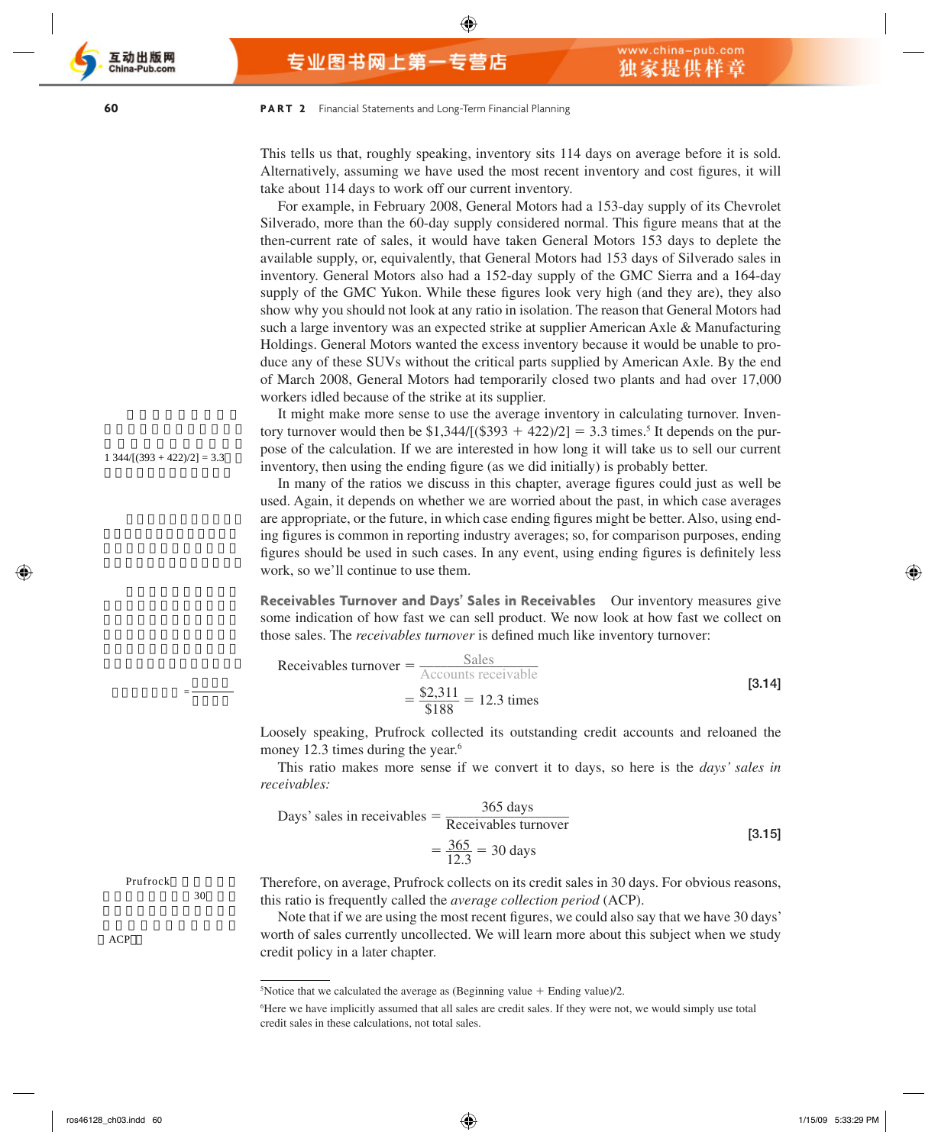This tells us that, roughly speaking, inventory sits 114 days on average before it is sold. Alternatively, assuming we have used the most recent inventory and cost figures, it will take about 114 days to work off our current inventory.

 For example, in February 2008, General Motors had a 153-day supply of its Chevrolet Silverado, more than the 60-day supply considered normal. This figure means that at the then-current rate of sales, it would have taken General Motors 153 days to deplete the available supply, or, equivalently, that General Motors had 153 days of Silverado sales in inventory. General Motors also had a 152-day supply of the GMC Sierra and a 164-day supply of the GMC Yukon. While these figures look very high (and they are), they also show why you should not look at any ratio in isolation. The reason that General Motors had such a large inventory was an expected strike at supplier American Axle & Manufacturing Holdings. General Motors wanted the excess inventory because it would be unable to produce any of these SUVs without the critical parts supplied by American Axle. By the end of March 2008, General Motors had temporarily closed two plants and had over 17,000 workers idled because of the strike at its supplier.

 It might make more sense to use the average inventory in calculating turnover. Inventory turnover would then be  $$1,344/[(\$393 + 422)/2] = 3.3$  times.<sup>5</sup> It depends on the purpose of the calculation. If we are interested in how long it will take us to sell our current inventory, then using the ending figure (as we did initially) is probably better.

In many of the ratios we discuss in this chapter, average figures could just as well be used. Again, it depends on whether we are worried about the past, in which case averages are appropriate, or the future, in which case ending figures might be better. Also, using ending figures is common in reporting industry averages; so, for comparison purposes, ending figures should be used in such cases. In any event, using ending figures is definitely less work, so we'll continue to use them.

 **Receivables Turnover and Days' Sales in Receivables** Our inventory measures give some indication of how fast we can sell product. We now look at how fast we collect on those sales. The *receivables turnover* is defined much like inventory turnover:

Receivables turnover = 
$$
\frac{\text{Sales}}{\text{Accounds receivedble}}
$$

\n
$$
= \frac{\$2,311}{\$188} = 12.3 \text{ times}
$$
\n[3.14]

Loosely speaking, Prufrock collected its outstanding credit accounts and reloaned the money 12.3 times during the year.<sup>6</sup>

 This ratio makes more sense if we convert it to days, so here is the *days' sales in receivables:* 

Days' sales in receivables = 
$$
\frac{365 \text{ days}}{\text{Receivables turnover}} = \frac{365}{12.3} = 30 \text{ days}
$$

\n[3.15]

Prufrock

销售收入的时间为30天。由

应收账款周转率 =

Therefore, on average, Prufrock collects on its credit sales in 30 days. For obvious reasons, this ratio is frequently called the *average collection period* (ACP).

Note that if we are using the most recent figures, we could also say that we have 30 days' worth of sales currently uncollected. We will learn more about this subject when we study credit policy in a later chapter.

 $1\,344/[(393 + 422)/2] = 3.3$ 

**ACP** 

<sup>&</sup>lt;sup>5</sup>Notice that we calculated the average as (Beginning value  $+$  Ending value)/2.

<sup>6</sup> Here we have implicitly assumed that all sales are credit sales. If they were not, we would simply use total credit sales in these calculations, not total sales.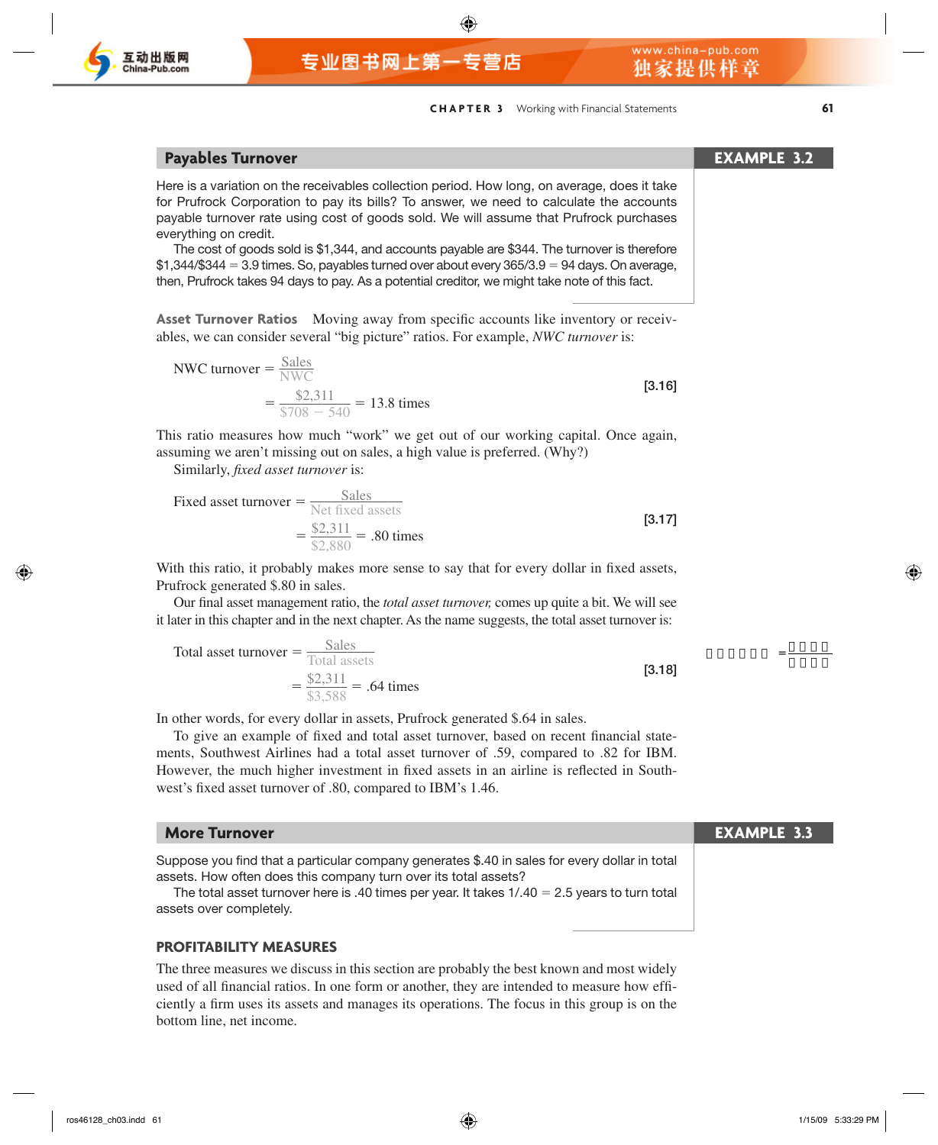专业图书网上第一专营店

www.china-pub.com

### **Payables Turnover EXAMPLE 3.2**

Here is a variation on the receivables collection period. How long, on average, does it take for Prufrock Corporation to pay its bills? To answer, we need to calculate the accounts payable turnover rate using cost of goods sold. We will assume that Prufrock purchases everything on credit.

 The cost of goods sold is \$1,344, and accounts payable are \$344. The turnover is therefore  $$1,344/\$344 = 3.9$  times. So, payables turned over about every  $365/3.9 = 94$  days. On average, then, Prufrock takes 94 days to pay. As a potential creditor, we might take note of this fact.

**Asset Turnover Ratios** Moving away from specific accounts like inventory or receivables, we can consider several "big picture" ratios. For example, *NWC turnover* is:

NWC turnover = 
$$
\frac{\text{Sales}}{\text{NWC}}
$$
  
=  $\frac{$2,311}{\$708 - 540}$  = 13.8 times [3.16]

This ratio measures how much "work" we get out of our working capital. Once again, assuming we aren't missing out on sales, a high value is preferred. (Why?)

Similarly, *fixed asset turnover* is:

Fixed asset turnover = 
$$
\frac{\text{Sales}}{\text{Net fixed assets}}
$$
  
=  $\frac{\$2,311}{\$2,880}$  = .80 times [3.17]

With this ratio, it probably makes more sense to say that for every dollar in fixed assets, Prufrock generated \$.80 in sales.

Our final asset management ratio, the *total asset turnover*, comes up quite a bit. We will see it later in this chapter and in the next chapter. As the name suggests, the total asset turnover is:

Total asset turnover = 
$$
\frac{\text{Sales}}{\text{Total assets}}
$$
  
=  $\frac{\$2,311}{\$3,588}$  = .64 times [3.18]

In other words, for every dollar in assets, Prufrock generated \$.64 in sales.

To give an example of fixed and total asset turnover, based on recent financial statements, Southwest Airlines had a total asset turnover of .59, compared to .82 for IBM. However, the much higher investment in fixed assets in an airline is reflected in Southwest's fixed asset turnover of .80, compared to IBM's 1.46.

# **More Turnover Example 2.3 More Turnover EXAMPLE 3.3**

Suppose you find that a particular company generates \$.40 in sales for every dollar in total assets. How often does this company turn over its total assets?

The total asset turnover here is .40 times per year. It takes  $1/140 = 2.5$  years to turn total assets over completely.

#### **PROFITABILITY MEASURES**

 The three measures we discuss in this section are probably the best known and most widely used of all financial ratios. In one form or another, they are intended to measure how efficiently a firm uses its assets and manages its operations. The focus in this group is on the bottom line, net income.

 $\sim$ 

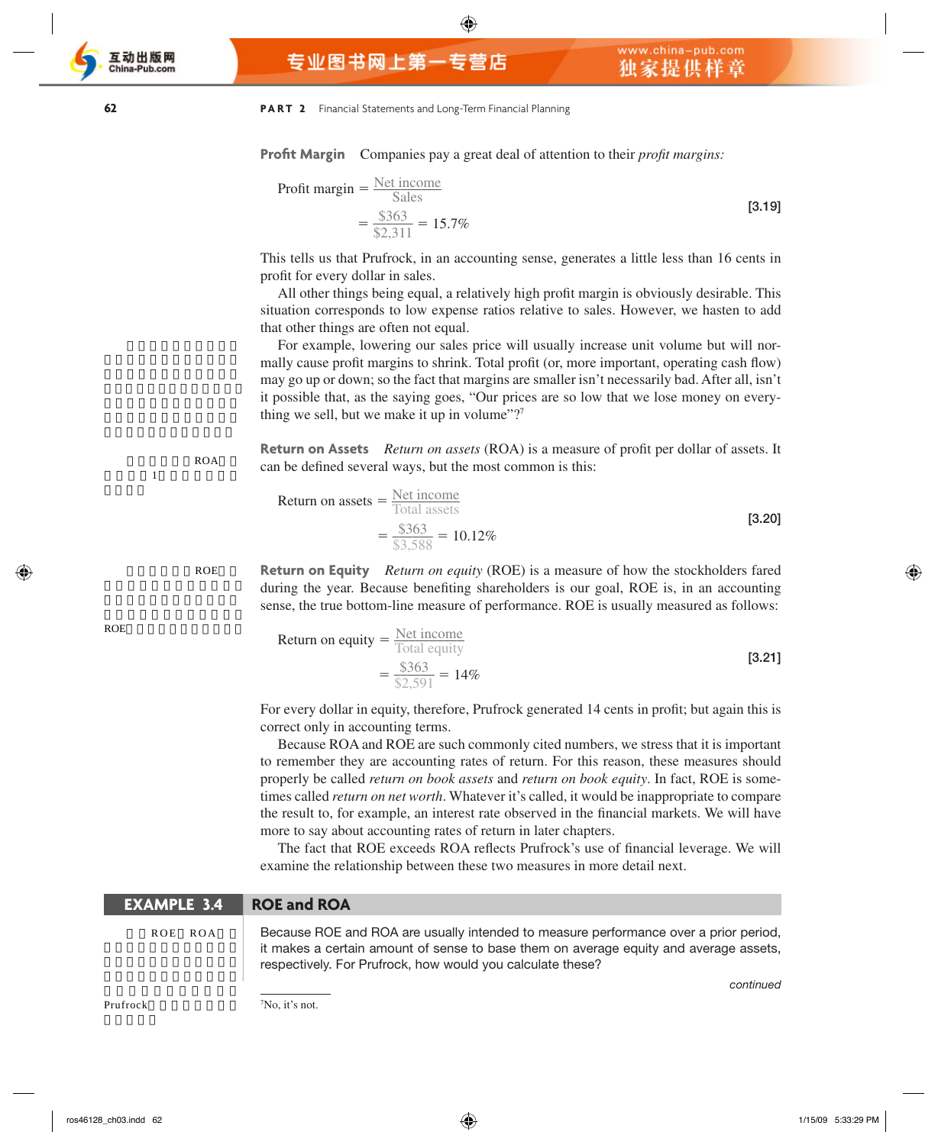**Profit Margin** Companies pay a great deal of attention to their *profit margins:* 

Profit margin = 
$$
\frac{\text{Net income}}{\text{Sales}}
$$
  
=  $\frac{$363}{\$2,311}$  = 15.7% [3.19]

This tells us that Prufrock, in an accounting sense, generates a little less than 16 cents in profit for every dollar in sales.

All other things being equal, a relatively high profit margin is obviously desirable. This situation corresponds to low expense ratios relative to sales. However, we hasten to add that other things are often not equal.

 For example, lowering our sales price will usually increase unit volume but will normally cause profit margins to shrink. Total profit (or, more important, operating cash flow) may go up or down; so the fact that margins are smaller isn't necessarily bad. After all, isn't it possible that, as the saying goes, "Our prices are so low that we lose money on everything we sell, but we make it up in volume"?<sup>7</sup>

**Return on Assets** *Return on assets* (ROA) is a measure of profit per dollar of assets. It can be defined several ways, but the most common is this:

Return on assets = 
$$
\frac{\text{Net income}}{\text{Total assets}}
$$

$$
= \frac{\$363}{\$3,588} = 10.12\%
$$
 [3.20]

 **Return on Equity** *Return on equity* (ROE) is a measure of how the stockholders fared during the year. Because benefiting shareholders is our goal, ROE is, in an accounting sense, the true bottom-line measure of performance. ROE is usually measured as follows:  $ROE$ 

Return on equity = 
$$
\frac{\text{Net income}}{\text{Total equity}}
$$
  
=  $\frac{$363}{$2,591} = 14\%$  [3.21]

For every dollar in equity, therefore, Prufrock generated 14 cents in profit; but again this is correct only in accounting terms.

 Because ROA and ROE are such commonly cited numbers, we stress that it is important to remember they are accounting rates of return. For this reason, these measures should properly be called *return on book assets* and *return on book equity* . In fact, ROE is sometimes called *return on net worth* . Whatever it's called, it would be inappropriate to compare the result to, for example, an interest rate observed in the financial markets. We will have more to say about accounting rates of return in later chapters.

The fact that ROE exceeds ROA reflects Prufrock's use of financial leverage. We will examine the relationship between these two measures in more detail next.

### **EXAMPLE 3.4 ROE and ROA**

ROE ROA

Because ROE and ROA are usually intended to measure performance over a prior period, it makes a certain amount of sense to base them on average equity and average assets, respectively. For Prufrock, how would you calculate these?

*continued*

Prufrock

7 No, it's not.

 $1$ 

ROA

ROE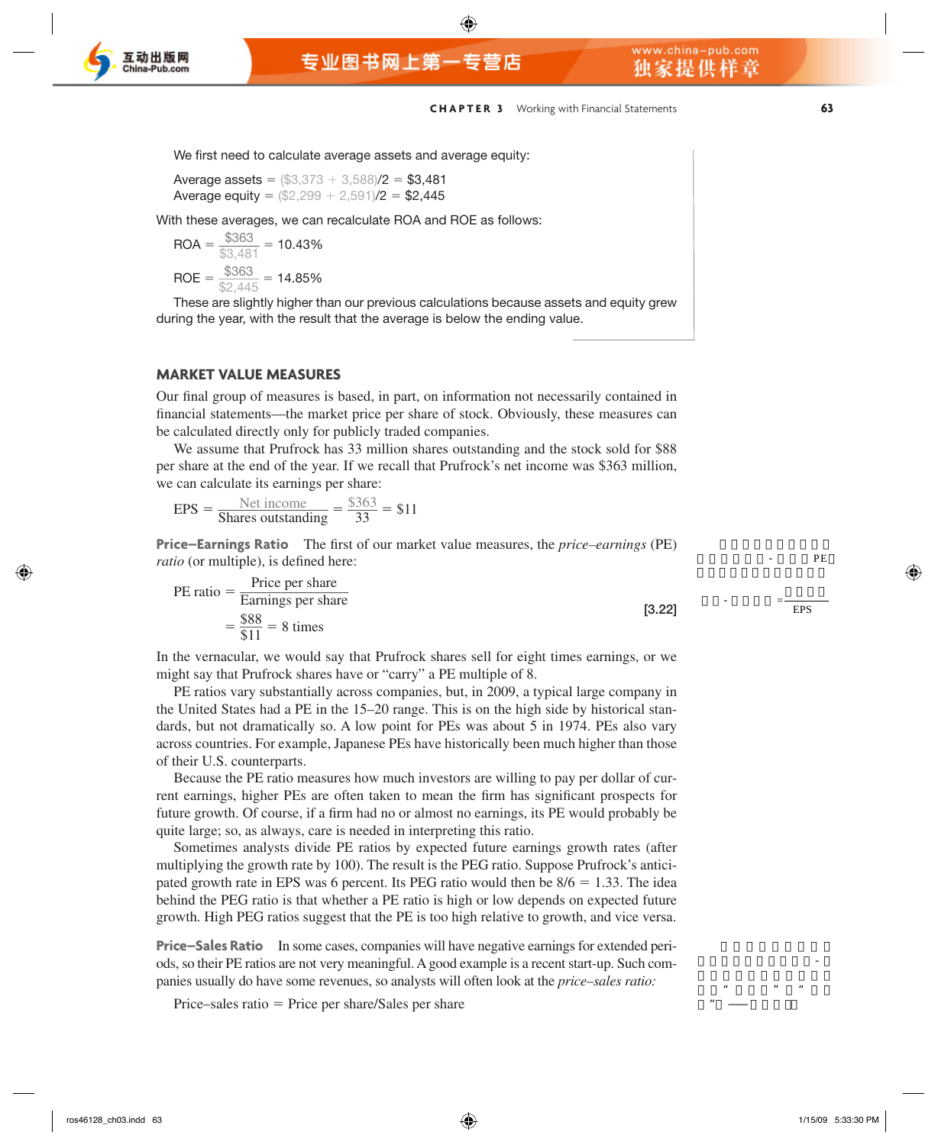We first need to calculate average assets and average equity:

Average assets =  $(\$3,373 + 3,588)/2 = $3,481$ Average equity =  $(\$2,299 + 2,591)/2 = \$2,445$ 

With these averages, we can recalculate ROA and ROE as follows:

$$
ROA = \frac{$363}{93,481} = 10.43\%
$$

$$
ROE = \frac{$363}{92,445} = 14.85\%
$$

 These are slightly higher than our previous calculations because assets and equity grew during the year, with the result that the average is below the ending value.

### **MARKET VALUE MEASURES**

Our final group of measures is based, in part, on information not necessarily contained in financial statements—the market price per share of stock. Obviously, these measures can be calculated directly only for publicly traded companies.

 We assume that Prufrock has 33 million shares outstanding and the stock sold for \$88 per share at the end of the year. If we recall that Prufrock's net income was \$363 million, we can calculate its earnings per share:

$$
EPS = \frac{\text{Net income}}{\text{Shares outstanding}} = \frac{\$363}{33} = \$11
$$

 **Price–Earnings Ratio** The first of our market value measures, the *price–earnings* (PE) *ratio* (or multiple), is defined here:

PE ratio = 
$$
\frac{\text{Price per share}}{\text{Earnings per share}}
$$
  
=  $\frac{$88}{$11}$  = 8 times [3.22]

In the vernacular, we would say that Prufrock shares sell for eight times earnings, or we might say that Prufrock shares have or "carry" a PE multiple of 8.

 PE ratios vary substantially across companies, but, in 2009, a typical large company in the United States had a PE in the 15–20 range. This is on the high side by historical standards, but not dramatically so. A low point for PEs was about 5 in 1974. PEs also vary across countries. For example, Japanese PEs have historically been much higher than those of their U.S. counterparts.

 Because the PE ratio measures how much investors are willing to pay per dollar of current earnings, higher PEs are often taken to mean the firm has significant prospects for future growth. Of course, if a firm had no or almost no earnings, its PE would probably be quite large; so, as always, care is needed in interpreting this ratio.

 Sometimes analysts divide PE ratios by expected future earnings growth rates (after multiplying the growth rate by 100). The result is the PEG ratio. Suppose Prufrock's anticipated growth rate in EPS was 6 percent. Its PEG ratio would then be  $8/6 = 1.33$ . The idea behind the PEG ratio is that whether a PE ratio is high or low depends on expected future growth. High PEG ratios suggest that the PE is too high relative to growth, and vice versa.

 **Price–Sales Ratio** In some cases, companies will have negative earnings for extended periods, so their PE ratios are not very meaningful. A good example is a recent start-up. Such companies usually do have some revenues, so analysts will often look at the *price–sales ratio:*

 $Price–sales ratio = Price per share/Sales per share$ 

 $-$  PE

市价-盈余比率=

场价值计量指标是市价-账 称为"市账率"或"市净  $"\qquad \qquad$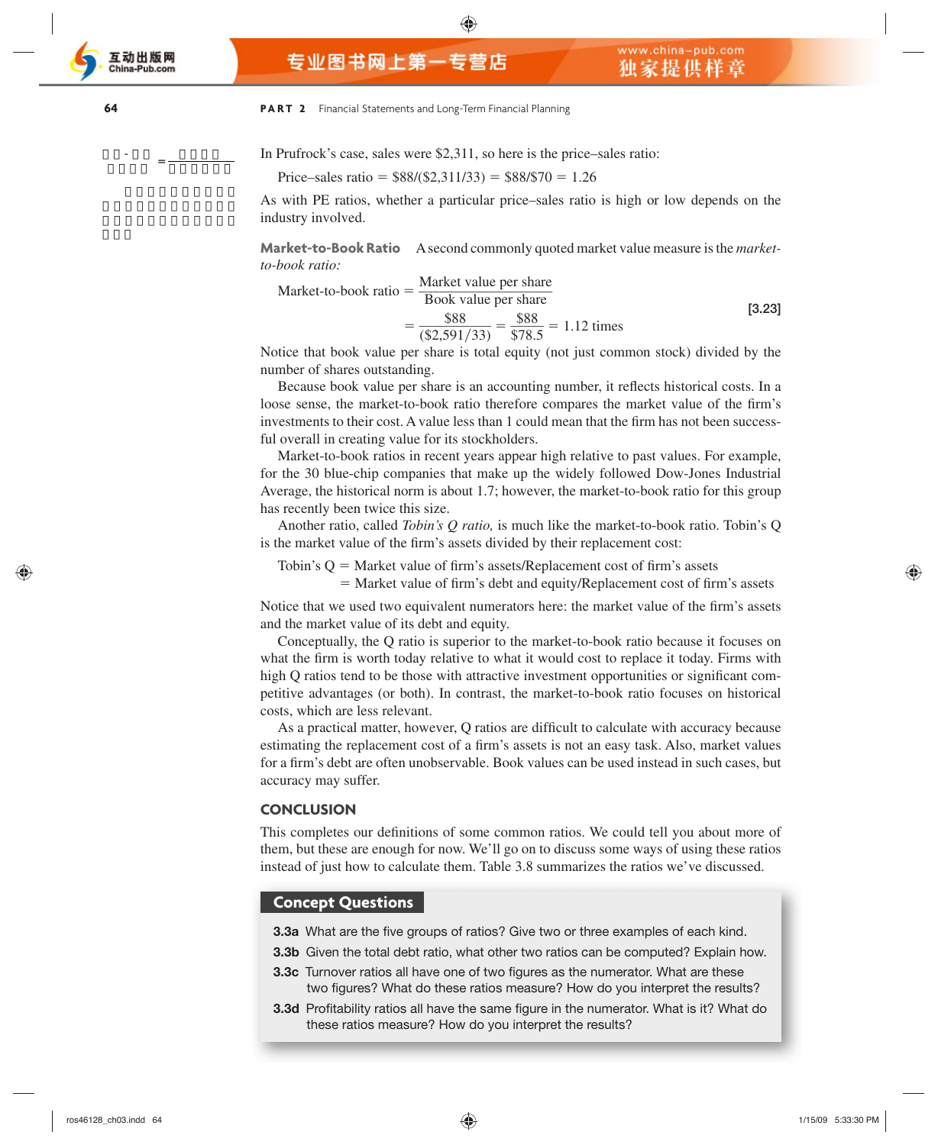

市价-账面 <sup>=</sup>每股市价

**64 PART 2** Financial Statements and Long-Term Financial Planning

In Prufrock's case, sales were \$2,311, so here is the price–sales ratio:

$$
Price-sales ratio = $88/($2,311/33) = $88/$70 = 1.26
$$

As with PE ratios, whether a particular price–sales ratio is high or low depends on the industry involved.

 **Market-to-Book Ratio** A second commonly quoted market value measure is the *marketto-book ratio:*

Market-to-book ratio = 
$$
\frac{\text{Market value per share}}{\text{Book value per share}} = \frac{$88}{$78.5} = 1.12 \text{ times}
$$
 [3.23]

Notice that book value per share is total equity (not just common stock) divided by the number of shares outstanding.

Because book value per share is an accounting number, it reflects historical costs. In a loose sense, the market-to-book ratio therefore compares the market value of the firm's investments to their cost. A value less than 1 could mean that the firm has not been successful overall in creating value for its stockholders.

 Market-to-book ratios in recent years appear high relative to past values. For example, for the 30 blue-chip companies that make up the widely followed Dow-Jones Industrial Average, the historical norm is about 1.7; however, the market-to-book ratio for this group has recently been twice this size.

 Another ratio, called *Tobin's Q ratio,* is much like the market-to-book ratio. Tobin's Q is the market value of the firm's assets divided by their replacement cost:

Tobin's  $Q =$  Market value of firm's assets/Replacement cost of firm's assets

= Market value of firm's debt and equity/Replacement cost of firm's assets

Notice that we used two equivalent numerators here: the market value of the firm's assets and the market value of its debt and equity.

 Conceptually, the Q ratio is superior to the market-to-book ratio because it focuses on what the firm is worth today relative to what it would cost to replace it today. Firms with high Q ratios tend to be those with attractive investment opportunities or significant competitive advantages (or both). In contrast, the market-to-book ratio focuses on historical costs, which are less relevant.

As a practical matter, however, Q ratios are difficult to calculate with accuracy because estimating the replacement cost of a firm's assets is not an easy task. Also, market values for a firm's debt are often unobservable. Book values can be used instead in such cases, but accuracy may suffer.

### **CONCLUSION**

This completes our definitions of some common ratios. We could tell you about more of them, but these are enough for now. We'll go on to discuss some ways of using these ratios instead of just how to calculate them. Table 3.8 summarizes the ratios we've discussed.

### **Concept Questions**

**3.3a** What are the five groups of ratios? Give two or three examples of each kind.

- **3.3b** Given the total debt ratio, what other two ratios can be computed? Explain how.
- **3.3c** Turnover ratios all have one of two figures as the numerator. What are these two figures? What do these ratios measure? How do you interpret the results?
- **3.3d** Profitability ratios all have the same figure in the numerator. What is it? What do these ratios measure? How do you interpret the results?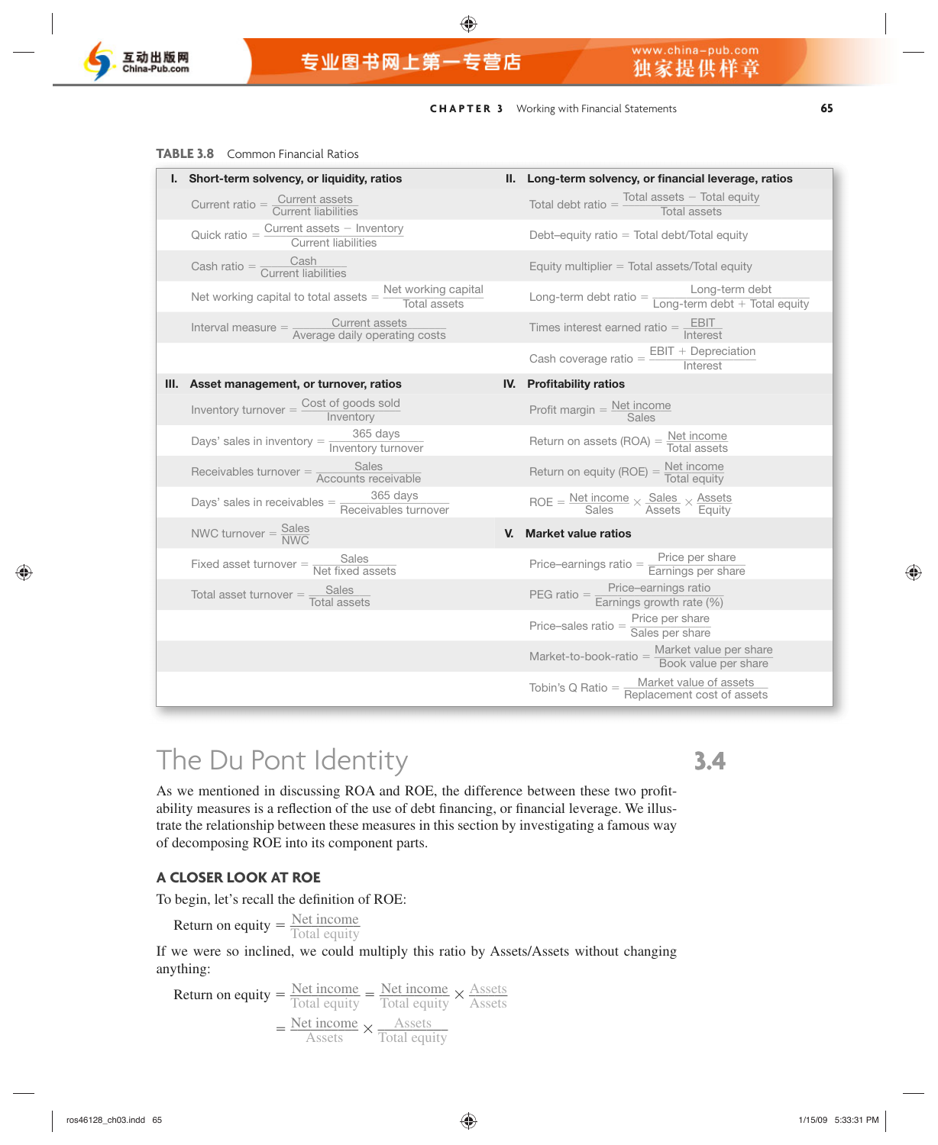

### **I.** Short-term solvency, or liquidity, ratios **II.** Long-term solvency, or financial leverage, ratios Current ratio =  $\frac{\text{Current assets}}{\text{Current liabilities}}$  Total debt ratio = Total assets - Total equity<br>Total assets Quick ratio =  $\frac{\text{Current assets} - \text{Inventory}}{\text{Current liabilities}}$  Debt–equity ratio = Debt-equity ratio  $=$  Total debt/Total equity Cash ratio  $=\frac{\text{Cash}}{\text{Current liabilities}}$  Equity multiplier  $=$ Equity multiplier  $=$  Total assets/Total equity Net working capital to total assets  $=$   $\frac{\text{Net working capital}}{\text{Total seeds}}$ working capital  $Long-term \text{ debt ratio} = \frac{Long-term \text{ debt}}{Long-term \text{ debt} + \text{Total equity}}$ Interval measure  $=$ Average daily operating costs \_\_\_\_\_\_\_\_\_\_\_\_\_\_\_\_\_\_\_\_\_\_\_\_\_\_\_ Current assets <u>Current assets</u><br>Average daily operating costs Times interest earned ratio =  $\frac{\text{EBIT}}{\text{Interest}}$ Cash coverage ratio  $=$   $\frac{\text{EBIT} + \text{Depreciation}}{\text{Interest}}$ **III.** Asset management, or turnover, ratios **IV.** Profitability ratios Inventory turnover  $=$   $\frac{\text{Cost of goods sold}}{\text{Inventory}}$  Profit margin  $=$ Net income<br>Sales Days' sales in inventory - 365 days \_\_\_\_\_\_\_\_\_\_\_\_\_\_\_\_\_  $\frac{365 \text{ days}}{\text{Inventory turnover}}$  Return on assets (ROA) =  $\frac{\text{Net income}}{\text{Total assets}}$ Receivables turnover  $=\frac{\text{Sales}}{\text{Accessing possible}}$ Accounts receivable Return on equity (ROE) - \_\_\_\_\_\_\_\_\_\_\_ Net income Total equity Days' sales in receivables  $=$   $\frac{365 \text{ days}}{\text{Receivables turnover}}$  ROE  $=$  $\frac{\text{Net income}}{\text{Sales}} \times \frac{\text{Sales}}{\text{Assets}} \times \frac{\text{Assets}}{\text{Equity}}$ NWC turnover  $=$   $\frac{\text{Sales}}{\text{NNAC}}$ **V.** Market value ratios Fixed asset turnover  $=\frac{\text{Sales}}{\text{Not fixed speed}}$ Sales Sales Price–earnings ratio = Price per share<br>Net fixed assets **Price–earnings** ratio =  $\frac{\text{Price}}{\text{Earning}}$  bershare Total asset turnover  $=$   $\frac{\text{Sales}}{\text{Total assets}}$  PEG ratio  $=$ PEG ratio  $=\frac{\text{Price-earnings ratio}}{\sqrt{\frac{P}{P}}}\$ Earnings growth rate (%) Price–sales ratio  $=$   $\frac{\text{Price per share}}{\text{Sales per share}}$ Market-to-book-ratio  $=$  Market value per share Book value per share

**TABLE 3.8** Common Financial Ratios

## The Du Pont Identity

As we mentioned in discussing ROA and ROE, the difference between these two profitability measures is a reflection of the use of debt financing, or financial leverage. We illustrate the relationship between these measures in this section by investigating a famous way of decomposing ROE into its component parts.

### **A CLOSER LOOK AT ROE**

To begin, let's recall the definition of ROE:

**Return on equity**  $=$   $\frac{\text{Net income}}{\text{Total equity}}$ 

If we were so inclined, we could multiply this ratio by Assets/Assets without changing anything:

**Return on equity** = 
$$
\frac{\text{Net income}}{\text{Total equity}}
$$
 =  $\frac{\text{Net income}}{\text{Total equity}}$  ×  $\frac{\text{Assets}}{\text{Assets}}$   
=  $\frac{\text{Net income}}{\text{Assets}} \times \frac{\text{Assets}}{\text{Total equity}}$ 

**3.4**

 $\text{Tobin's Q Ratio} = \frac{\text{Market value of assets}}{\text{Replacement cost of assets}}$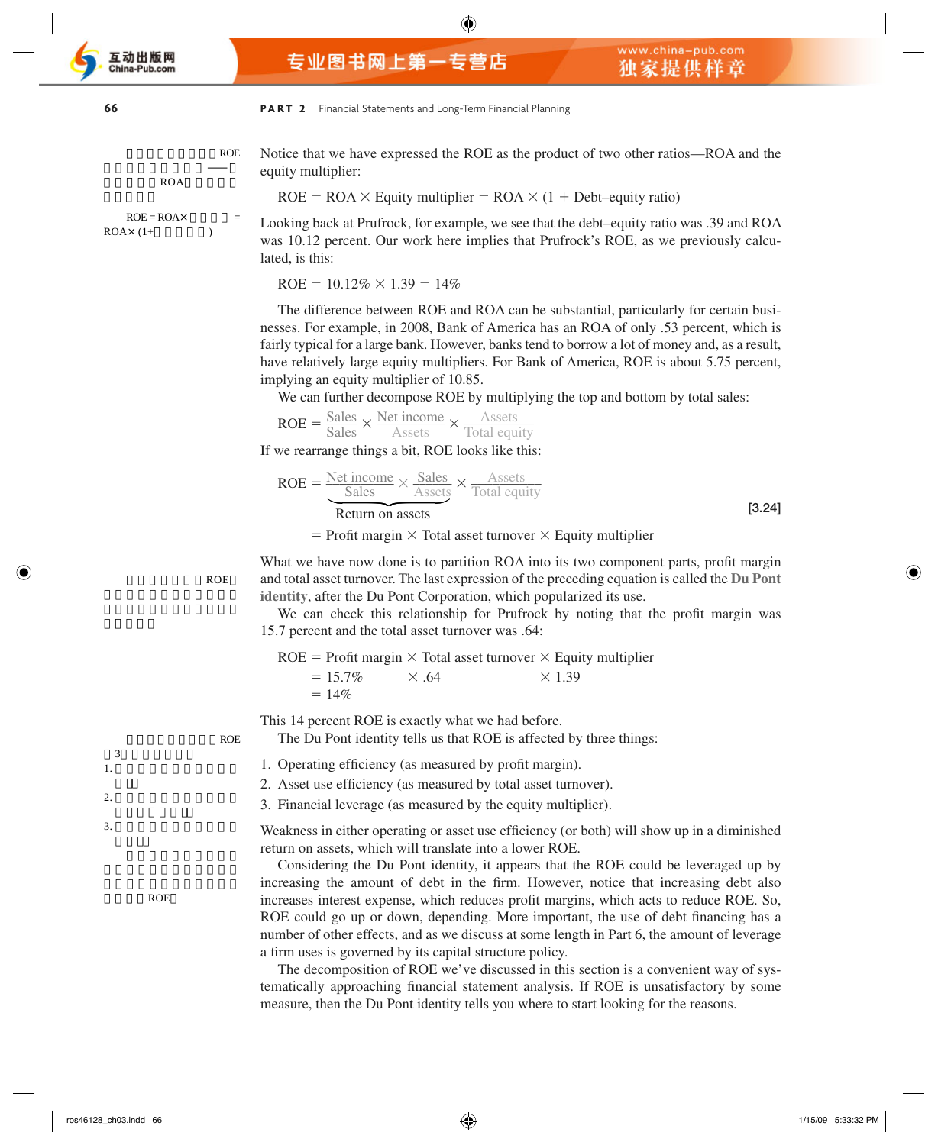

 $\overline{\phantom{a}}$ ROA

 $ROE = ROA \times$  $ROA \times (1+)$  ROE.

Notice that we have expressed the ROE as the product of two other ratios—ROA and the equity multiplier:

$$
ROE = ROA \times Equity\ multiplier = ROA \times (1 + Debt-equity\ ratio)
$$

Looking back at Prufrock, for example, we see that the debt–equity ratio was .39 and ROA was 10.12 percent. Our work here implies that Prufrock's ROE, as we previously calculated, is this:

 $ROE = 10.12\% \times 1.39 = 14\%$ 

 The difference between ROE and ROA can be substantial, particularly for certain businesses. For example, in 2008, Bank of America has an ROA of only .53 percent, which is fairly typical for a large bank. However, banks tend to borrow a lot of money and, as a result, have relatively large equity multipliers. For Bank of America, ROE is about 5.75 percent, implying an equity multiplier of 10.85.

We can further decompose ROE by multiplying the top and bottom by total sales:

 $ROE = \frac{Sales}{Sales} \times \frac{Net income}{Assets} \times \frac{Assets}{Total equity}$ 

If we rearrange things a bit, ROE looks like this:

$$
ROE = \frac{\text{Net income}}{\text{Sales}} \times \frac{\text{Sales}}{\text{Assets}} \times \frac{\text{Assets}}{\text{Total equity}}
$$
\n[3.24]

 $=$  Profit margin  $\times$  Total asset turnover  $\times$  Equity multiplier

ROE

ROE

What we have now done is to partition ROA into its two component parts, profit margin and total asset turnover. The last expression of the preceding equation is called the **Du Pont identity**, after the Du Pont Corporation, which popularized its use.

We can check this relationship for Prufrock by noting that the profit margin was 15.7 percent and the total asset turnover was .64:

ROE = Profit margin × Total asset turnover × Equity multiplier  
= 
$$
15.7\%
$$
 × .64 × 1.39  
=  $14\%$ 

This 14 percent ROE is exactly what we had before.

The Du Pont identity tells us that ROE is affected by three things:

1. Operating efficiency (as measured by profit margin).

2. Asset use efficiency (as measured by total asset turnover).

3. Financial leverage (as measured by the equity multiplier).

Weakness in either operating or asset use efficiency (or both) will show up in a diminished return on assets, which will translate into a lower ROE.

 Considering the Du Pont identity, it appears that the ROE could be leveraged up by increasing the amount of debt in the firm. However, notice that increasing debt also increases interest expense, which reduces profi t margins, which acts to reduce ROE. So, ROE could go up or down, depending. More important, the use of debt financing has a number of other effects, and as we discuss at some length in Part 6, the amount of leverage a firm uses is governed by its capital structure policy.

 The decomposition of ROE we've discussed in this section is a convenient way of systematically approaching financial statement analysis. If ROE is unsatisfactory by some measure, then the Du Pont identity tells you where to start looking for the reasons.

 $3^{\circ}$ 1.  $\blacksquare$  $2.$ 

 $3.$ 

**ROE**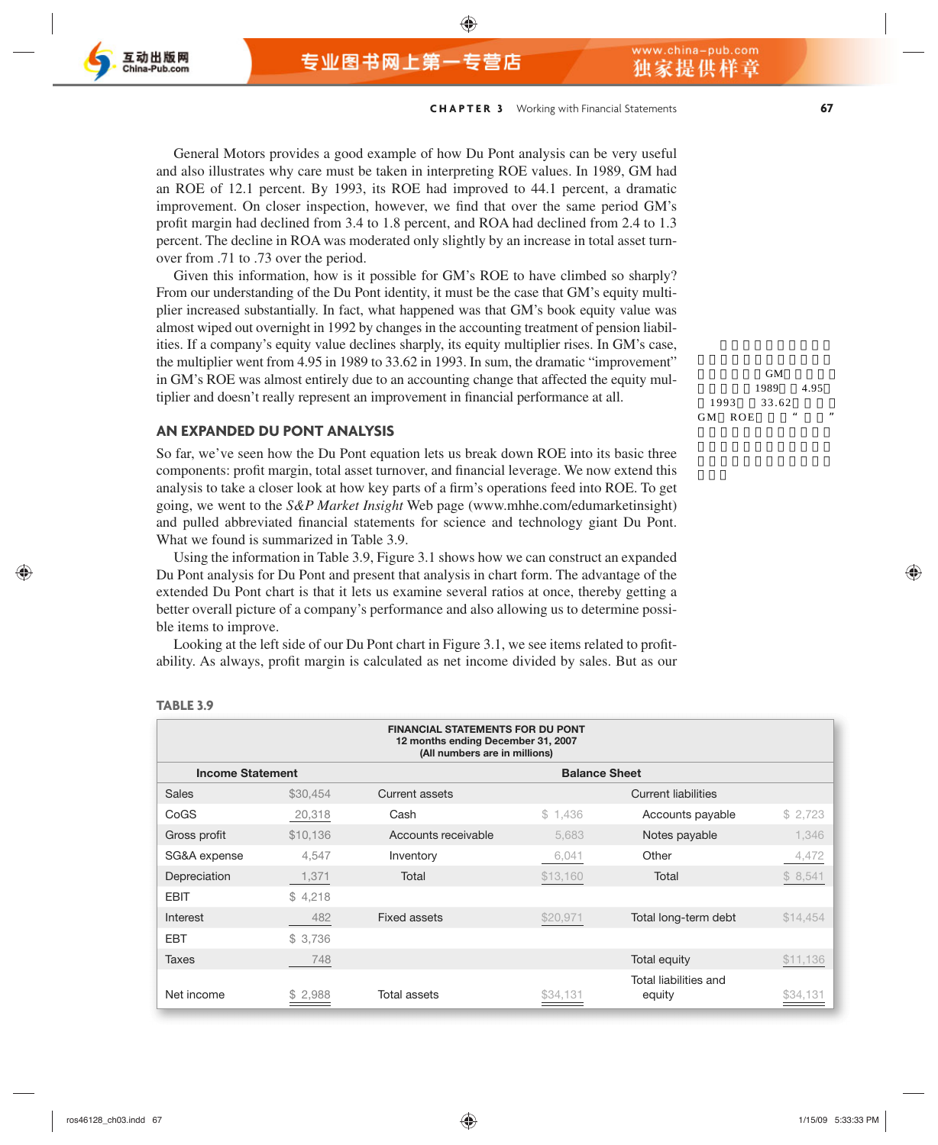General Motors provides a good example of how Du Pont analysis can be very useful and also illustrates why care must be taken in interpreting ROE values. In 1989, GM had an ROE of 12.1 percent. By 1993, its ROE had improved to 44.1 percent, a dramatic improvement. On closer inspection, however, we find that over the same period GM's profit margin had declined from 3.4 to 1.8 percent, and ROA had declined from 2.4 to 1.3 percent. The decline in ROA was moderated only slightly by an increase in total asset turnover from .71 to .73 over the period.

Given this information, how is it possible for GM's ROE to have climbed so sharply? From our understanding of the Du Pont identity, it must be the case that GM's equity multiplier increased substantially. In fact, what happened was that GM's book equity value was almost wiped out overnight in 1992 by changes in the accounting treatment of pension liabilities. If a company's equity value declines sharply, its equity multiplier rises. In GM's case, the multiplier went from 4.95 in 1989 to 33.62 in 1993. In sum, the dramatic "improvement" in GM's ROE was almost entirely due to an accounting change that affected the equity multiplier and doesn't really represent an improvement in financial performance at all.

#### **AN EXPANDED DU PONT ANALYSIS**

 So far, we've seen how the Du Pont equation lets us break down ROE into its basic three components: profit margin, total asset turnover, and financial leverage. We now extend this analysis to take a closer look at how key parts of a firm's operations feed into ROE. To get going, we went to the *S&P Market Insight* Web page (www.mhhe.com/edumarketinsight) and pulled abbreviated financial statements for science and technology giant Du Pont. What we found is summarized in Table 3.9.

 Using the information in Table 3.9 , Figure 3.1 shows how we can construct an expanded Du Pont analysis for Du Pont and present that analysis in chart form. The advantage of the extended Du Pont chart is that it lets us examine several ratios at once, thereby getting a better overall picture of a company's performance and also allowing us to determine possible items to improve.

Looking at the left side of our Du Pont chart in Figure 3.1, we see items related to profitability. As always, profit margin is calculated as net income divided by sales. But as our

|        | GM    |                         |           |
|--------|-------|-------------------------|-----------|
|        | 1989  | 4.95                    |           |
| 1993   | 33.62 |                         |           |
| GM ROE |       | $\overline{\mathbf{a}}$ | $^{\ast}$ |

| ٠<br>٧ |  |
|--------|--|
|--------|--|

互动出版网

China-Pub.com

| <b>FINANCIAL STATEMENTS FOR DU PONT</b><br>12 months ending December 31, 2007<br>(All numbers are in millions) |          |                      |          |                                 |          |
|----------------------------------------------------------------------------------------------------------------|----------|----------------------|----------|---------------------------------|----------|
| <b>Income Statement</b>                                                                                        |          | <b>Balance Sheet</b> |          |                                 |          |
| Sales                                                                                                          | \$30,454 | Current assets       |          | <b>Current liabilities</b>      |          |
| CoGS                                                                                                           | 20,318   | Cash                 | \$1,436  | Accounts payable                | \$2,723  |
| Gross profit                                                                                                   | \$10,136 | Accounts receivable  | 5,683    | Notes payable                   | 1,346    |
| SG&A expense                                                                                                   | 4,547    | Inventory            | 6,041    | Other                           | 4,472    |
| Depreciation                                                                                                   | 1,371    | Total                | \$13,160 | Total                           | \$8,541  |
| <b>EBIT</b>                                                                                                    | \$4,218  |                      |          |                                 |          |
| Interest                                                                                                       | 482      | Fixed assets         | \$20,971 | Total long-term debt            | \$14,454 |
| <b>EBT</b>                                                                                                     | \$3,736  |                      |          |                                 |          |
| <b>Taxes</b>                                                                                                   | 748      |                      |          | <b>Total equity</b>             | \$11,136 |
| Net income                                                                                                     | \$2,988  | Total assets         | \$34,131 | Total liabilities and<br>equity | \$34,131 |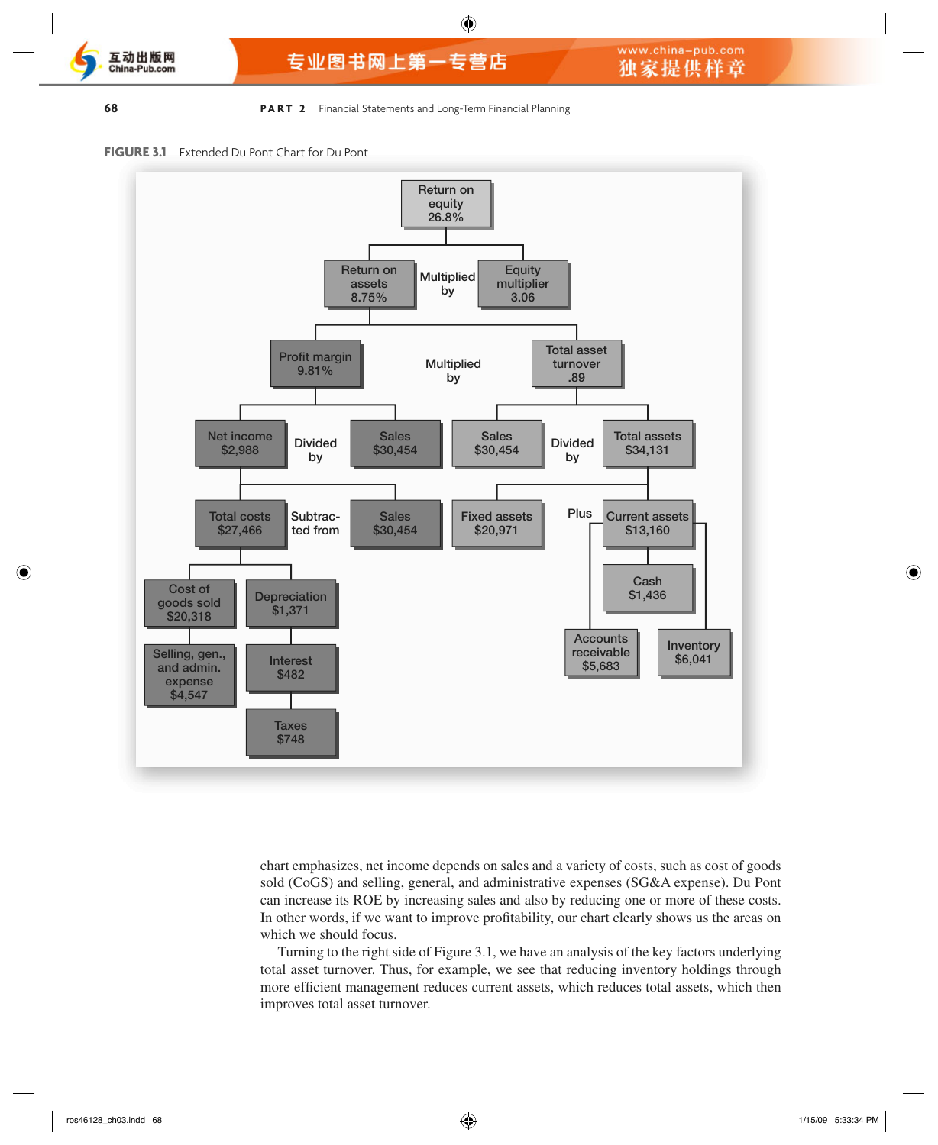





chart emphasizes, net income depends on sales and a variety of costs, such as cost of goods sold (CoGS) and selling, general, and administrative expenses (SG&A expense). Du Pont can increase its ROE by increasing sales and also by reducing one or more of these costs. In other words, if we want to improve profitability, our chart clearly shows us the areas on which we should focus.

 Turning to the right side of Figure 3.1 , we have an analysis of the key factors underlying total asset turnover. Thus, for example, we see that reducing inventory holdings through more efficient management reduces current assets, which reduces total assets, which then improves total asset turnover.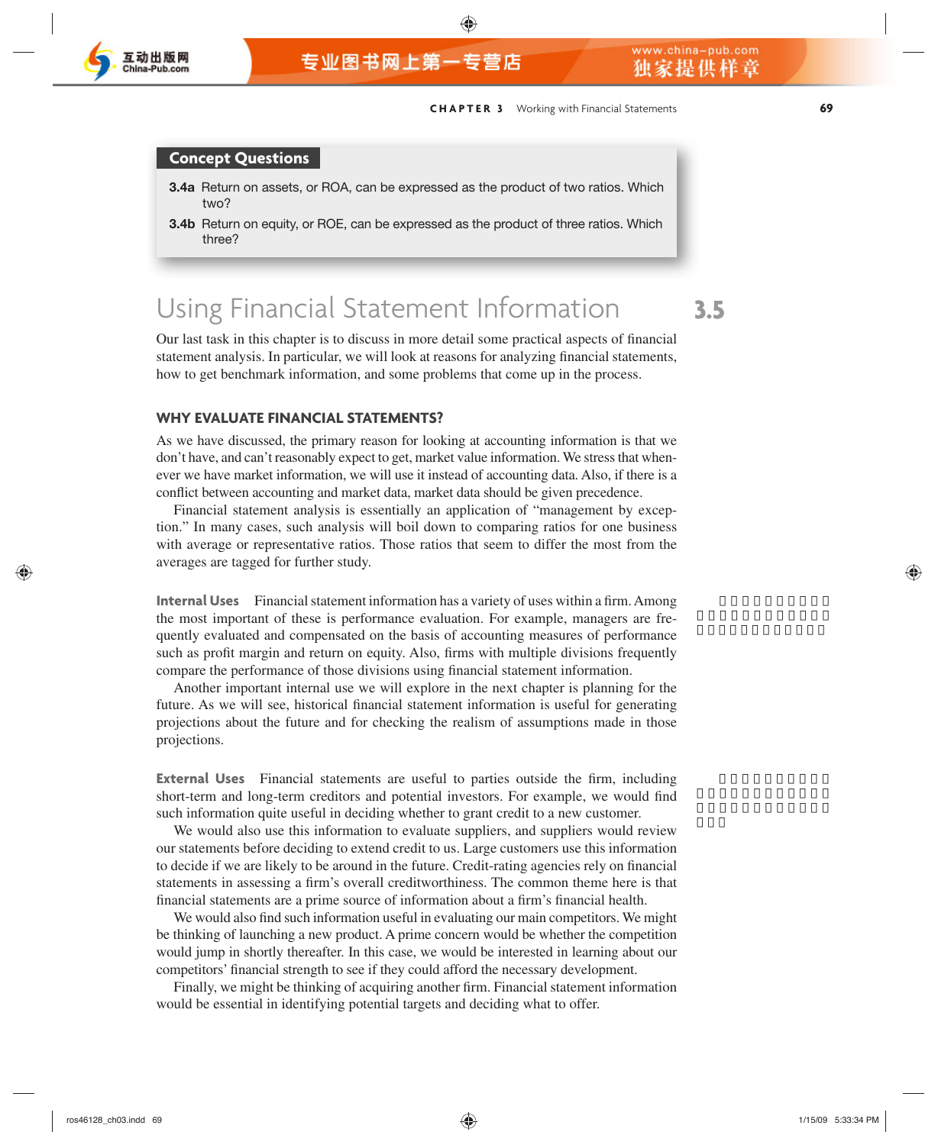

**3.5**

### **Concept Questions**

- **3.4a** Return on assets, or ROA, can be expressed as the product of two ratios. Which two?
- **3.4b** Return on equity, or ROE, can be expressed as the product of three ratios. Which three?

## Using Financial Statement Information

Our last task in this chapter is to discuss in more detail some practical aspects of financial statement analysis. In particular, we will look at reasons for analyzing financial statements, how to get benchmark information, and some problems that come up in the process.

#### **WHY EVALUATE FINANCIAL STATEMENTS?**

 As we have discussed, the primary reason for looking at accounting information is that we don't have, and can't reasonably expect to get, market value information. We stress that whenever we have market information, we will use it instead of accounting data. Also, if there is a conflict between accounting and market data, market data should be given precedence.

 Financial statement analysis is essentially an application of "management by exception." In many cases, such analysis will boil down to comparing ratios for one business with average or representative ratios. Those ratios that seem to differ the most from the averages are tagged for further study.

**Internal Uses** Financial statement information has a variety of uses within a firm. Among the most important of these is performance evaluation. For example, managers are frequently evaluated and compensated on the basis of accounting measures of performance such as profit margin and return on equity. Also, firms with multiple divisions frequently compare the performance of those divisions using financial statement information.

 Another important internal use we will explore in the next chapter is planning for the future. As we will see, historical financial statement information is useful for generating projections about the future and for checking the realism of assumptions made in those projections.

**External Uses** Financial statements are useful to parties outside the firm, including short-term and long-term creditors and potential investors. For example, we would find such information quite useful in deciding whether to grant credit to a new customer.

 We would also use this information to evaluate suppliers, and suppliers would review our statements before deciding to extend credit to us. Large customers use this information to decide if we are likely to be around in the future. Credit-rating agencies rely on financial statements in assessing a firm's overall creditworthiness. The common theme here is that financial statements are a prime source of information about a firm's financial health.

We would also find such information useful in evaluating our main competitors. We might be thinking of launching a new product. A prime concern would be whether the competition would jump in shortly thereafter. In this case, we would be interested in learning about our competitors' financial strength to see if they could afford the necessary development.

Finally, we might be thinking of acquiring another firm. Financial statement information would be essential in identifying potential targets and deciding what to offer.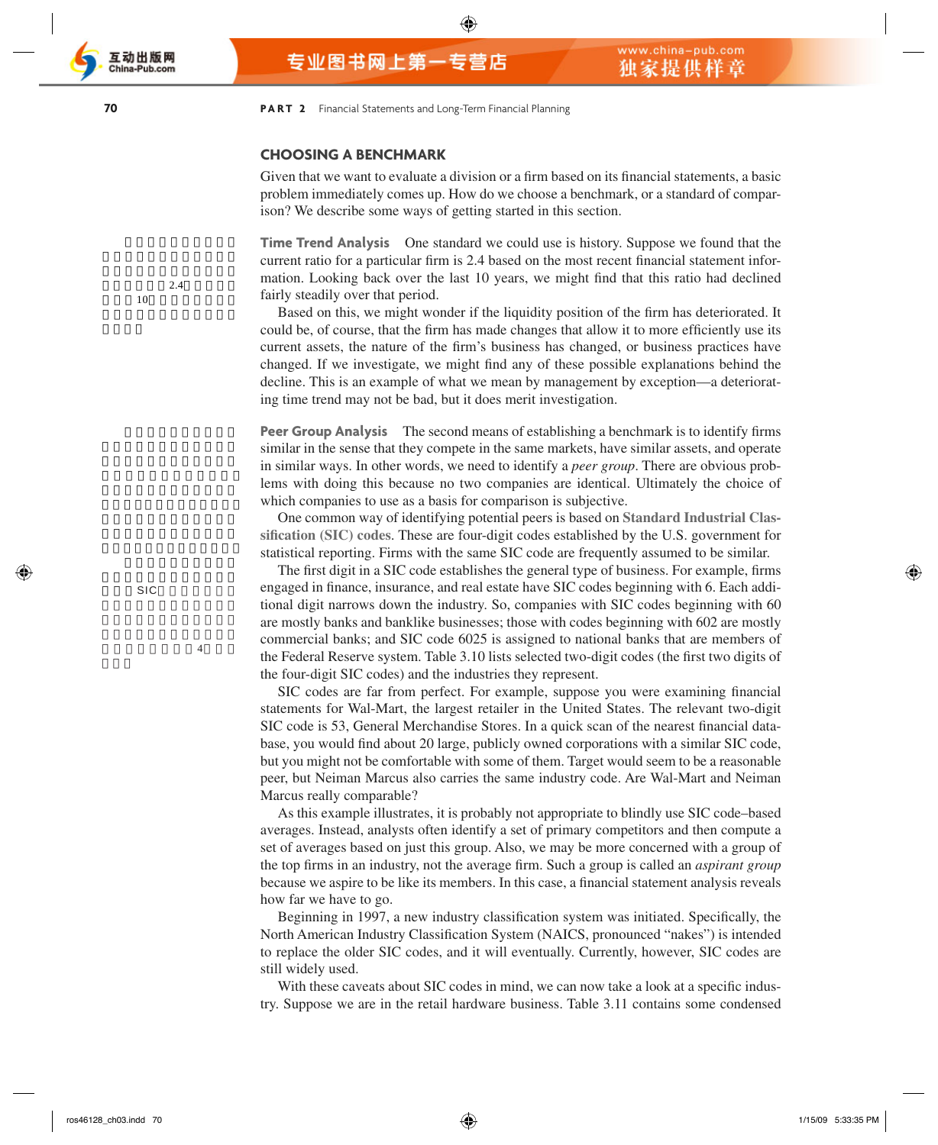### **CHOOSING A BENCHMARK**

Given that we want to evaluate a division or a firm based on its financial statements, a basic problem immediately comes up. How do we choose a benchmark, or a standard of comparison? We describe some ways of getting started in this section.

 **Time Trend Analysis** One standard we could use is history. Suppose we found that the current ratio for a particular firm is 2.4 based on the most recent financial statement information. Looking back over the last 10 years, we might find that this ratio had declined fairly steadily over that period.

Based on this, we might wonder if the liquidity position of the firm has deteriorated. It could be, of course, that the firm has made changes that allow it to more efficiently use its current assets, the nature of the firm's business has changed, or business practices have changed. If we investigate, we might find any of these possible explanations behind the decline. This is an example of what we mean by management by exception—a deteriorating time trend may not be bad, but it does merit investigation.

**Peer Group Analysis** The second means of establishing a benchmark is to identify firms similar in the sense that they compete in the same markets, have similar assets, and operate in similar ways. In other words, we need to identify a *peer group*. There are obvious problems with doing this because no two companies are identical. Ultimately the choice of which companies to use as a basis for comparison is subjective.

 One common way of identifying potential peers is based on **Standard Industrial Clas**sification (SIC) codes. These are four-digit codes established by the U.S. government for statistical reporting. Firms with the same SIC code are frequently assumed to be similar.

The first digit in a SIC code establishes the general type of business. For example, firms engaged in finance, insurance, and real estate have SIC codes beginning with 6. Each additional digit narrows down the industry. So, companies with SIC codes beginning with 60 are mostly banks and banklike businesses; those with codes beginning with 602 are mostly commercial banks; and SIC code 6025 is assigned to national banks that are members of the Federal Reserve system. Table 3.10 lists selected two-digit codes (the first two digits of the four-digit SIC codes) and the industries they represent.

SIC codes are far from perfect. For example, suppose you were examining financial statements for Wal-Mart, the largest retailer in the United States. The relevant two-digit SIC code is 53, General Merchandise Stores. In a quick scan of the nearest financial database, you would find about 20 large, publicly owned corporations with a similar SIC code, but you might not be comfortable with some of them. Target would seem to be a reasonable peer, but Neiman Marcus also carries the same industry code. Are Wal-Mart and Neiman Marcus really comparable?

 As this example illustrates, it is probably not appropriate to blindly use SIC code–based averages. Instead, analysts often identify a set of primary competitors and then compute a set of averages based on just this group. Also, we may be more concerned with a group of the top firms in an industry, not the average firm. Such a group is called an *aspirant group* because we aspire to be like its members. In this case, a financial statement analysis reveals how far we have to go.

Beginning in 1997, a new industry classification system was initiated. Specifically, the North American Industry Classification System (NAICS, pronounced "nakes") is intended to replace the older SIC codes, and it will eventually. Currently, however, SIC codes are still widely used.

With these caveats about SIC codes in mind, we can now take a look at a specific industry. Suppose we are in the retail hardware business. Table 3.11 contains some condensed

 $2.4$ 过去的10年,我们会发现这

SIC

 $\overline{4}$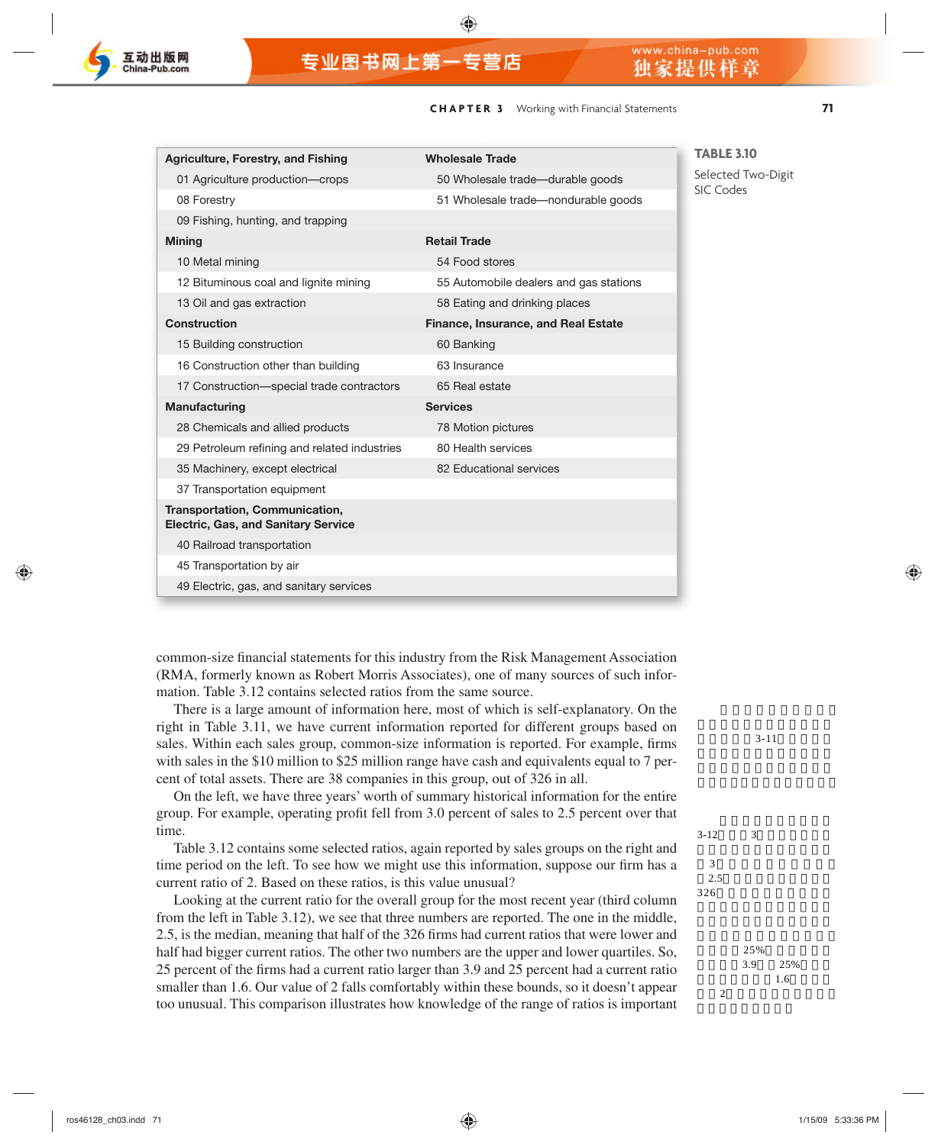

## 专业图书网上第一专营店

#### **C H A P T E R 3** Working with Financial Statements **71**

| Agriculture, Forestry, and Fishing                                           | <b>Wholesale Trade</b>                 | <b>TABLE 3.10</b>  |
|------------------------------------------------------------------------------|----------------------------------------|--------------------|
| 01 Agriculture production-crops                                              | 50 Wholesale trade-durable goods       | Selected Two-Digit |
| 08 Forestry                                                                  | 51 Wholesale trade-nondurable goods    | <b>SIC Codes</b>   |
| 09 Fishing, hunting, and trapping                                            |                                        |                    |
| <b>Mining</b>                                                                | <b>Retail Trade</b>                    |                    |
| 10 Metal mining                                                              | 54 Food stores                         |                    |
| 12 Bituminous coal and lignite mining                                        | 55 Automobile dealers and gas stations |                    |
| 13 Oil and gas extraction                                                    | 58 Eating and drinking places          |                    |
| <b>Construction</b>                                                          | Finance, Insurance, and Real Estate    |                    |
| 15 Building construction                                                     | 60 Banking                             |                    |
| 16 Construction other than building                                          | 63 Insurance                           |                    |
| 17 Construction-special trade contractors                                    | 65 Real estate                         |                    |
| <b>Manufacturing</b>                                                         | <b>Services</b>                        |                    |
| 28 Chemicals and allied products                                             | 78 Motion pictures                     |                    |
| 29 Petroleum refining and related industries                                 | 80 Health services                     |                    |
| 35 Machinery, except electrical                                              | 82 Educational services                |                    |
| 37 Transportation equipment                                                  |                                        |                    |
| Transportation, Communication,<br><b>Electric, Gas, and Sanitary Service</b> |                                        |                    |
| 40 Railroad transportation                                                   |                                        |                    |
| 45 Transportation by air                                                     |                                        |                    |
| 49 Electric, gas, and sanitary services                                      |                                        |                    |

common-size financial statements for this industry from the Risk Management Association (RMA, formerly known as Robert Morris Associates), one of many sources of such information. Table 3.12 contains selected ratios from the same source.

 There is a large amount of information here, most of which is self-explanatory. On the right in Table 3.11 , we have current information reported for different groups based on sales. Within each sales group, common-size information is reported. For example, firms with sales in the \$10 million to \$25 million range have cash and equivalents equal to 7 percent of total assets. There are 38 companies in this group, out of 326 in all.

 On the left, we have three years' worth of summary historical information for the entire group. For example, operating profi t fell from 3.0 percent of sales to 2.5 percent over that time.

 Table 3.12 contains some selected ratios, again reported by sales groups on the right and time period on the left. To see how we might use this information, suppose our firm has a current ratio of 2. Based on these ratios, is this value unusual?

 Looking at the current ratio for the overall group for the most recent year (third column from the left in Table 3.12 ), we see that three numbers are reported. The one in the middle, 2.5, is the median, meaning that half of the 326 firms had current ratios that were lower and half had bigger current ratios. The other two numbers are the upper and lower quartiles. So, 25 percent of the firms had a current ratio larger than 3.9 and 25 percent had a current ratio smaller than 1.6. Our value of 2 falls comfortably within these bounds, so it doesn't appear too unusual. This comparison illustrates how knowledge of the range of ratios is important  $3 - 11$ 

 $3-12$  3

 $2.5$ 326

25% 3.9 25%  $1.6$  $2$ 

 $3<sub>0</sub>$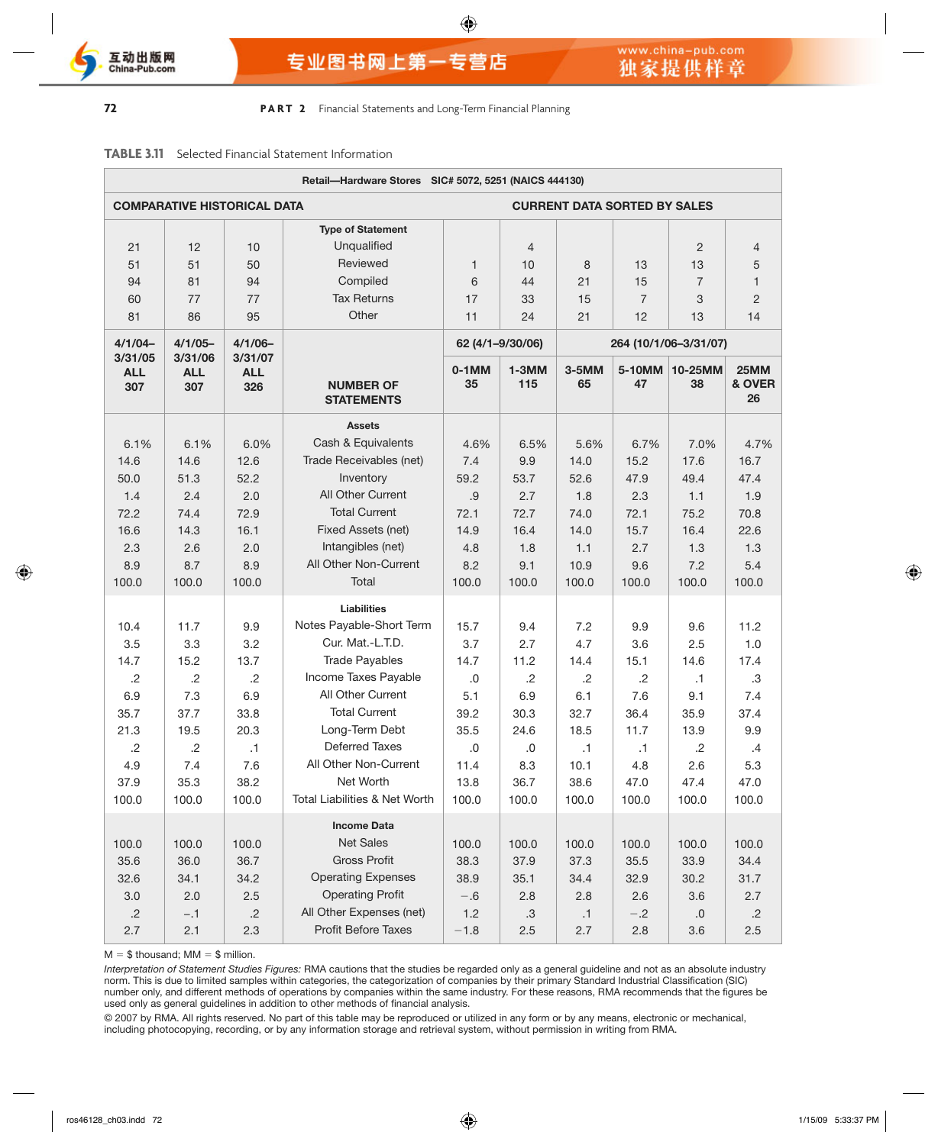### **TABLE 3.11** Selected Financial Statement Information

|                       | Retail-Hardware Stores SIC# 5072, 5251 (NAICS 444130)                     |                       |                                       |          |                  |           |                |                       |                 |
|-----------------------|---------------------------------------------------------------------------|-----------------------|---------------------------------------|----------|------------------|-----------|----------------|-----------------------|-----------------|
|                       | <b>COMPARATIVE HISTORICAL DATA</b><br><b>CURRENT DATA SORTED BY SALES</b> |                       |                                       |          |                  |           |                |                       |                 |
|                       |                                                                           |                       | <b>Type of Statement</b>              |          |                  |           |                |                       |                 |
| 21                    | 12                                                                        | 10                    | Unqualified                           |          | $\overline{4}$   |           |                | 2                     | 4               |
| 51                    | 51                                                                        | 50                    | Reviewed                              | 1        | 10               | 8         | 13             | 13                    | 5               |
| 94                    | 81                                                                        | 94                    | Compiled                              | 6        | 44               | 21        | 15             | $\overline{7}$        | $\mathbf{1}$    |
| 60                    | 77                                                                        | 77                    | <b>Tax Returns</b>                    | 17       | 33               | 15        | $\overline{7}$ | 3                     | 2               |
| 81                    | 86                                                                        | 95                    | Other                                 | 11       | 24               | 21        | 12             | 13                    | 14              |
| $4/1/04 -$<br>3/31/05 | $4/1/05 -$<br>3/31/06                                                     | $4/1/06 -$<br>3/31/07 |                                       |          | 62 (4/1-9/30/06) |           |                | 264 (10/1/06-3/31/07) |                 |
| <b>ALL</b>            | <b>ALL</b>                                                                | <b>ALL</b>            |                                       | $0-1$ MM | $1-3MM$          | $3-5MM$   | 5-10MM         | 10-25MM               | <b>25MM</b>     |
| 307                   | 307                                                                       | 326                   | <b>NUMBER OF</b><br><b>STATEMENTS</b> | 35       | 115              | 65        | 47             | 38                    | & OVER<br>26    |
|                       |                                                                           |                       | <b>Assets</b>                         |          |                  |           |                |                       |                 |
| 6.1%                  | 6.1%                                                                      | 6.0%                  | Cash & Equivalents                    | 4.6%     | 6.5%             | 5.6%      | 6.7%           | 7.0%                  | 4.7%            |
| 14.6                  | 14.6                                                                      | 12.6                  | Trade Receivables (net)               | 7.4      | 9.9              | 14.0      | 15.2           | 17.6                  | 16.7            |
| 50.0                  | 51.3                                                                      | 52.2                  | Inventory                             | 59.2     | 53.7             | 52.6      | 47.9           | 49.4                  | 47.4            |
| 1.4                   | 2.4                                                                       | 2.0                   | All Other Current                     | .9       | 2.7              | 1.8       | 2.3            | 1.1                   | 1.9             |
| 72.2                  | 74.4                                                                      | 72.9                  | <b>Total Current</b>                  | 72.1     | 72.7             | 74.0      | 72.1           | 75.2                  | 70.8            |
| 16.6                  | 14.3                                                                      | 16.1                  | Fixed Assets (net)                    | 14.9     | 16.4             | 14.0      | 15.7           | 16.4                  | 22.6            |
| 2.3                   | 2.6                                                                       | 2.0                   | Intangibles (net)                     | 4.8      | 1.8              | 1.1       | 2.7            | 1.3                   | 1.3             |
| 8.9                   | 8.7                                                                       | 8.9                   | All Other Non-Current                 | 8.2      | 9.1              | 10.9      | 9.6            | 7.2                   | 5.4             |
| 100.0                 | 100.0                                                                     | 100.0                 | Total                                 | 100.0    | 100.0            | 100.0     | 100.0          | 100.0                 | 100.0           |
|                       |                                                                           |                       | Liabilities                           |          |                  |           |                |                       |                 |
| 10.4                  | 11.7                                                                      | 9.9                   | Notes Payable-Short Term              | 15.7     | 9.4              | 7.2       | 9.9            | 9.6                   | 11.2            |
| 3.5                   | 3.3                                                                       | 3.2                   | Cur. Mat.-L.T.D.                      | 3.7      | 2.7              | 4.7       | 3.6            | $2.5\,$               | 1.0             |
| 14.7                  | 15.2                                                                      | 13.7                  | <b>Trade Payables</b>                 | 14.7     | 11.2             | 14.4      | 15.1           | 14.6                  | 17.4            |
| $\cdot$               | $\cdot$ .2                                                                | .2                    | Income Taxes Payable                  | .0       | .2               | .2        | .2             | $\cdot$ 1             | .3              |
| 6.9                   | 7.3                                                                       | 6.9                   | All Other Current                     | 5.1      | 6.9              | 6.1       | 7.6            | 9.1                   | 7.4             |
| 35.7                  | 37.7                                                                      | 33.8                  | <b>Total Current</b>                  | 39.2     | 30.3             | 32.7      | 36.4           | 35.9                  | 37.4            |
| 21.3                  | 19.5                                                                      | 20.3                  | Long-Term Debt                        | 35.5     | 24.6             | 18.5      | 11.7           | 13.9                  | 9.9             |
| $\cdot$               | $\cdot$ .2                                                                | $\cdot$ 1             | <b>Deferred Taxes</b>                 | .0       | .0               | $\cdot$ 1 | .1             | .2                    | .4              |
| 4.9                   | 7.4                                                                       | 7.6                   | All Other Non-Current                 | 11.4     | 8.3              | 10.1      | 4.8            | 2.6                   | 5.3             |
| 37.9                  | 35.3                                                                      | 38.2                  | Net Worth                             | 13.8     | 36.7             | 38.6      | 47.0           | 47.4                  | 47.0            |
| 100.0                 | 100.0                                                                     | 100.0                 | Total Liabilities & Net Worth         | 100.0    | 100.0            | 100.0     | 100.0          | 100.0                 | 100.0           |
|                       |                                                                           |                       | <b>Income Data</b>                    |          |                  |           |                |                       |                 |
| 100.0                 | 100.0                                                                     | 100.0                 | <b>Net Sales</b>                      | 100.0    | 100.0            | 100.0     | 100.0          | 100.0                 | 100.0           |
| 35.6                  | 36.0                                                                      | 36.7                  | <b>Gross Profit</b>                   | 38.3     | 37.9             | 37.3      | 35.5           | 33.9                  | 34.4            |
| 32.6                  | 34.1                                                                      | 34.2                  | <b>Operating Expenses</b>             | 38.9     | 35.1             | 34.4      | 32.9           | 30.2                  | 31.7            |
| 3.0                   | 2.0                                                                       | 2.5                   | <b>Operating Profit</b>               | $-.6$    | 2.8              | 2.8       | 2.6            | 3.6                   | 2.7             |
| $.2\phantom{0}$       | $-.1$                                                                     | $.2\phantom{0}$       | All Other Expenses (net)              | 1.2      | .3               | $\cdot$ 1 | $-.2$          | $.0\,$                | $.2\phantom{0}$ |
| 2.7                   | 2.1                                                                       | 2.3                   | <b>Profit Before Taxes</b>            | $-1.8$   | 2.5              | 2.7       | 2.8            | 3.6                   | 2.5             |

 $M = $$  thousand; MM  $= $$  million.

*Interpretation of Statement Studies Figures:* RMA cautions that the studies be regarded only as a general guideline and not as an absolute industry norm. This is due to limited samples within categories, the categorization of companies by their primary Standard Industrial Classification (SIC) number only, and different methods of operations by companies within the same industry. For these reasons, RMA recommends that the figures be using the product of the control of the methods of financial analysis.

© 2007 by RMA. All rights reserved. No part of this table may be reproduced or utilized in any form or by any means, electronic or mechanical, including photocopying, recording, or by any information storage and retrieval system, without permission in writing from RMA.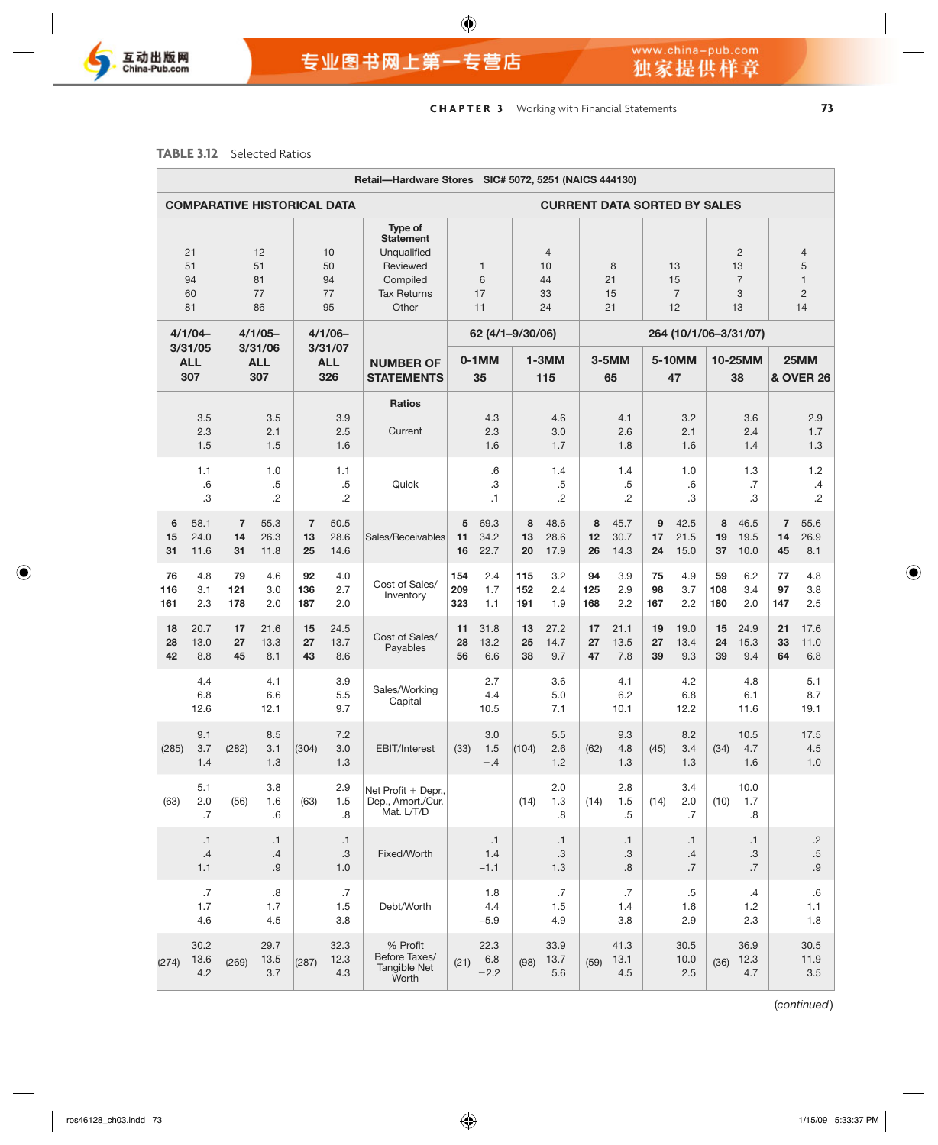

### **TABLE 3.12** Selected Ratios

|                  | Retail-Hardware Stores SIC# 5072, 5251 (NAICS 444130) |                            |                                          |                            |                                          |                                                                                                   |                   |                                                   |                   |                                        |                  |                                      |                 |                                                           |                  |                                                   |                            |                                                |
|------------------|-------------------------------------------------------|----------------------------|------------------------------------------|----------------------------|------------------------------------------|---------------------------------------------------------------------------------------------------|-------------------|---------------------------------------------------|-------------------|----------------------------------------|------------------|--------------------------------------|-----------------|-----------------------------------------------------------|------------------|---------------------------------------------------|----------------------------|------------------------------------------------|
|                  |                                                       |                            | <b>COMPARATIVE HISTORICAL DATA</b>       |                            |                                          |                                                                                                   |                   |                                                   |                   | <b>CURRENT DATA SORTED BY SALES</b>    |                  |                                      |                 |                                                           |                  |                                                   |                            |                                                |
|                  | 21<br>51<br>94<br>60<br>81<br>$4/1/04-$               |                            | 12<br>51<br>81<br>77<br>86<br>$4/1/05 -$ |                            | 10<br>50<br>94<br>77<br>95<br>$4/1/06 -$ | Type of<br><b>Statement</b><br>Unqualified<br>Reviewed<br>Compiled<br><b>Tax Returns</b><br>Other |                   | $\mathbf{1}$<br>6<br>17<br>11<br>62 (4/1-9/30/06) |                   | $\overline{4}$<br>10<br>44<br>33<br>24 |                  | 8<br>21<br>15<br>21                  |                 | 13<br>15<br>$\overline{7}$<br>12<br>264 (10/1/06-3/31/07) |                  | $\overline{c}$<br>13<br>$\overline{7}$<br>3<br>13 |                            | 4<br>5<br>$\mathbf{1}$<br>$\overline{c}$<br>14 |
|                  | 3/31/05<br><b>ALL</b>                                 |                            | 3/31/06<br><b>ALL</b>                    |                            | 3/31/07<br><b>ALL</b>                    | <b>NUMBER OF</b>                                                                                  |                   | $0-1MM$                                           |                   | $1-3MM$                                |                  | $3-5MM$                              |                 | 5-10MM                                                    | 10-25MM          |                                                   |                            | <b>25MM</b>                                    |
|                  | 307                                                   |                            | 307                                      |                            | 326                                      | <b>STATEMENTS</b>                                                                                 |                   | 35                                                |                   | 115                                    |                  | 65                                   |                 | 47                                                        |                  | 38                                                |                            | <b>&amp; OVER 26</b>                           |
|                  | 3.5<br>2.3<br>1.5                                     |                            | 3.5<br>2.1<br>1.5                        |                            | 3.9<br>2.5<br>1.6                        | <b>Ratios</b><br>Current                                                                          |                   | 4.3<br>2.3<br>1.6                                 |                   | 4.6<br>3.0<br>1.7                      |                  | 4.1<br>2.6<br>1.8                    |                 | 3.2<br>2.1<br>1.6                                         |                  | 3.6<br>2.4<br>1.4                                 |                            | 2.9<br>1.7<br>1.3                              |
|                  | 1.1<br>.6<br>.3                                       |                            | 1.0<br>.5<br>$\overline{2}$              |                            | 1.1<br>.5<br>$\cdot$                     | Quick                                                                                             |                   | .6<br>.3<br>$\cdot$ 1                             |                   | 1.4<br>$.5\,$<br>$\overline{.2}$       |                  | 1.4<br>.5<br>$\cdot$                 |                 | 1.0<br>.6<br>.3                                           |                  | 1.3<br>.7<br>.3                                   |                            | 1.2<br>$\cdot$<br>$\cdot$                      |
| 6<br>15<br>31    | 58.1<br>24.0<br>11.6                                  | $\overline{7}$<br>14<br>31 | 55.3<br>26.3<br>11.8                     | $\overline{7}$<br>13<br>25 | 50.5<br>28.6<br>14.6                     | Sales/Receivables                                                                                 | 5<br>11<br>16     | 69.3<br>34.2<br>22.7                              | 8<br>13<br>20     | 48.6<br>28.6<br>17.9                   | 8<br>12<br>26    | 45.7<br>30.7<br>14.3                 | 9<br>17<br>24   | 42.5<br>21.5<br>15.0                                      | 8<br>19<br>37    | 46.5<br>19.5<br>10.0                              | $\overline{7}$<br>14<br>45 | 55.6<br>26.9<br>8.1                            |
| 76<br>116<br>161 | 4.8<br>3.1<br>2.3                                     | 79<br>121<br>178           | 4.6<br>3.0<br>2.0                        | 92<br>136<br>187           | 4.0<br>2.7<br>2.0                        | Cost of Sales/<br>Inventory                                                                       | 154<br>209<br>323 | 2.4<br>1.7<br>1.1                                 | 115<br>152<br>191 | 3.2<br>2.4<br>1.9                      | 94<br>125<br>168 | 3.9<br>2.9<br>2.2                    | 75<br>98<br>167 | 4.9<br>3.7<br>2.2                                         | 59<br>108<br>180 | 6.2<br>3.4<br>2.0                                 | 77<br>97<br>147            | 4.8<br>3.8<br>2.5                              |
| 18<br>28<br>42   | 20.7<br>13.0<br>8.8                                   | 17<br>27<br>45             | 21.6<br>13.3<br>8.1                      | 15<br>27<br>43             | 24.5<br>13.7<br>8.6                      | Cost of Sales/<br>Payables                                                                        | 11<br>28<br>56    | 31.8<br>13.2<br>6.6                               | 13<br>25<br>38    | 27.2<br>14.7<br>9.7                    | 17<br>27<br>47   | 21.1<br>13.5<br>7.8                  | 19<br>27<br>39  | 19.0<br>13.4<br>9.3                                       | 15<br>24<br>39   | 24.9<br>15.3<br>9.4                               | 21<br>33<br>64             | 17.6<br>11.0<br>6.8                            |
|                  | 4.4<br>6.8<br>12.6                                    |                            | 4.1<br>6.6<br>12.1                       |                            | 3.9<br>5.5<br>9.7                        | Sales/Working<br>Capital                                                                          |                   | 2.7<br>4.4<br>10.5                                |                   | 3.6<br>5.0<br>7.1                      |                  | 4.1<br>6.2<br>10.1                   |                 | 4.2<br>6.8<br>12.2                                        |                  | 4.8<br>6.1<br>11.6                                |                            | 5.1<br>8.7<br>19.1                             |
| (285)            | 9.1<br>3.7<br>1.4                                     | (282)                      | 8.5<br>3.1<br>1.3                        | (304)                      | 7.2<br>3.0<br>1.3                        | <b>EBIT/Interest</b>                                                                              | (33)              | 3.0<br>1.5<br>$-.4$                               | (104)             | 5.5<br>2.6<br>1.2                      | (62)             | 9.3<br>4.8<br>1.3                    | (45)            | 8.2<br>3.4<br>1.3                                         | (34)             | 10.5<br>4.7<br>1.6                                |                            | 17.5<br>4.5<br>1.0                             |
| (63)             | 5.1<br>2.0<br>.7                                      | (56)                       | 3.8<br>1.6<br>.6                         | (63)                       | 2.9<br>1.5<br>8.                         | Net Profit + Depr.<br>Dep., Amort./Cur.<br>Mat. L/T/D                                             |                   |                                                   | (14)              | 2.0<br>1.3<br>.8                       | (14)             | 2.8<br>1.5<br>.5                     | (14)            | 3.4<br>2.0<br>.7                                          | (10)             | 10.0<br>1.7<br>.8                                 |                            |                                                |
|                  | .1<br>.4<br>1.1                                       |                            | .1<br>.4<br>.9                           |                            | $\cdot$ 1<br>.3<br>1.0                   | Fixed/Worth                                                                                       |                   | .1<br>1.4<br>$-1.1$                               |                   | $\cdot$ 1<br>.3<br>1.3                 |                  | $\cdot$ 1<br>.3<br>$\boldsymbol{.8}$ |                 | $\cdot$ 1<br>.4<br>.7                                     |                  | .1<br>.3<br>.7                                    |                            | $\cdot$<br>$.5\,$<br>.9                        |
|                  | .7<br>1.7<br>4.6                                      |                            | .8<br>1.7<br>4.5                         |                            | .7<br>1.5<br>3.8                         | Debt/Worth                                                                                        |                   | 1.8<br>4.4<br>$-5.9$                              |                   | .7<br>1.5<br>4.9                       |                  | .7<br>1.4<br>3.8                     |                 | .5<br>1.6<br>2.9                                          |                  | .4<br>1.2<br>2.3                                  |                            | .6<br>1.1<br>1.8                               |
| (274)            | 30.2<br>13.6<br>4.2                                   | (269)                      | 29.7<br>13.5<br>3.7                      | (287)                      | 32.3<br>12.3<br>4.3                      | % Profit<br>Before Taxes/<br>Tangible Net<br>Worth                                                | (21)              | 22.3<br>6.8<br>$-2.2$                             | (98)              | 33.9<br>13.7<br>5.6                    | (59)             | 41.3<br>13.1<br>4.5                  |                 | 30.5<br>10.0<br>2.5                                       | (36)             | 36.9<br>12.3<br>4.7                               |                            | 30.5<br>11.9<br>3.5                            |

(*continued*)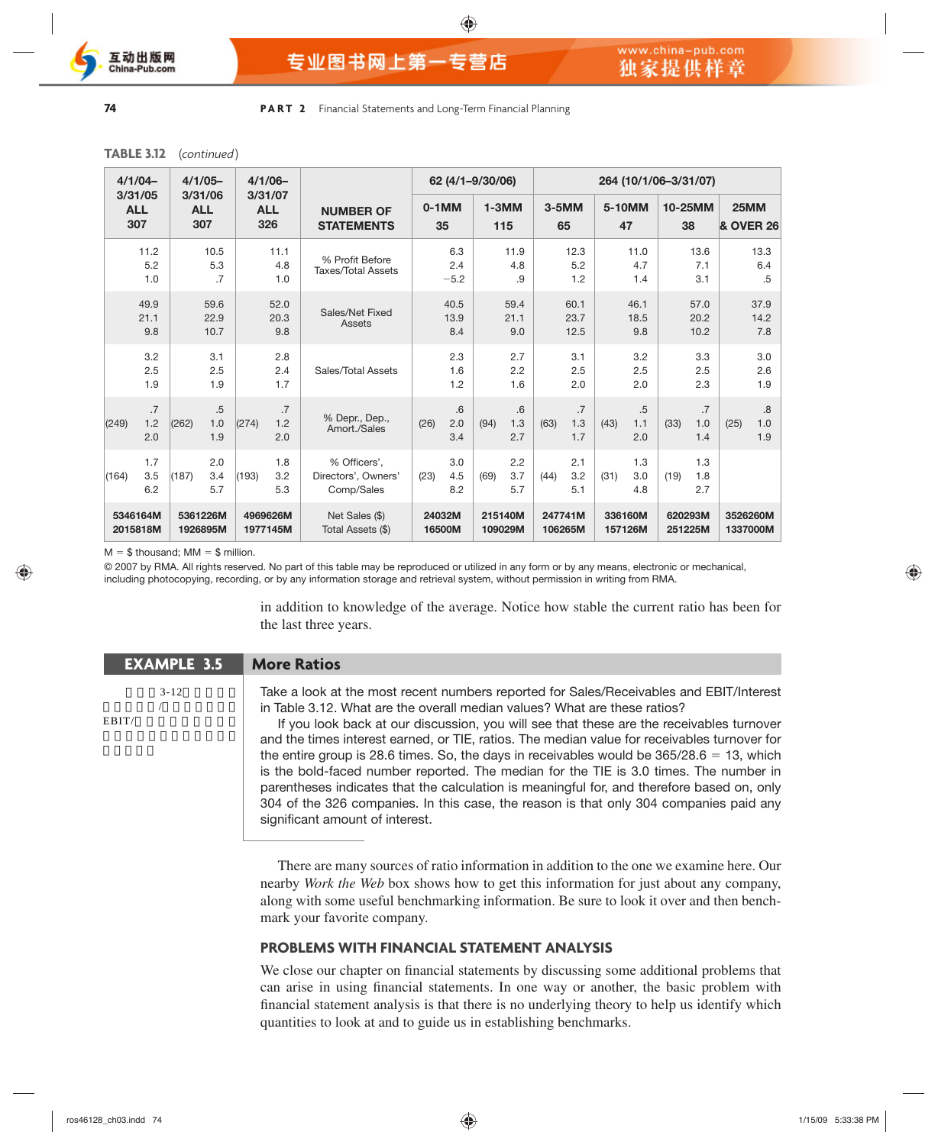|       | $4/1/04 -$                   | $4/1/05 -$                   | $4/1/06 -$                   |                                                   |                           | 62 (4/1-9/30/06)          |                           |                           | 264 (10/1/06-3/31/07)     |                          |
|-------|------------------------------|------------------------------|------------------------------|---------------------------------------------------|---------------------------|---------------------------|---------------------------|---------------------------|---------------------------|--------------------------|
|       | 3/31/05<br><b>ALL</b><br>307 | 3/31/06<br><b>ALL</b><br>307 | 3/31/07<br><b>ALL</b><br>326 | <b>NUMBER OF</b><br><b>STATEMENTS</b>             | $0-1MM$<br>35             | $1-3MM$<br>115            | $3-5MM$<br>65             | 5-10MM<br>47              | 10-25MM<br>38             | <b>25MM</b><br>& OVER 26 |
|       | 11.2<br>5.2<br>1.0           | 10.5<br>5.3<br>.7            | 11.1<br>4.8<br>1.0           | % Profit Before<br><b>Taxes/Total Assets</b>      | 6.3<br>2.4<br>$-5.2$      | 11.9<br>4.8<br>.9         | 12.3<br>5.2<br>1.2        | 11.0<br>4.7<br>1.4        | 13.6<br>7.1<br>3.1        | 13.3<br>6.4<br>.5        |
|       | 49.9<br>21.1<br>9.8          | 59.6<br>22.9<br>10.7         | 52.0<br>20.3<br>9.8          | Sales/Net Fixed<br><b>Assets</b>                  | 40.5<br>13.9<br>8.4       | 59.4<br>21.1<br>9.0       | 60.1<br>23.7<br>12.5      | 46.1<br>18.5<br>9.8       | 57.0<br>20.2<br>10.2      | 37.9<br>14.2<br>7.8      |
|       | 3.2<br>2.5<br>1.9            | 3.1<br>2.5<br>1.9            | 2.8<br>2.4<br>1.7            | Sales/Total Assets                                | 2.3<br>1.6<br>1.2         | 2.7<br>2.2<br>1.6         | 3.1<br>2.5<br>2.0         | 3.2<br>2.5<br>2.0         | 3.3<br>2.5<br>2.3         | 3.0<br>2.6<br>1.9        |
| (249) | .7<br>1.2<br>2.0             | .5<br>(262)<br>1.0<br>1.9    | .7<br>(274)<br>1.2<br>2.0    | % Depr., Dep.,<br>Amort./Sales                    | .6<br>(26)<br>2.0<br>3.4  | .6<br>1.3<br>(94)<br>2.7  | .7<br>1.3<br>(63)<br>1.7  | .5<br>(43)<br>1.1<br>2.0  | .7<br>1.0<br>(33)<br>1.4  | .8<br>1.0<br>(25)<br>1.9 |
| (164) | 1.7<br>3.5<br>6.2            | 2.0<br>3.4<br>(187)<br>5.7   | 1.8<br>3.2<br>(193)<br>5.3   | % Officers',<br>Directors', Owners'<br>Comp/Sales | 3.0<br>(23)<br>4.5<br>8.2 | 2.2<br>3.7<br>(69)<br>5.7 | 2.1<br>3.2<br>(44)<br>5.1 | 1.3<br>(31)<br>3.0<br>4.8 | 1.3<br>1.8<br>(19)<br>2.7 |                          |
|       | 5346164M<br>2015818M         | 5361226M<br>1926895M         | 4969626M<br>1977145M         | Net Sales (\$)<br>Total Assets (\$)               | 24032M<br>16500M          | 215140M<br>109029M        | 247741M<br>106265M        | 336160M<br>157126M        | 620293M<br>251225M        | 3526260M<br>1337000M     |

**TABLE 3.12** (*continued*)

 $M = $$  thousand; MM  $= $$  million.

© 2007 by RMA. All rights reserved. No part of this table may be reproduced or utilized in any form or by any means, electronic or mechanical, including photocopying, recording, or by any information storage and retrieval system, without permission in writing from RMA.

> in addition to knowledge of the average. Notice how stable the current ratio has been for the last three years.

| <b>EXAMPLE 3.5</b> | <b>More Ratios</b>                                                                                                                                                                                                                                                                                                                                                                                                                                                                                                                                                                                                                                                                                                                                                                   |
|--------------------|--------------------------------------------------------------------------------------------------------------------------------------------------------------------------------------------------------------------------------------------------------------------------------------------------------------------------------------------------------------------------------------------------------------------------------------------------------------------------------------------------------------------------------------------------------------------------------------------------------------------------------------------------------------------------------------------------------------------------------------------------------------------------------------|
| $3 - 12$<br>EBIT/  | Take a look at the most recent numbers reported for Sales/Receivables and EBIT/Interest<br>in Table 3.12. What are the overall median values? What are these ratios?<br>If you look back at our discussion, you will see that these are the receivables turnover<br>and the times interest earned, or TIE, ratios. The median value for receivables turnover for<br>the entire group is 28.6 times. So, the days in receivables would be $365/28.6 = 13$ , which<br>is the bold-faced number reported. The median for the TIE is 3.0 times. The number in<br>parentheses indicates that the calculation is meaningful for, and therefore based on, only<br>304 of the 326 companies. In this case, the reason is that only 304 companies paid any<br>significant amount of interest. |

 There are many sources of ratio information in addition to the one we examine here. Our nearby *Work the Web* box shows how to get this information for just about any company, along with some useful benchmarking information. Be sure to look it over and then benchmark your favorite company.

### **PROBLEMS WITH FINANCIAL STATEMENT ANALYSIS**

We close our chapter on financial statements by discussing some additional problems that can arise in using financial statements. In one way or another, the basic problem with financial statement analysis is that there is no underlying theory to help us identify which quantities to look at and to guide us in establishing benchmarks.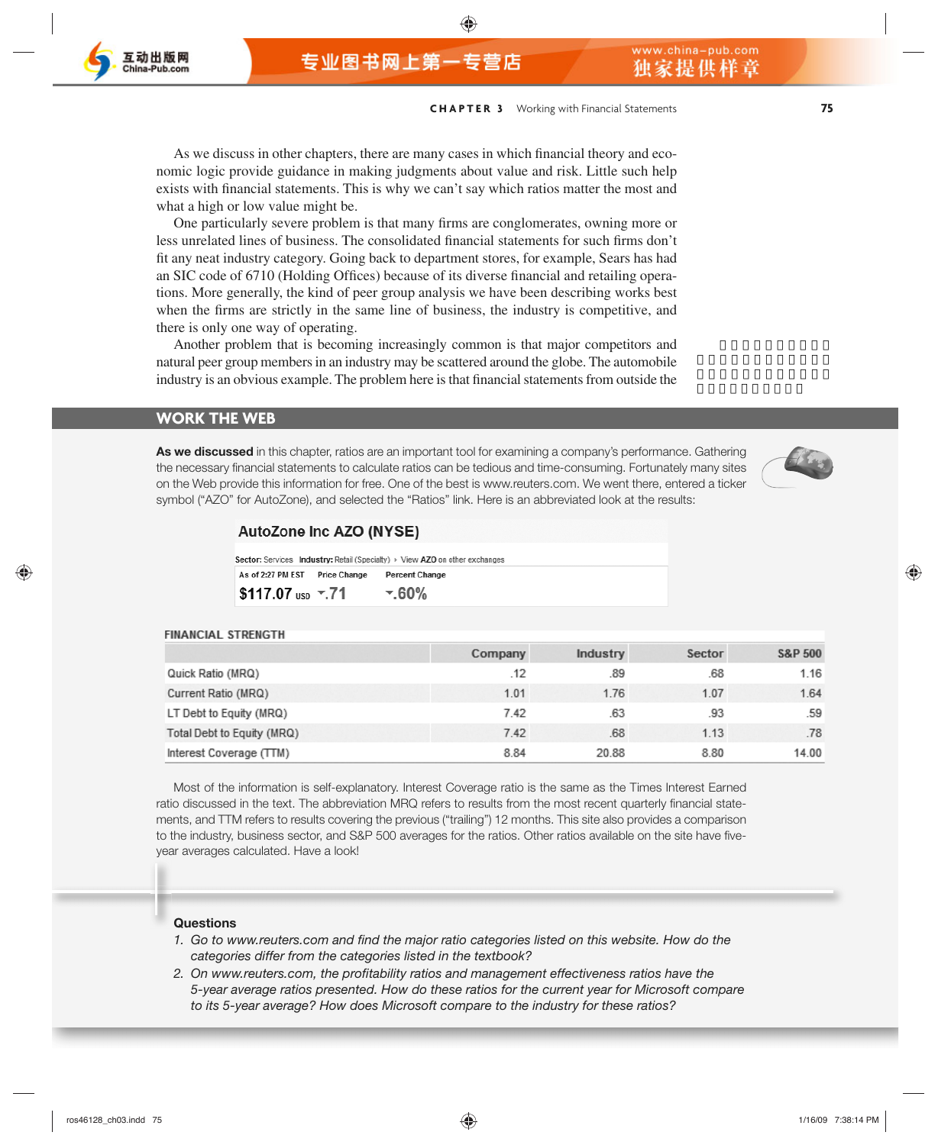As we discuss in other chapters, there are many cases in which financial theory and economic logic provide guidance in making judgments about value and risk. Little such help exists with financial statements. This is why we can't say which ratios matter the most and what a high or low value might be.

One particularly severe problem is that many firms are conglomerates, owning more or less unrelated lines of business. The consolidated financial statements for such firms don't fit any neat industry category. Going back to department stores, for example, Sears has had an SIC code of 6710 (Holding Offices) because of its diverse financial and retailing operations. More generally, the kind of peer group analysis we have been describing works best when the firms are strictly in the same line of business, the industry is competitive, and there is only one way of operating.

 Another problem that is becoming increasingly common is that major competitors and natural peer group members in an industry may be scattered around the globe. The automobile industry is an obvious example. The problem here is that financial statements from outside the

### **WORK THE WEB**

**As we discussed** in this chapter, ratios are an important tool for examining a company's performance. Gathering the necessary financial statements to calculate ratios can be tedious and time-consuming. Fortunately many sites on the Web provide this information for free. One of the best is www.reuters.com. We went there, entered a ticker symbol ("AZO" for AutoZone), and selected the "Ratios" link. Here is an abbreviated look at the results:



### AutoZone Inc AZO (NYSE)

Sector: Services Industry: Retail (Specialty) > View AZO on other exchanges As of 2:27 PM EST Price Change Percent Change \$117.07  $_{\text{USD}}$   $-71$  $-60%$ 

#### **FINANCIAL STRENGTH**

|                            | Company | <b>Industry</b> | Sector | S&P 500 |
|----------------------------|---------|-----------------|--------|---------|
| Quick Ratio (MRQ)          | .12     | .89             | .68    | 1.16    |
| Current Ratio (MRQ)        | 1.01    | 1.76            | 1.07   | 1.64    |
| LT Debt to Equity (MRQ)    | 7.42    | .63             | .93    | .59     |
| Total Debt to Equity (MRQ) | 7.42    | .68             | 1.13   | .78     |
| Interest Coverage (TTM)    | 8.84    | 20.88           | 8.80   | 14.00   |

 Most of the information is self-explanatory. Interest Coverage ratio is the same as the Times Interest Earned ratio discussed in the text. The abbreviation MRQ refers to results from the most recent quarterly financial statements, and TTM refers to results covering the previous ("trailing") 12 months. This site also provides a comparison to the industry, business sector, and S&P 500 averages for the ratios. Other ratios available on the site have fiveyear averages calculated. Have a look!

#### **Questions**

- 1. Go to www.reuters.com and find the major ratio categories listed on this website. How do the *categories differ from the categories listed in the textbook?*
- *2. On www.reuters.com, the profi tability ratios and management effectiveness ratios have the 5-year average ratios presented. How do these ratios for the current year for Microsoft compare to its 5-year average? How does Microsoft compare to the industry for these ratios?*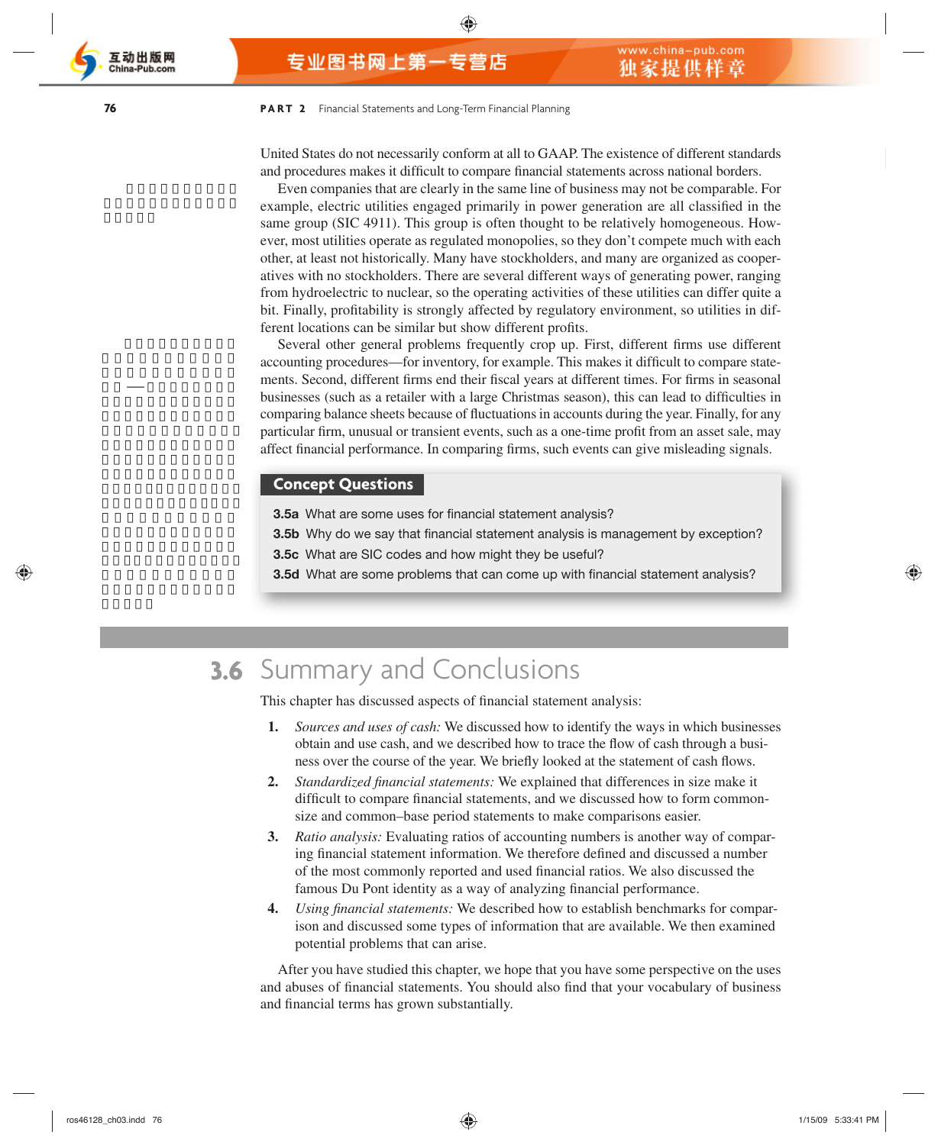程序—例如,对存货的会

#### **76 PART 2** Financial Statements and Long-Term Financial Planning

United States do not necessarily conform at all to GAAP. The existence of different standards and procedures makes it difficult to compare financial statements across national borders.

 Even companies that are clearly in the same line of business may not be comparable. For example, electric utilities engaged primarily in power generation are all classified in the same group (SIC 4911). This group is often thought to be relatively homogeneous. However, most utilities operate as regulated monopolies, so they don't compete much with each other, at least not historically. Many have stockholders, and many are organized as cooperatives with no stockholders. There are several different ways of generating power, ranging from hydroelectric to nuclear, so the operating activities of these utilities can differ quite a bit. Finally, profitability is strongly affected by regulatory environment, so utilities in different locations can be similar but show different profits.

Several other general problems frequently crop up. First, different firms use different accounting procedures—for inventory, for example. This makes it difficult to compare statements. Second, different firms end their fiscal years at different times. For firms in seasonal businesses (such as a retailer with a large Christmas season), this can lead to difficulties in comparing balance sheets because of fluctuations in accounts during the year. Finally, for any particular firm, unusual or transient events, such as a one-time profit from an asset sale, may affect financial performance. In comparing firms, such events can give misleading signals.

### **Concept Questions**

- **3.5a** What are some uses for financial statement analysis?
- **3.5b** Why do we say that financial statement analysis is management by exception?
- **3.5c** What are SIC codes and how might they be useful?
- **3.5d** What are some problems that can come up with financial statement analysis?

## **3.6** Summary and Conclusions

This chapter has discussed aspects of financial statement analysis:

- **1.** *Sources and uses of cash:* We discussed how to identify the ways in which businesses obtain and use cash, and we described how to trace the flow of cash through a business over the course of the year. We briefly looked at the statement of cash flows.
- **2.** *Standardized financial statements:* We explained that differences in size make it difficult to compare financial statements, and we discussed how to form commonsize and common–base period statements to make comparisons easier.
- **3.** *Ratio analysis:* Evaluating ratios of accounting numbers is another way of comparing financial statement information. We therefore defined and discussed a number of the most commonly reported and used financial ratios. We also discussed the famous Du Pont identity as a way of analyzing financial performance.
- **4.** *Using financial statements:* We described how to establish benchmarks for comparison and discussed some types of information that are available. We then examined potential problems that can arise.

 After you have studied this chapter, we hope that you have some perspective on the uses and abuses of financial statements. You should also find that your vocabulary of business and financial terms has grown substantially.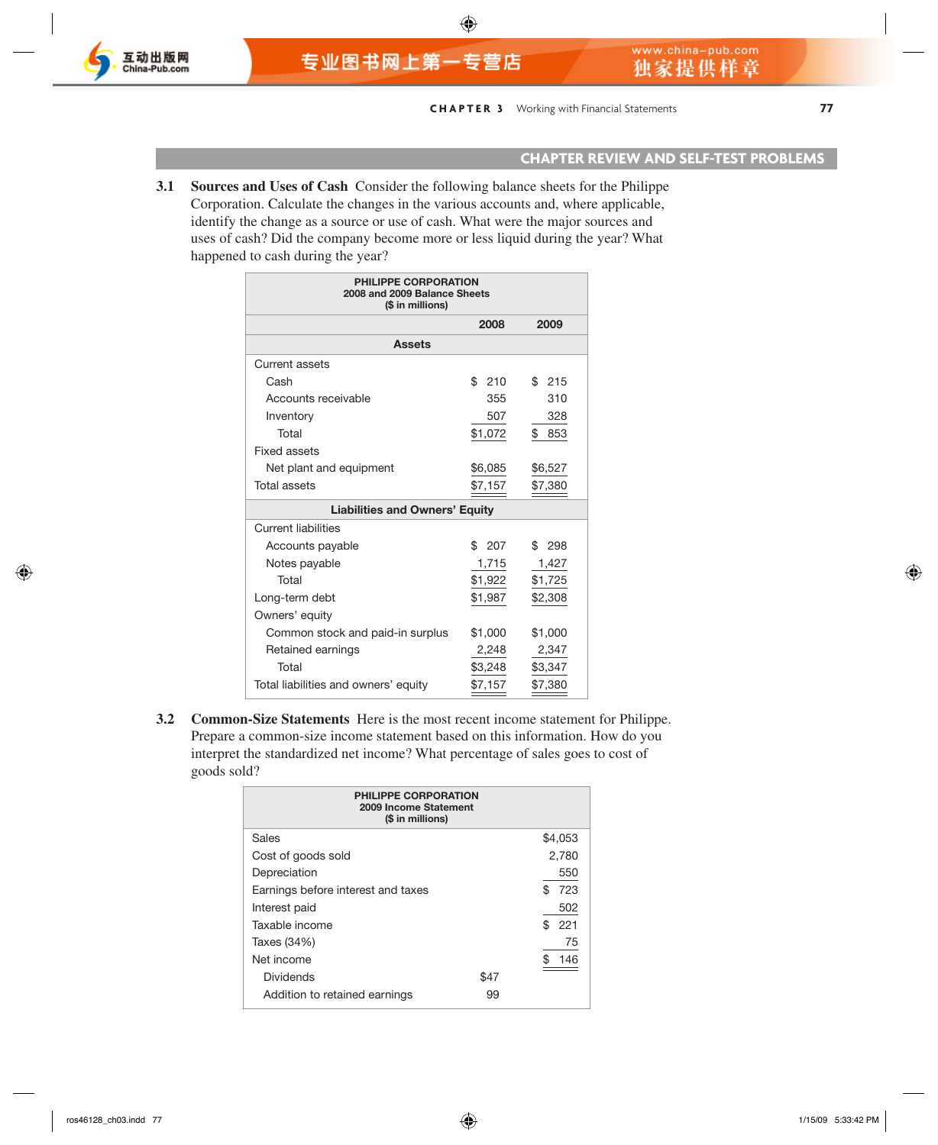互动出版网

China-Pub.com

### **CHAPTER REVIEW AND SELF-TEST PROBLEMS**

**3.1 Sources and Uses of Cash** Consider the following balance sheets for the Philippe Corporation. Calculate the changes in the various accounts and, where applicable, identify the change as a source or use of cash. What were the major sources and uses of cash? Did the company become more or less liquid during the year? What happened to cash during the year?

| PHILIPPE CORPORATION<br>2008 and 2009 Balance Sheets<br>(\$ in millions) |         |           |  |  |  |  |  |  |
|--------------------------------------------------------------------------|---------|-----------|--|--|--|--|--|--|
|                                                                          | 2008    | 2009      |  |  |  |  |  |  |
| <b>Assets</b>                                                            |         |           |  |  |  |  |  |  |
| Current assets                                                           |         |           |  |  |  |  |  |  |
| Cash                                                                     | \$210   | \$215     |  |  |  |  |  |  |
| Accounts receivable                                                      | 355     | 310       |  |  |  |  |  |  |
| Inventory                                                                | 507     | 328       |  |  |  |  |  |  |
| Total                                                                    | \$1,072 | \$<br>853 |  |  |  |  |  |  |
| Fixed assets                                                             |         |           |  |  |  |  |  |  |
| Net plant and equipment                                                  | \$6,085 | \$6,527   |  |  |  |  |  |  |
| Total assets                                                             | \$7,157 | \$7,380   |  |  |  |  |  |  |
| <b>Liabilities and Owners' Equity</b>                                    |         |           |  |  |  |  |  |  |
| <b>Current liabilities</b>                                               |         |           |  |  |  |  |  |  |
| Accounts payable                                                         | \$207   | \$<br>298 |  |  |  |  |  |  |
| Notes payable                                                            | 1,715   | 1,427     |  |  |  |  |  |  |
| Total                                                                    | \$1,922 | \$1,725   |  |  |  |  |  |  |
| Long-term debt                                                           | \$1,987 | \$2,308   |  |  |  |  |  |  |
| Owners' equity                                                           |         |           |  |  |  |  |  |  |
| Common stock and paid-in surplus                                         | \$1,000 | \$1,000   |  |  |  |  |  |  |
| Retained earnings                                                        | 2,248   | 2,347     |  |  |  |  |  |  |
| Total                                                                    | \$3,248 | \$3,347   |  |  |  |  |  |  |
| Total liabilities and owners' equity                                     | \$7,157 | \$7,380   |  |  |  |  |  |  |

**3.2 Common-Size Statements** Here is the most recent income statement for Philippe. Prepare a common-size income statement based on this information. How do you interpret the standardized net income? What percentage of sales goes to cost of goods sold?

| PHILIPPE CORPORATION<br>2009 Income Statement<br>(\$ in millions) |         |
|-------------------------------------------------------------------|---------|
| Sales                                                             | \$4,053 |
| Cost of goods sold                                                | 2,780   |
| Depreciation                                                      | 550     |
| Earnings before interest and taxes                                | 723     |
| Interest paid                                                     | 502     |
| Taxable income                                                    | \$221   |
| Taxes $(34%)$                                                     | 75      |
| Net income                                                        | 146     |
| <b>Dividends</b><br>\$47                                          |         |
| Addition to retained earnings<br>99                               |         |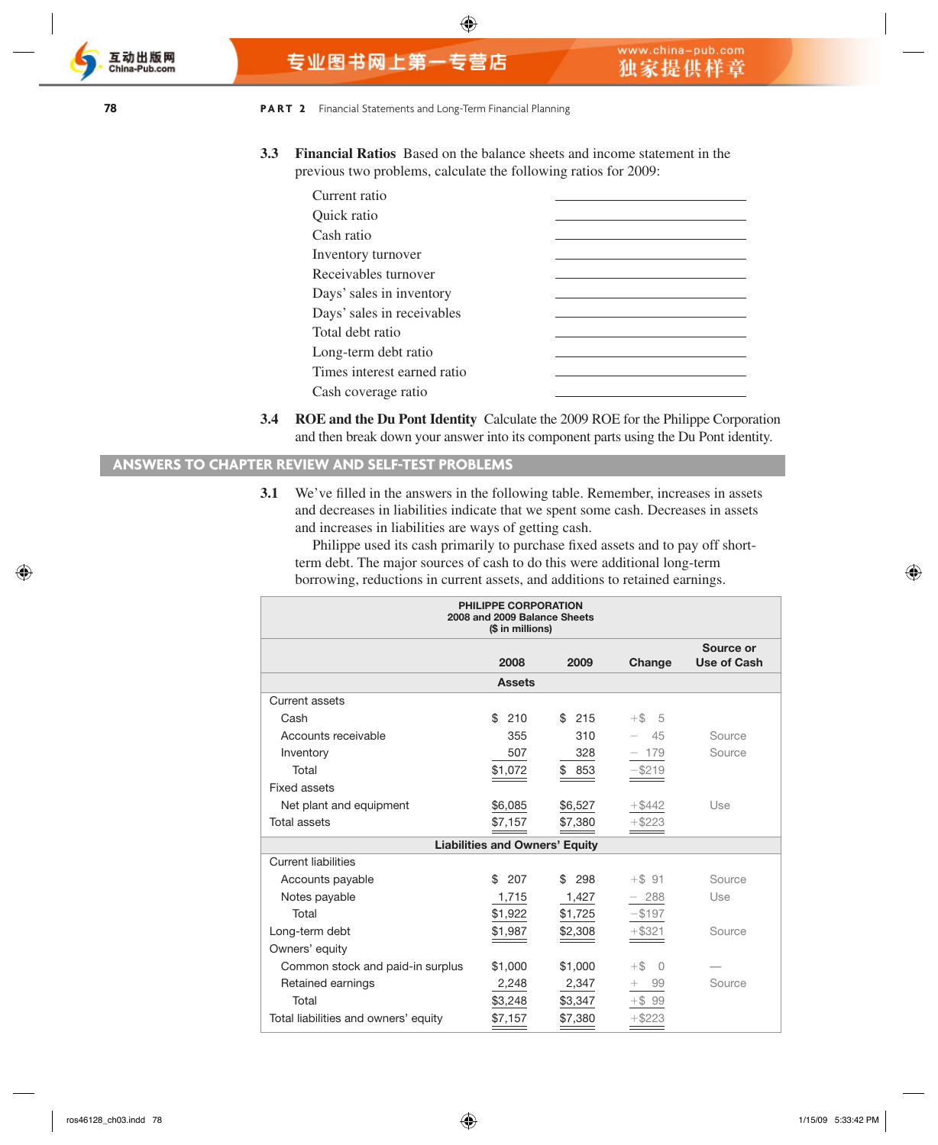

**3.3 Financial Ratios** Based on the balance sheets and income statement in the previous two problems, calculate the following ratios for 2009:

| Current ratio               |  |
|-----------------------------|--|
| Quick ratio                 |  |
| Cash ratio                  |  |
| Inventory turnover          |  |
| Receivables turnover        |  |
| Days' sales in inventory    |  |
| Days' sales in receivables  |  |
| Total debt ratio            |  |
| Long-term debt ratio        |  |
| Times interest earned ratio |  |
| Cash coverage ratio         |  |

**3.4 ROE and the Du Pont Identity** Calculate the 2009 ROE for the Philippe Corporation and then break down your answer into its component parts using the Du Pont identity.

### **ANSWERS TO CHAPTER REVIEW AND SELF-TEST PROBLEMS**

**3.1** We've filled in the answers in the following table. Remember, increases in assets and decreases in liabilities indicate that we spent some cash. Decreases in assets and increases in liabilities are ways of getting cash.

Philippe used its cash primarily to purchase fixed assets and to pay off shortterm debt. The major sources of cash to do this were additional long-term borrowing, reductions in current assets, and additions to retained earnings.

| PHILIPPE CORPORATION<br>2008 and 2009 Balance Sheets<br>(\$ in millions) |                                       |         |           |                          |  |  |  |
|--------------------------------------------------------------------------|---------------------------------------|---------|-----------|--------------------------|--|--|--|
|                                                                          | 2008                                  | 2009    | Change    | Source or<br>Use of Cash |  |  |  |
|                                                                          | <b>Assets</b>                         |         |           |                          |  |  |  |
| Current assets                                                           |                                       |         |           |                          |  |  |  |
| Cash                                                                     | \$<br>210                             | \$215   | $+$ \$5   |                          |  |  |  |
| Accounts receivable                                                      | 355                                   | 310     | 45        | Source                   |  |  |  |
| Inventory                                                                | 507                                   | 328     | $-179$    | Source                   |  |  |  |
| Total                                                                    | \$1,072                               | \$853   | $-$ \$219 |                          |  |  |  |
| <b>Fixed assets</b>                                                      |                                       |         |           |                          |  |  |  |
| Net plant and equipment                                                  | \$6,085                               | \$6,527 | $+$ \$442 | Use                      |  |  |  |
| <b>Total assets</b>                                                      | \$7,157                               | \$7,380 | $+ $223$  |                          |  |  |  |
|                                                                          | <b>Liabilities and Owners' Equity</b> |         |           |                          |  |  |  |
| <b>Current liabilities</b>                                               |                                       |         |           |                          |  |  |  |
| Accounts payable                                                         | 207<br>\$                             | \$298   | $+$ \$ 91 | Source                   |  |  |  |
| Notes payable                                                            | 1,715                                 | 1,427   | $-288$    | Use                      |  |  |  |
| Total                                                                    | \$1,922                               | \$1,725 | $-$ \$197 |                          |  |  |  |
| Long-term debt                                                           | \$1,987                               | \$2,308 | $+$ \$321 | Source                   |  |  |  |
| Owners' equity                                                           |                                       |         |           |                          |  |  |  |
| Common stock and paid-in surplus                                         | \$1,000                               | \$1,000 | $+$ \$ 0  |                          |  |  |  |
| Retained earnings                                                        | 2,248                                 | 2,347   | 99        | Source                   |  |  |  |
| Total                                                                    | \$3,248                               | \$3,347 | $+ $99$   |                          |  |  |  |
| Total liabilities and owners' equity                                     | \$7,157                               | \$7,380 | $+$ \$223 |                          |  |  |  |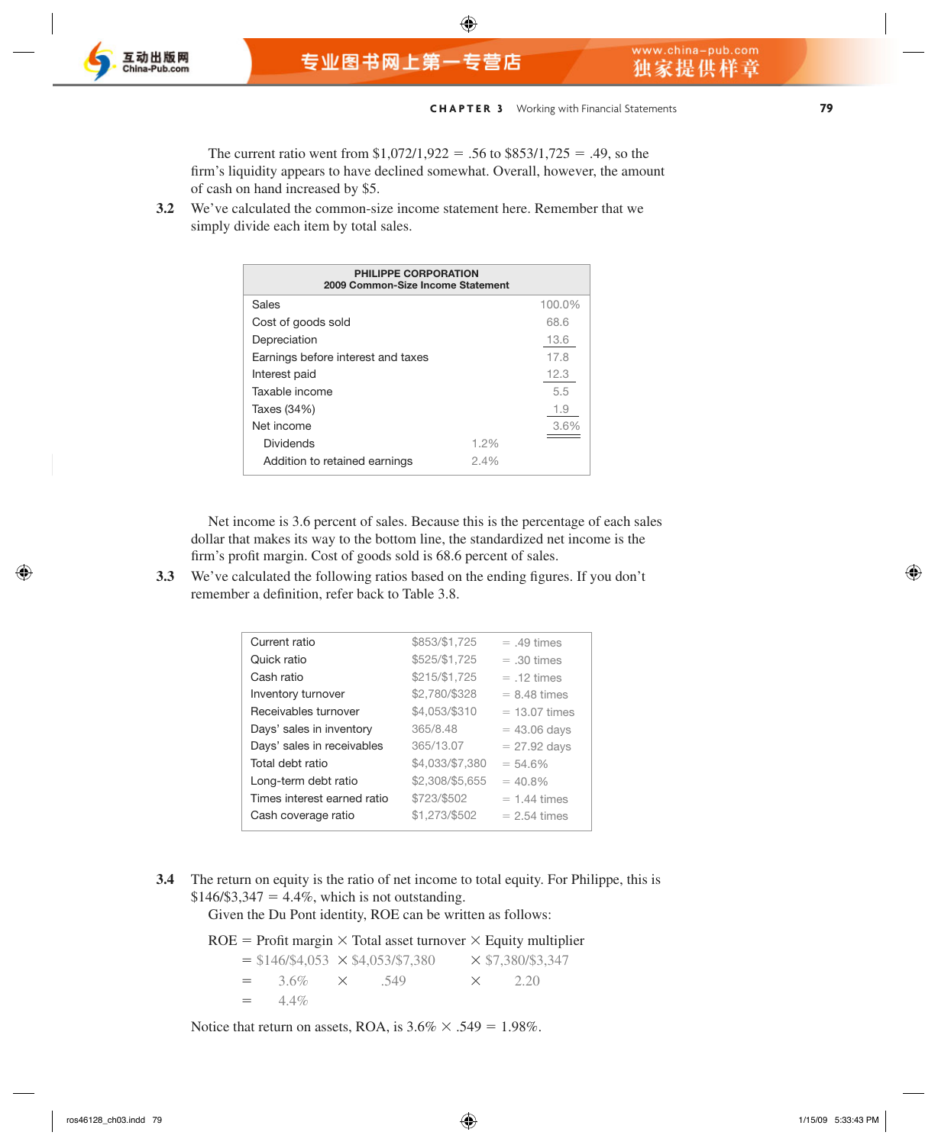互动出版网

China-Pub com

The current ratio went from  $$1,072/1,922 = .56$  to  $$853/1,725 = .49$ , so the firm's liquidity appears to have declined somewhat. Overall, however, the amount of cash on hand increased by \$5.

**3.2** We've calculated the common-size income statement here. Remember that we simply divide each item by total sales.

| PHILIPPE CORPORATION<br>2009 Common-Size Income Statement |         |        |  |  |  |  |
|-----------------------------------------------------------|---------|--------|--|--|--|--|
| Sales                                                     |         | 100.0% |  |  |  |  |
| Cost of goods sold                                        |         | 68.6   |  |  |  |  |
| Depreciation                                              |         | 13.6   |  |  |  |  |
| Earnings before interest and taxes                        |         | 17.8   |  |  |  |  |
| Interest paid                                             |         | 12.3   |  |  |  |  |
| Taxable income                                            |         | 5.5    |  |  |  |  |
| Taxes $(34%)$                                             |         | 1.9    |  |  |  |  |
| Net income                                                |         | 3.6%   |  |  |  |  |
| <b>Dividends</b>                                          | $1.2\%$ |        |  |  |  |  |
| Addition to retained earnings                             | 2.4%    |        |  |  |  |  |

 Net income is 3.6 percent of sales. Because this is the percentage of each sales dollar that makes its way to the bottom line, the standardized net income is the firm's profit margin. Cost of goods sold is 68.6 percent of sales.

**3.3** We've calculated the following ratios based on the ending figures. If you don't remember a definition, refer back to Table 3.8.

| Current ratio               | \$853/\$1,725   | $= .49 \times$  |
|-----------------------------|-----------------|-----------------|
| Quick ratio                 | \$525/\$1,725   | $= .30 \times$  |
| Cash ratio                  | \$215/\$1,725   | $= .12$ times   |
| Inventory turnover          | \$2,780/\$328   | $= 8.48$ times  |
| Receivables turnover        | \$4,053/\$310   | $= 13.07$ times |
| Days' sales in inventory    | 365/8.48        | $= 43.06$ days  |
| Days' sales in receivables  | 365/13.07       | $= 27.92$ days  |
| Total debt ratio            | \$4,033/\$7,380 | $= 54.6%$       |
| Long-term debt ratio        | \$2,308/\$5,655 | $= 40.8\%$      |
| Times interest earned ratio | \$723/\$502     | $= 1.44$ times  |
| Cash coverage ratio         | \$1,273/\$502   | $= 2.54$ times  |
|                             |                 |                 |

**3.4** The return on equity is the ratio of net income to total equity. For Philippe, this is  $$146/\$3,347 = 4.4\%$ , which is not outstanding.

Given the Du Pont identity, ROE can be written as follows:

 $ROE =$  Profit margin  $\times$  Total asset turnover  $\times$  Equity multiplier

|  |                        | $=$ \$146/\$4,053 $\times$ \$4,053/\$7,380 |  | $\times$ \$7,380/\$3,347 |  |
|--|------------------------|--------------------------------------------|--|--------------------------|--|
|  | $=$ 3.6% $\times$ .549 |                                            |  | $X = 2.20$               |  |
|  | $= 4.4\%$              |                                            |  |                          |  |

Notice that return on assets, ROA, is  $3.6\% \times .549 = 1.98\%$ .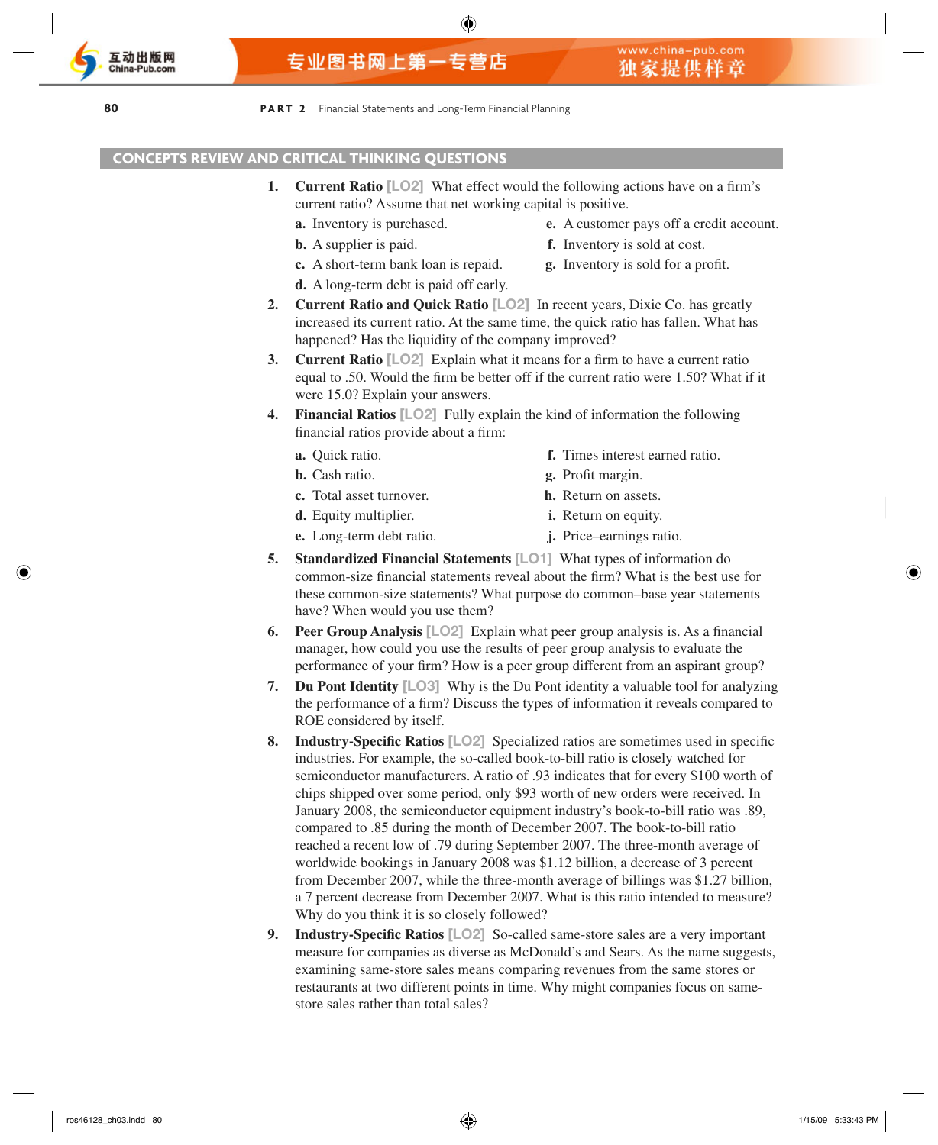

### **CONCEPTS REVIEW AND CRITICAL THINKING QUESTIONS**

- **1. Current Ratio [LO2]** What effect would the following actions have on a firm's current ratio? Assume that net working capital is positive.
	-
	-
	- **c.** A short-term bank loan is repaid. **g.** Inventory is sold for a profit.
	- **d.** A long-term debt is paid off early.
	- **a.** Inventory is purchased. **e.** A customer pays off a credit account.
	- **b.** A supplier is paid. **f.** Inventory is sold at cost.
		-
- **2. Current Ratio and Quick Ratio [LO2]** In recent years, Dixie Co. has greatly increased its current ratio. At the same time, the quick ratio has fallen. What has happened? Has the liquidity of the company improved?
- **3. Current Ratio [LO2]** Explain what it means for a firm to have a current ratio equal to .50. Would the firm be better off if the current ratio were 1.50? What if it were 15.0? Explain your answers.
- **4. Financial Ratios [LO2]** Fully explain the kind of information the following financial ratios provide about a firm:
	- **a.** Ouick ratio. **f.** Times interest earned ratio. **b.** Cash ratio. **g.** Profit margin.  **c.** Total asset turnover. **h.** Return on assets. **d.** Equity multiplier. **i.** Return on equity.
	- **e.** Long-term debt ratio. **j.** Price–earnings ratio.
- **5. Standardized Financial Statements [LO1]** What types of information do common-size financial statements reveal about the firm? What is the best use for these common-size statements? What purpose do common–base year statements have? When would you use them?
- **6. Peer Group Analysis [LO2]** Explain what peer group analysis is. As a financial manager, how could you use the results of peer group analysis to evaluate the performance of your firm? How is a peer group different from an aspirant group?
- **7. Du Pont Identity [LO3]** Why is the Du Pont identity a valuable tool for analyzing the performance of a firm? Discuss the types of information it reveals compared to ROE considered by itself.
- **8.** Industry-Specific Ratios [LO2] Specialized ratios are sometimes used in specific industries. For example, the so-called book-to-bill ratio is closely watched for semiconductor manufacturers. A ratio of .93 indicates that for every \$100 worth of chips shipped over some period, only \$93 worth of new orders were received. In January 2008, the semiconductor equipment industry's book-to-bill ratio was .89, compared to .85 during the month of December 2007. The book-to-bill ratio reached a recent low of .79 during September 2007. The three-month average of worldwide bookings in January 2008 was \$1.12 billion, a decrease of 3 percent from December 2007, while the three-month average of billings was \$1.27 billion, a 7 percent decrease from December 2007. What is this ratio intended to measure? Why do you think it is so closely followed?
- **9.** Industry-Specific Ratios [LO2] So-called same-store sales are a very important measure for companies as diverse as McDonald's and Sears. As the name suggests, examining same-store sales means comparing revenues from the same stores or restaurants at two different points in time. Why might companies focus on samestore sales rather than total sales?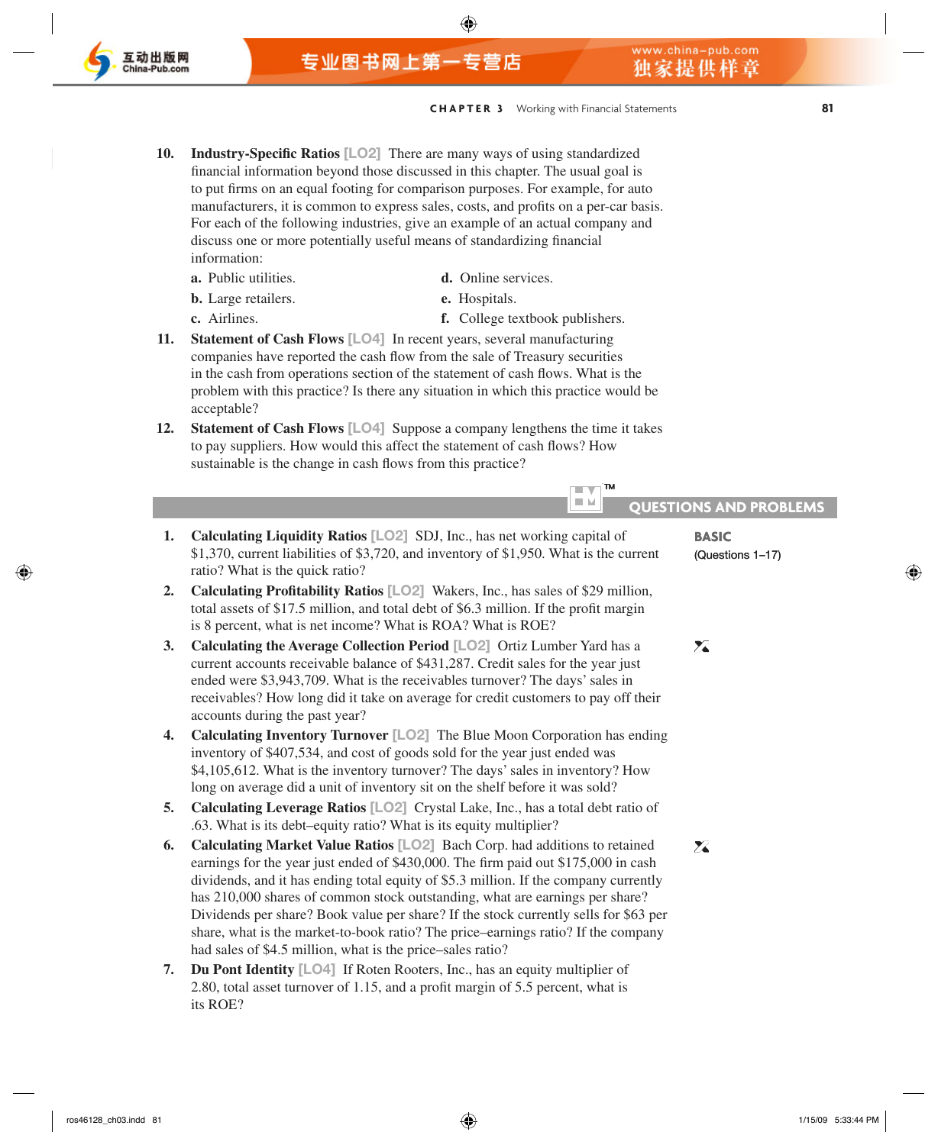**10. Industry-Specific Ratios [LO2]** There are many ways of using standardized financial information beyond those discussed in this chapter. The usual goal is to put firms on an equal footing for comparison purposes. For example, for auto manufacturers, it is common to express sales, costs, and profits on a per-car basis. For each of the following industries, give an example of an actual company and discuss one or more potentially useful means of standardizing financial information:

| <b>a.</b> Public utilities. | <b>d.</b> Online services. |
|-----------------------------|----------------------------|
|-----------------------------|----------------------------|

- **b.** Large retailers. **e.** Hospitals.
- **c.** Airlines. **f.** College textbook publishers.
- **11. Statement of Cash Flows [LO4]** In recent years, several manufacturing companies have reported the cash flow from the sale of Treasury securities in the cash from operations section of the statement of cash flows. What is the problem with this practice? Is there any situation in which this practice would be acceptable?
- **12. Statement of Cash Flows [LO4]** Suppose a company lengthens the time it takes to pay suppliers. How would this affect the statement of cash flows? How sustainable is the change in cash flows from this practice?

#### **III** M  **QUESTIONS AND PROBLEMS**

TM

**TEM** 

- **1. Calculating Liquidity Ratios [LO2]** SDJ, Inc., has net working capital of \$1,370, current liabilities of \$3,720, and inventory of \$1,950. What is the current ratio? What is the quick ratio?
- 2. Calculating Profitability Ratios [LO2] Wakers, Inc., has sales of \$29 million, total assets of  $$17.5$  million, and total debt of  $$6.3$  million. If the profit margin is 8 percent, what is net income? What is ROA? What is ROE?
- **3. Calculating the Average Collection Period [LO2]** Ortiz Lumber Yard has a current accounts receivable balance of \$431,287. Credit sales for the year just ended were \$3,943,709. What is the receivables turnover? The days' sales in receivables? How long did it take on average for credit customers to pay off their accounts during the past year?
- **4. Calculating Inventory Turnover [LO2]** The Blue Moon Corporation has ending inventory of \$407,534, and cost of goods sold for the year just ended was \$4,105,612. What is the inventory turnover? The days' sales in inventory? How long on average did a unit of inventory sit on the shelf before it was sold?
- **5. Calculating Leverage Ratios [LO2]** Crystal Lake, Inc., has a total debt ratio of .63. What is its debt–equity ratio? What is its equity multiplier?
- **6. Calculating Market Value Ratios [LO2]** Bach Corp. had additions to retained earnings for the year just ended of \$430,000. The firm paid out \$175,000 in cash dividends, and it has ending total equity of \$5.3 million. If the company currently has 210,000 shares of common stock outstanding, what are earnings per share? Dividends per share? Book value per share? If the stock currently sells for \$63 per share, what is the market-to-book ratio? The price–earnings ratio? If the company had sales of \$4.5 million, what is the price–sales ratio?
- **7. Du Pont Identity [LO4]** If Roten Rooters, Inc., has an equity multiplier of 2.80, total asset turnover of 1.15, and a profit margin of 5.5 percent, what is its ROE?

 **BASIC**  (Questions 1–17)

 $\overline{\mathbf{z}}$ 

 $\overline{\mathbf{z}}$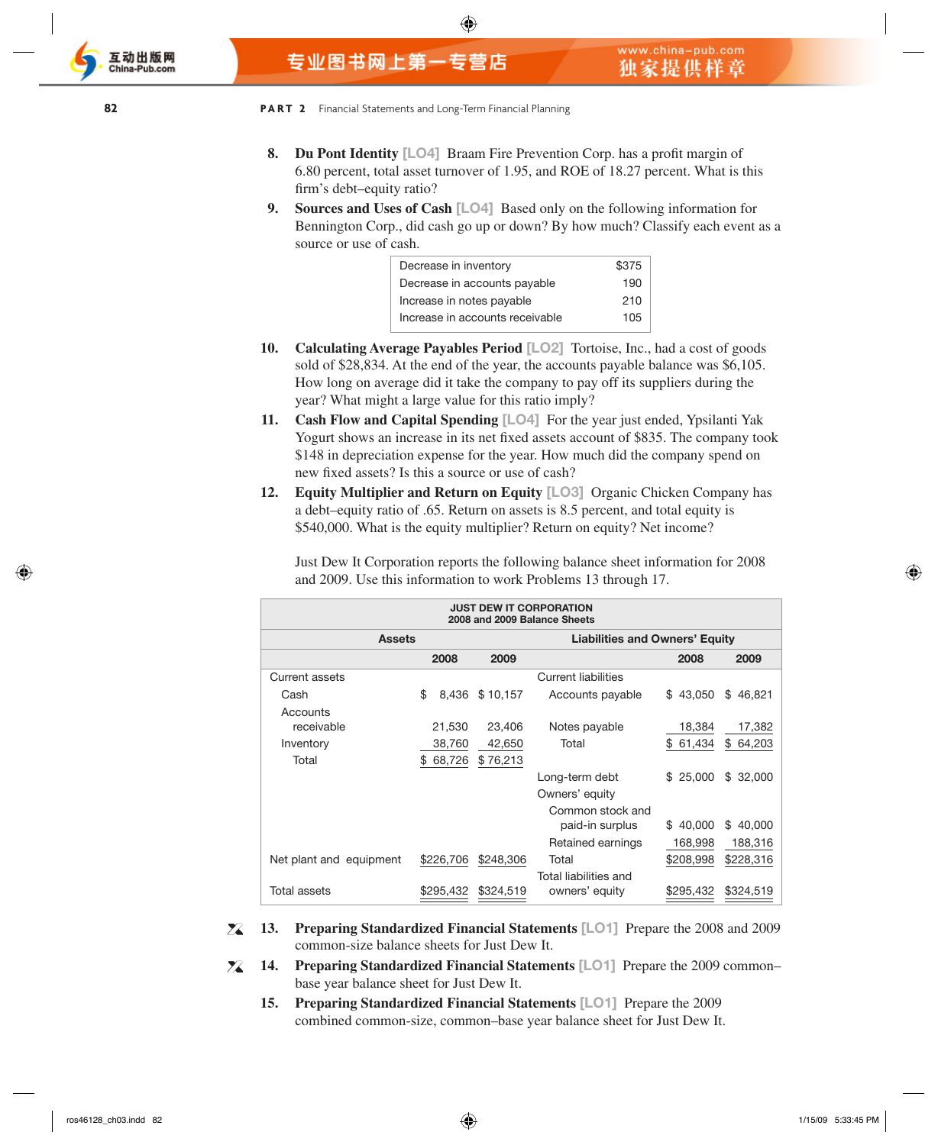

- **8.** Du Pont Identity [LO4] Braam Fire Prevention Corp. has a profit margin of 6.80 percent, total asset turnover of 1.95, and ROE of 18.27 percent. What is this firm's debt-equity ratio?
- **9. Sources and Uses of Cash [LO4]** Based only on the following information for Bennington Corp., did cash go up or down? By how much? Classify each event as a source or use of cash.

| Decrease in inventory           | \$375 |
|---------------------------------|-------|
| Decrease in accounts payable    | 190   |
| Increase in notes payable       | 210   |
| Increase in accounts receivable | 105   |
|                                 |       |

- **10. Calculating Average Payables Period [LO2]** Tortoise, Inc., had a cost of goods sold of \$28,834. At the end of the year, the accounts payable balance was \$6,105. How long on average did it take the company to pay off its suppliers during the year? What might a large value for this ratio imply?
- **11. Cash Flow and Capital Spending [LO4]** For the year just ended, Ypsilanti Yak Yogurt shows an increase in its net fixed assets account of \$835. The company took \$148 in depreciation expense for the year. How much did the company spend on new fixed assets? Is this a source or use of cash?
- **12. Equity Multiplier and Return on Equity [LO3]** Organic Chicken Company has a debt–equity ratio of .65. Return on assets is 8.5 percent, and total equity is \$540,000. What is the equity multiplier? Return on equity? Net income?

| <b>JUST DEW IT CORPORATION</b><br>2008 and 2009 Balance Sheets |                                       |           |                            |              |              |  |
|----------------------------------------------------------------|---------------------------------------|-----------|----------------------------|--------------|--------------|--|
| <b>Assets</b>                                                  | <b>Liabilities and Owners' Equity</b> |           |                            |              |              |  |
|                                                                | 2008                                  | 2009      |                            | 2008         | 2009         |  |
| Current assets                                                 |                                       |           | <b>Current liabilities</b> |              |              |  |
| Cash                                                           | \$<br>8.436                           | \$10,157  | Accounts payable           | \$43,050     | \$46,821     |  |
| Accounts                                                       |                                       |           |                            |              |              |  |
| receivable                                                     | 21,530                                | 23,406    | Notes payable              | 18,384       | 17,382       |  |
| Inventory                                                      | 38,760                                | 42,650    | Total                      | 61,434<br>\$ | \$<br>64,203 |  |
| Total                                                          | 68,726<br>S.                          | \$76,213  |                            |              |              |  |
|                                                                |                                       |           | Long-term debt             | \$25,000     | \$<br>32,000 |  |
|                                                                |                                       |           | Owners' equity             |              |              |  |
|                                                                |                                       |           | Common stock and           |              |              |  |
|                                                                |                                       |           | paid-in surplus            | \$40,000     | \$<br>40,000 |  |
|                                                                |                                       |           | Retained earnings          | 168,998      | 188,316      |  |
| Net plant and equipment                                        | \$226,706                             | \$248,306 | Total                      | \$208,998    | \$228,316    |  |
|                                                                |                                       |           | Total liabilities and      |              |              |  |
| Total assets                                                   | \$295,432                             | \$324,519 | owners' equity             | \$295,432    | \$324,519    |  |

 Just Dew It Corporation reports the following balance sheet information for 2008 and 2009. Use this information to work Problems 13 through 17.

- $\mathbf{z}$  **13. Preparing Standardized Financial Statements [LO1]** Prepare the 2008 and 2009 common-size balance sheets for Just Dew It.
- **14. Preparing Standardized Financial Statements [LO1]** Prepare the 2009 common–  $\boldsymbol{\mathcal{Z}}$ base year balance sheet for Just Dew It.
	- **15. Preparing Standardized Financial Statements [LO1]** Prepare the 2009 combined common-size, common–base year balance sheet for Just Dew It.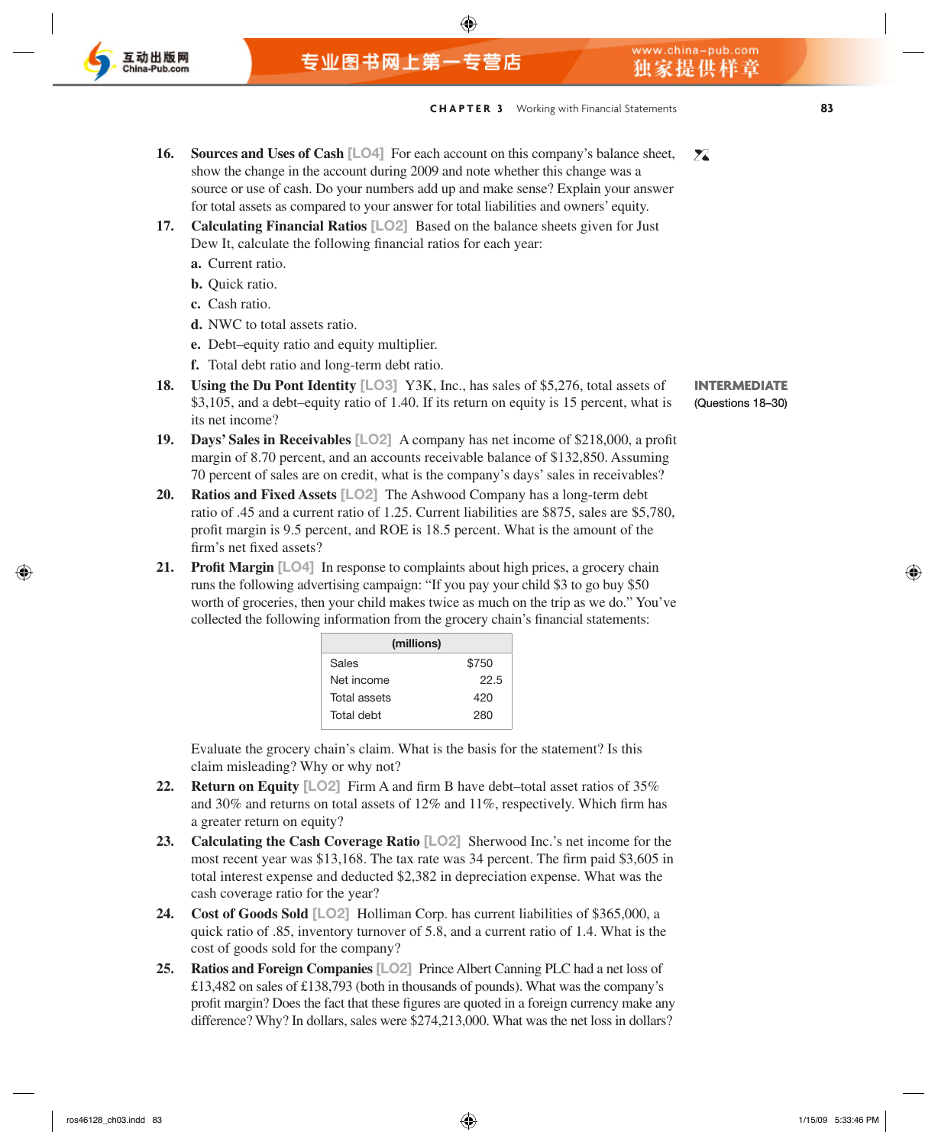

- **16. Sources and Uses of Cash [LO4]** For each account on this company's balance sheet,  $\overline{\mathbf{z}}$ show the change in the account during 2009 and note whether this change was a source or use of cash. Do your numbers add up and make sense? Explain your answer for total assets as compared to your answer for total liabilities and owners' equity.
- **17. Calculating Financial Ratios [LO2]** Based on the balance sheets given for Just Dew It, calculate the following financial ratios for each year:
	- **a.** Current ratio.
	- **b.** Quick ratio.
	- **c.** Cash ratio.
	- **d.** NWC to total assets ratio.
	- **e.** Debt–equity ratio and equity multiplier.
	- **f.** Total debt ratio and long-term debt ratio.
- **18. Using the Du Pont Identity [LO3]** Y3K, Inc., has sales of \$5,276, total assets of \$3,105, and a debt–equity ratio of 1.40. If its return on equity is 15 percent, what is its net income?
- **19. Days' Sales in Receivables [LO2]** A company has net income of \$218,000, a profit margin of 8.70 percent, and an accounts receivable balance of \$132,850. Assuming 70 percent of sales are on credit, what is the company's days' sales in receivables?
- **20. Ratios and Fixed Assets [LO2]** The Ashwood Company has a long-term debt ratio of .45 and a current ratio of 1.25. Current liabilities are \$875, sales are \$5,780, profit margin is 9.5 percent, and ROE is 18.5 percent. What is the amount of the firm's net fixed assets?
- **21. Profit Margin [LO4]** In response to complaints about high prices, a grocery chain runs the following advertising campaign: "If you pay your child \$3 to go buy \$50 worth of groceries, then your child makes twice as much on the trip as we do." You've collected the following information from the grocery chain's financial statements:

| (millions)   |       |  |  |  |
|--------------|-------|--|--|--|
| Sales        | \$750 |  |  |  |
| Net income   | 22.5  |  |  |  |
| Total assets | 420   |  |  |  |
| Total debt   | 280   |  |  |  |

Evaluate the grocery chain's claim. What is the basis for the statement? Is this claim misleading? Why or why not?

- **22. Return on Equity**  $[LO2]$  Firm A and firm B have debt–total asset ratios of 35% and 30% and returns on total assets of  $12\%$  and  $11\%$ , respectively. Which firm has a greater return on equity?
- **23. Calculating the Cash Coverage Ratio [LO2]** Sherwood Inc.'s net income for the most recent year was  $$13,168$ . The tax rate was 34 percent. The firm paid  $$3,605$  in total interest expense and deducted \$2,382 in depreciation expense. What was the cash coverage ratio for the year?
- **24. Cost of Goods Sold [LO2]** Holliman Corp. has current liabilities of \$365,000, a quick ratio of .85, inventory turnover of 5.8, and a current ratio of 1.4. What is the cost of goods sold for the company?
- **25. Ratios and Foreign Companies [LO2]** Prince Albert Canning PLC had a net loss of £13,482 on sales of £138,793 (both in thousands of pounds). What was the company's profit margin? Does the fact that these figures are quoted in a foreign currency make any difference? Why? In dollars, sales were \$274,213,000. What was the net loss in dollars?

 **INTERMEDIATE**  (Questions 18–30)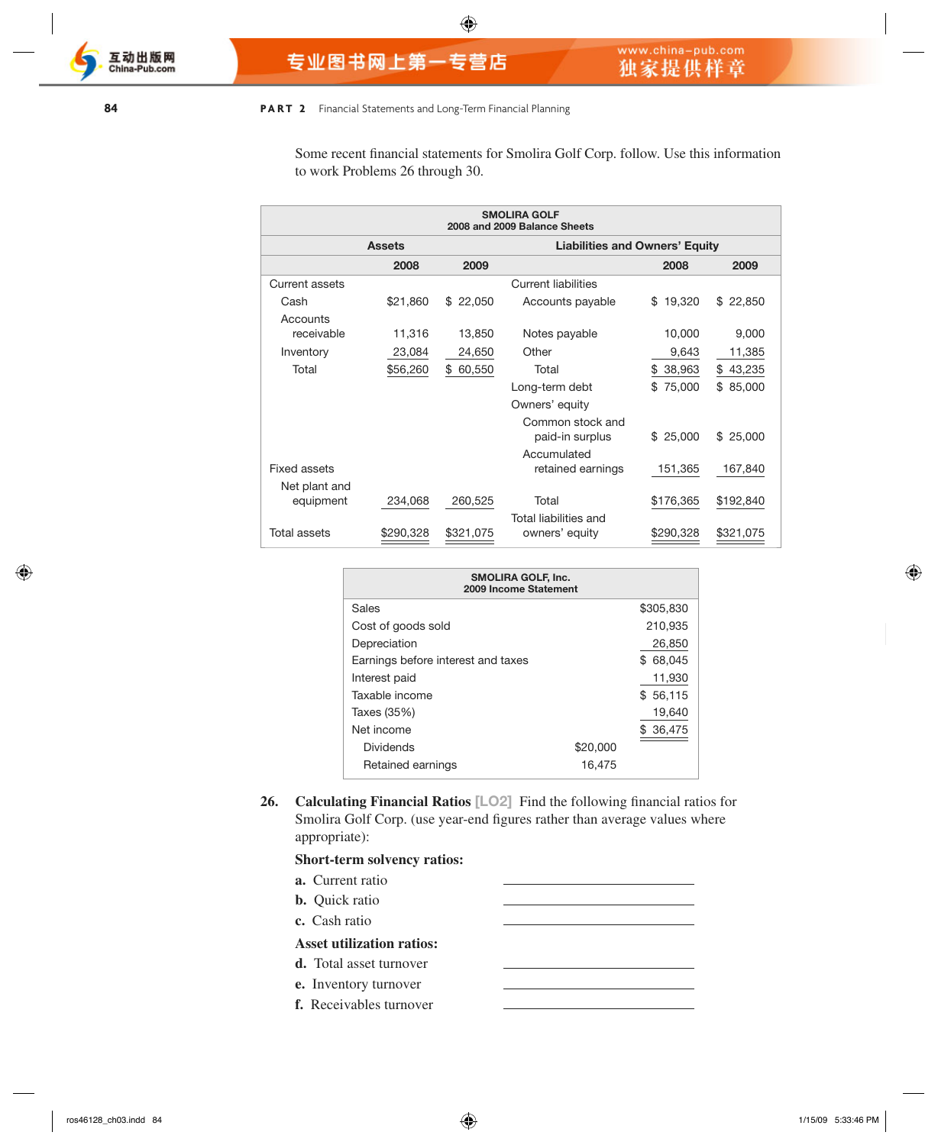Some recent financial statements for Smolira Golf Corp. follow. Use this information to work Problems 26 through 30.

| <b>SMOLIRA GOLF</b><br>2008 and 2009 Balance Sheets |               |              |                                       |              |              |  |
|-----------------------------------------------------|---------------|--------------|---------------------------------------|--------------|--------------|--|
|                                                     | <b>Assets</b> |              | <b>Liabilities and Owners' Equity</b> |              |              |  |
|                                                     | 2008          | 2009         |                                       | 2008         | 2009         |  |
| Current assets                                      |               |              | <b>Current liabilities</b>            |              |              |  |
| Cash                                                | \$21,860      | 22,050<br>\$ | Accounts payable                      | 19,320<br>\$ | 22,850<br>\$ |  |
| Accounts                                            |               |              |                                       |              |              |  |
| receivable                                          | 11,316        | 13,850       | Notes payable                         | 10,000       | 9,000        |  |
| Inventory                                           | 23,084        | 24,650       | Other                                 | 9,643        | 11,385       |  |
| Total                                               | \$56,260      | 60,550<br>\$ | Total                                 | 38,963<br>S. | 43,235<br>\$ |  |
|                                                     |               |              | Long-term debt                        | \$75,000     | \$<br>85,000 |  |
|                                                     |               |              | Owners' equity                        |              |              |  |
|                                                     |               |              | Common stock and                      |              |              |  |
|                                                     |               |              | paid-in surplus                       | \$25,000     | 25,000<br>\$ |  |
|                                                     |               |              | Accumulated                           |              |              |  |
| <b>Fixed assets</b>                                 |               |              | retained earnings                     | 151,365      | 167,840      |  |
| Net plant and                                       |               |              |                                       |              |              |  |
| equipment                                           | 234,068       | 260,525      | Total                                 | \$176,365    | \$192,840    |  |
|                                                     |               |              | Total liabilities and                 |              |              |  |
| Total assets                                        | \$290,328     | \$321,075    | owners' equity                        | \$290,328    | \$321,075    |  |

| <b>SMOLIRA GOLF, Inc.</b><br>2009 Income Statement |           |  |  |  |  |
|----------------------------------------------------|-----------|--|--|--|--|
| Sales                                              | \$305,830 |  |  |  |  |
| Cost of goods sold                                 | 210,935   |  |  |  |  |
| Depreciation                                       | 26,850    |  |  |  |  |
| Earnings before interest and taxes                 | \$68,045  |  |  |  |  |
| Interest paid                                      | 11,930    |  |  |  |  |
| Taxable income                                     | \$56,115  |  |  |  |  |
| Taxes (35%)                                        | 19,640    |  |  |  |  |
| Net income                                         | 36,475    |  |  |  |  |
| <b>Dividends</b><br>\$20,000                       |           |  |  |  |  |
| 16,475<br>Retained earnings                        |           |  |  |  |  |

26. Calculating Financial Ratios [LO2] Find the following financial ratios for Smolira Golf Corp. (use year-end figures rather than average values where appropriate):

### **Short-term solvency ratios:**

- **a.** Current ratio
- **b.** Quick ratio
- **c.** Cash ratio

### **Asset utilization ratios:**

- **d.** Total asset turnover
- **e.** Inventory turnover
- **f.** Receivables turnover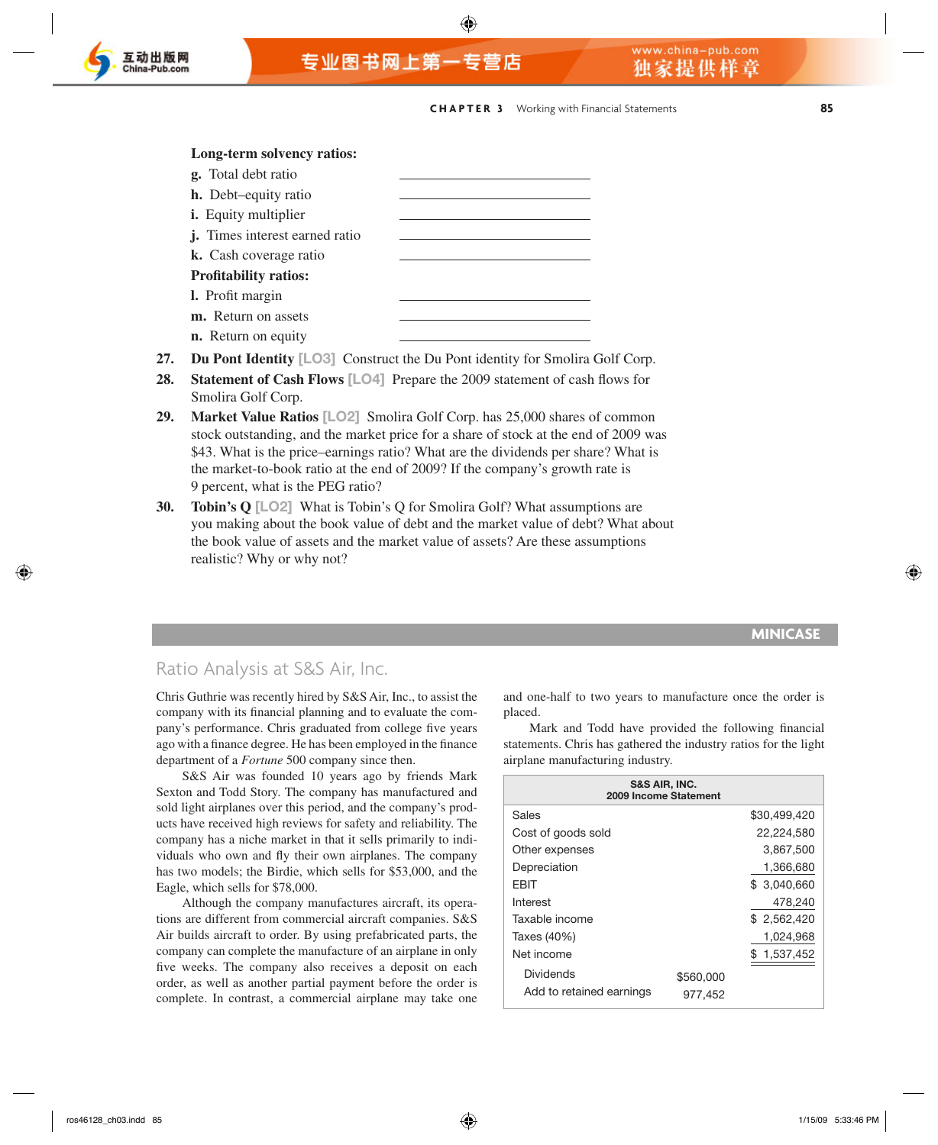

#### **Long-term solvency ratios:**

- **g.** Total debt ratio  **h.** Debt–equity ratio  **i.** Equity multiplier  **j.** Times interest earned ratio  **k.** Cash coverage ratio **Profitability ratios: l.** Profit margin  **m.** Return on assets  **n.** Return on equity
- **27. Du Pont Identity [LO3]** Construct the Du Pont identity for Smolira Golf Corp.
- **28. Statement of Cash Flows [LO4] Prepare the 2009 statement of cash flows for** Smolira Golf Corp.
- **29. Market Value Ratios [LO2]** Smolira Golf Corp. has 25,000 shares of common stock outstanding, and the market price for a share of stock at the end of 2009 was \$43. What is the price–earnings ratio? What are the dividends per share? What is the market-to-book ratio at the end of 2009? If the company's growth rate is 9 percent, what is the PEG ratio?
- **30. Tobin's Q [LO2]** What is Tobin's Q for Smolira Golf? What assumptions are you making about the book value of debt and the market value of debt? What about the book value of assets and the market value of assets? Are these assumptions realistic? Why or why not?

### Ratio Analysis at S&S Air, Inc.

 Chris Guthrie was recently hired by S&S Air, Inc., to assist the company with its financial planning and to evaluate the company's performance. Chris graduated from college five years ago with a finance degree. He has been employed in the finance department of a *Fortune* 500 company since then.

 S&S Air was founded 10 years ago by friends Mark Sexton and Todd Story. The company has manufactured and sold light airplanes over this period, and the company's products have received high reviews for safety and reliability. The company has a niche market in that it sells primarily to individuals who own and fly their own airplanes. The company has two models; the Birdie, which sells for \$53,000, and the Eagle, which sells for \$78,000.

 Although the company manufactures aircraft, its operations are different from commercial aircraft companies. S&S Air builds aircraft to order. By using prefabricated parts, the company can complete the manufacture of an airplane in only five weeks. The company also receives a deposit on each order, as well as another partial payment before the order is complete. In contrast, a commercial airplane may take one and one-half to two years to manufacture once the order is placed.

Mark and Todd have provided the following financial statements. Chris has gathered the industry ratios for the light airplane manufacturing industry.

| S&S AIR, INC.<br>2009 Income Statement |                      |              |  |  |  |
|----------------------------------------|----------------------|--------------|--|--|--|
| Sales                                  |                      | \$30,499,420 |  |  |  |
| Cost of goods sold                     |                      | 22,224,580   |  |  |  |
| Other expenses                         |                      | 3,867,500    |  |  |  |
| Depreciation                           |                      | 1,366,680    |  |  |  |
| EBIT                                   |                      | \$3,040,660  |  |  |  |
| Interest                               |                      | 478,240      |  |  |  |
| Taxable income                         |                      | \$2,562,420  |  |  |  |
| Taxes $(40%)$                          |                      | 1.024.968    |  |  |  |
| Net income                             |                      | \$1,537,452  |  |  |  |
| Dividends<br>Add to retained earnings  | \$560,000<br>977.452 |              |  |  |  |